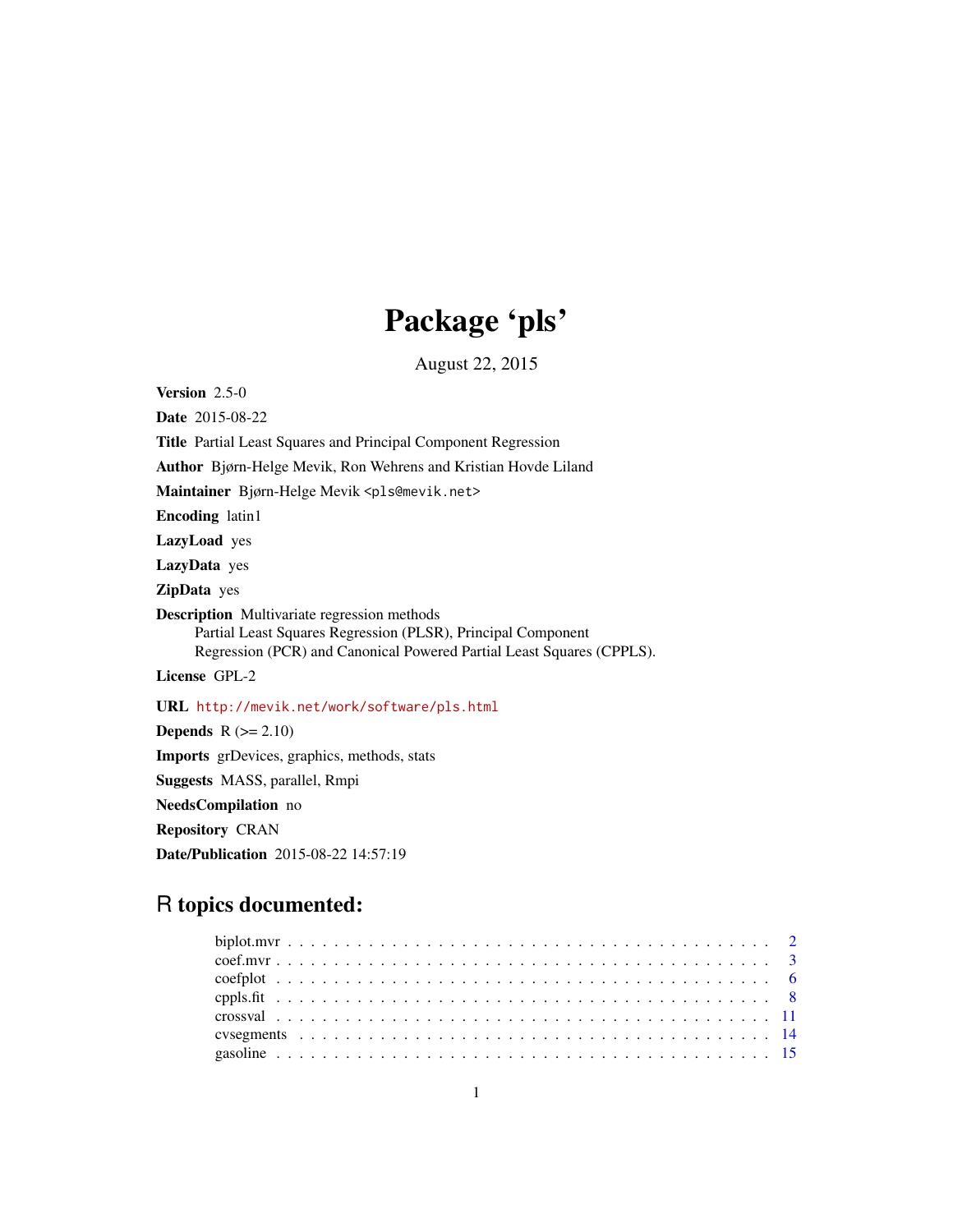# Package 'pls'

August 22, 2015

<span id="page-0-0"></span>Version 2.5-0

Date 2015-08-22

Title Partial Least Squares and Principal Component Regression

Author Bjørn-Helge Mevik, Ron Wehrens and Kristian Hovde Liland

Maintainer Bjørn-Helge Mevik <pls@mevik.net>

Encoding latin1

LazyLoad yes

LazyData yes

ZipData yes

Description Multivariate regression methods Partial Least Squares Regression (PLSR), Principal Component Regression (PCR) and Canonical Powered Partial Least Squares (CPPLS).

License GPL-2

URL <http://mevik.net/work/software/pls.html>

Depends  $R (= 2.10)$ Imports grDevices, graphics, methods, stats Suggests MASS, parallel, Rmpi NeedsCompilation no Repository CRAN Date/Publication 2015-08-22 14:57:19

# R topics documented: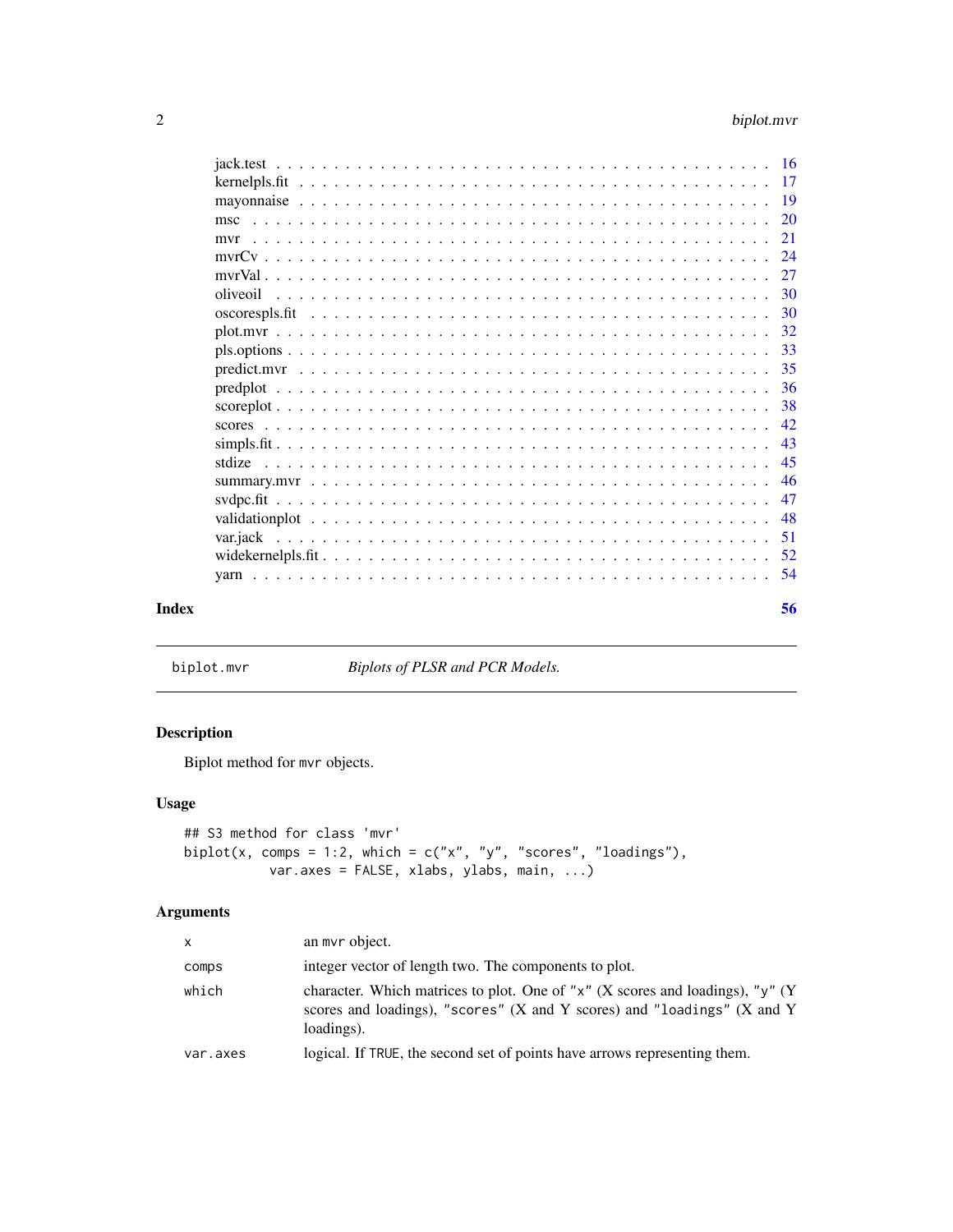<span id="page-1-0"></span>

|       | msc |     |
|-------|-----|-----|
|       | mvr | 21  |
|       |     | -24 |
|       |     | 27  |
|       |     |     |
|       |     | -30 |
|       |     |     |
|       |     | 33  |
|       |     | 35  |
|       |     | -36 |
|       |     | 38  |
|       |     | 42  |
|       |     | 43  |
|       |     | 45  |
|       |     |     |
|       |     | 47  |
|       |     | -48 |
|       |     | 51  |
|       |     |     |
|       |     |     |
| Index |     | 56  |

<span id="page-1-1"></span>biplot.mvr *Biplots of PLSR and PCR Models.*

# Description

Biplot method for mvr objects.

# Usage

```
## S3 method for class 'mvr'
biplot(x, comps = 1:2, which = c("x", "y", "scores", "loadings"),var.axes = FALSE, xlabs, ylabs, main, ...)
```
# Arguments

| $\mathsf{x}$ | an mvr object.                                                                                                                                                                         |
|--------------|----------------------------------------------------------------------------------------------------------------------------------------------------------------------------------------|
| comps        | integer vector of length two. The components to plot.                                                                                                                                  |
| which        | character. Which matrices to plot. One of " $x$ " (X scores and loadings), " $y$ " (Y<br>scores and loadings), "scores" $(X$ and $Y$ scores) and "loadings" $(X$ and $Y$<br>loadings). |
| var.axes     | logical. If TRUE, the second set of points have arrows representing them.                                                                                                              |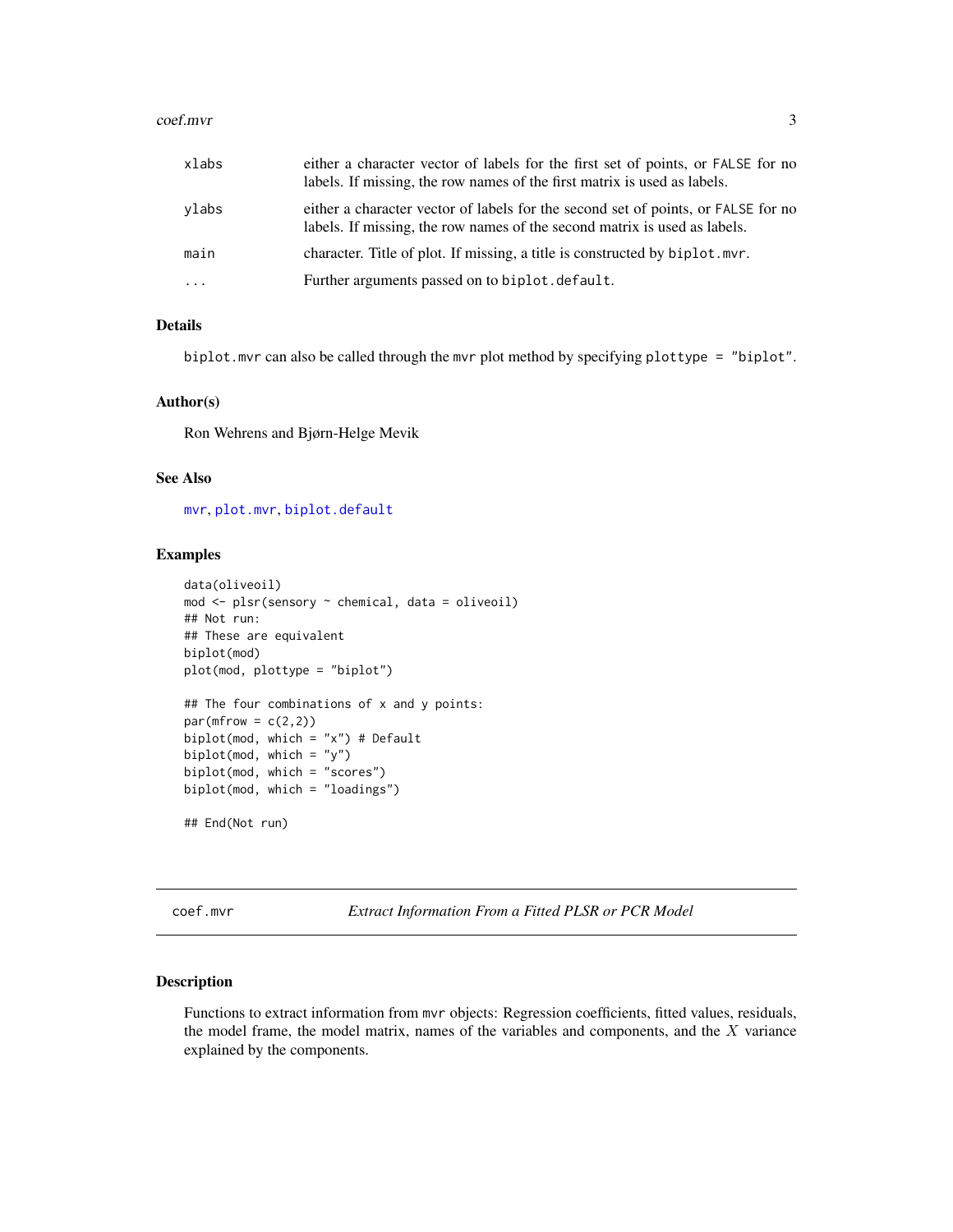#### <span id="page-2-0"></span>coef.mvr 3

| xlabs                   | either a character vector of labels for the first set of points, or FALSE for no<br>labels. If missing, the row names of the first matrix is used as labels.   |
|-------------------------|----------------------------------------------------------------------------------------------------------------------------------------------------------------|
| ylabs                   | either a character vector of labels for the second set of points, or FALSE for no<br>labels. If missing, the row names of the second matrix is used as labels. |
| main                    | character. Title of plot. If missing, a title is constructed by biplot.myr.                                                                                    |
| $\cdot$ $\cdot$ $\cdot$ | Further arguments passed on to biplot. default.                                                                                                                |

# Details

biplot.mvr can also be called through the mvr plot method by specifying plottype = "biplot".

#### Author(s)

Ron Wehrens and Bjørn-Helge Mevik

#### See Also

[mvr](#page-20-1), [plot.mvr](#page-31-1), [biplot.default](#page-0-0)

# Examples

```
data(oliveoil)
mod <- plsr(sensory ~ chemical, data = oliveoil)
## Not run:
## These are equivalent
biplot(mod)
plot(mod, plottype = "biplot")
## The four combinations of x and y points:
par(mfrow = c(2,2))biplot(mod, which = "x") # Default
biplot(mod, which = "y")
biplot(mod, which = "scores")
biplot(mod, which = "loadings")
## End(Not run)
```
<span id="page-2-1"></span>coef.mvr *Extract Information From a Fitted PLSR or PCR Model*

#### <span id="page-2-2"></span>Description

Functions to extract information from mvr objects: Regression coefficients, fitted values, residuals, the model frame, the model matrix, names of the variables and components, and the X variance explained by the components.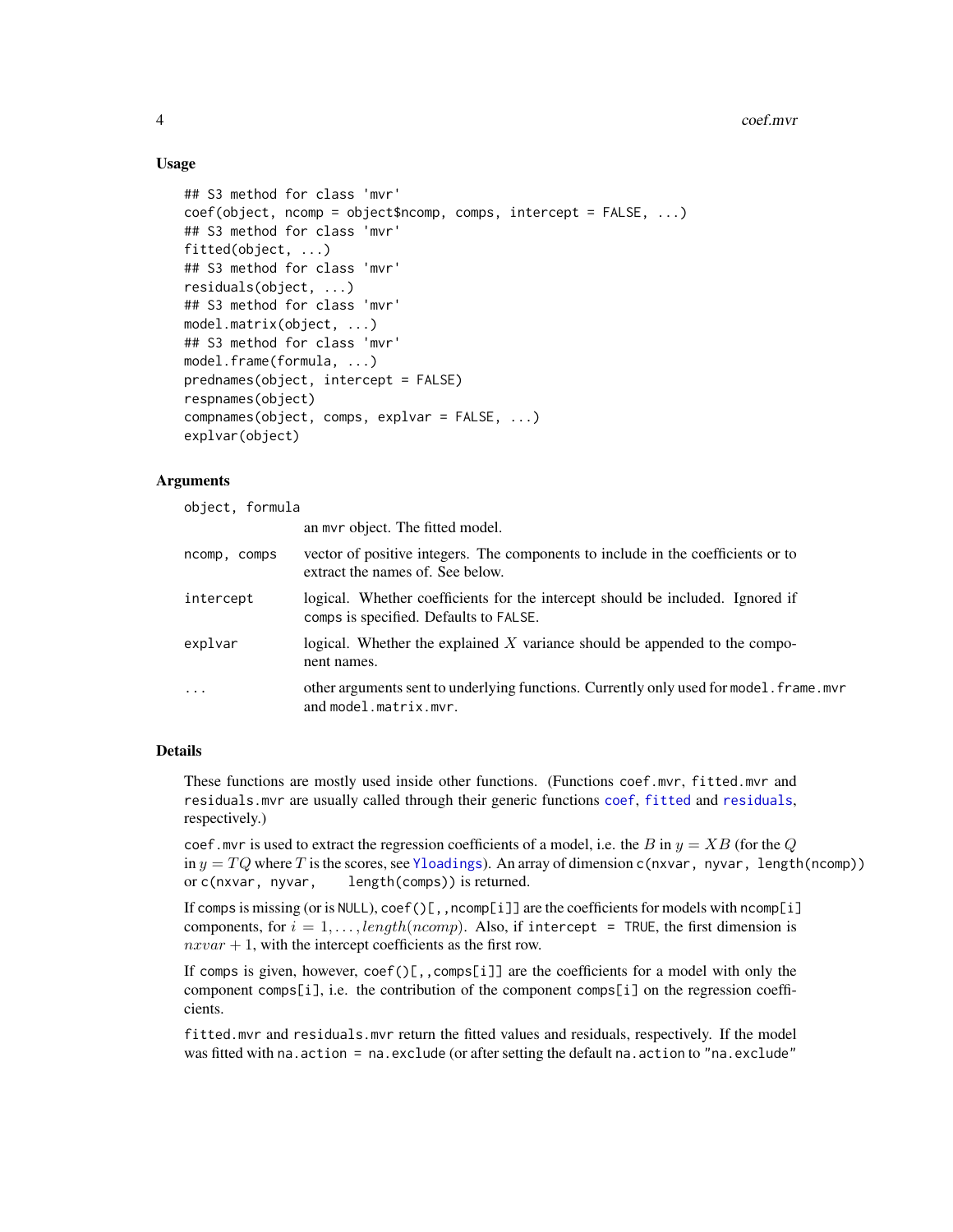#### 4 coef.mvr

# Usage

```
## S3 method for class 'mvr'
coef(object, ncomp = object$ncomp, comps, intercept = FALSE, ...)
## S3 method for class 'mvr'
fitted(object, ...)
## S3 method for class 'mvr'
residuals(object, ...)
## S3 method for class 'mvr'
model.matrix(object, ...)
## S3 method for class 'mvr'
model.frame(formula, ...)
prednames(object, intercept = FALSE)
respnames(object)
compnames(object, comps, explvar = FALSE, ...)
explvar(object)
```
## Arguments

object, formula

an mvr object. The fitted model.

| ncomp, comps | vector of positive integers. The components to include in the coefficients or to<br>extract the names of. See below.     |
|--------------|--------------------------------------------------------------------------------------------------------------------------|
| intercept    | logical. Whether coefficients for the intercept should be included. Ignored if<br>comps is specified. Defaults to FALSE. |
| explvar      | logical. Whether the explained X variance should be appended to the compo-<br>nent names.                                |
| .            | other arguments sent to underlying functions. Currently only used for model. frame. mvr<br>and model.matrix.mvr.         |

#### Details

These functions are mostly used inside other functions. (Functions coef.mvr, fitted.mvr and residuals.mvr are usually called through their generic functions [coef](#page-0-0), [fitted](#page-0-0) and [residuals](#page-0-0), respectively.)

coef.mvr is used to extract the regression coefficients of a model, i.e. the B in  $y = XB$  (for the Q in  $y = TQ$  where T is the scores, see [Yloadings](#page-41-1)). An array of dimension c(nxvar, nyvar, length(ncomp)) or c(nxvar, nyvar, length(comps)) is returned.

If comps is missing (or is NULL), coef()[,,ncomp[i]] are the coefficients for models with ncomp[i] components, for  $i = 1, \ldots$ , length(ncomp). Also, if intercept = TRUE, the first dimension is  $nxvar + 1$ , with the intercept coefficients as the first row.

If comps is given, however,  $\text{coef}()$ [,, $\text{comps}[i]$ ] are the coefficients for a model with only the component comps[i], i.e. the contribution of the component comps[i] on the regression coefficients.

fitted.mvr and residuals.mvr return the fitted values and residuals, respectively. If the model was fitted with na.action = na.exclude (or after setting the default na.action to "na.exclude"

<span id="page-3-0"></span>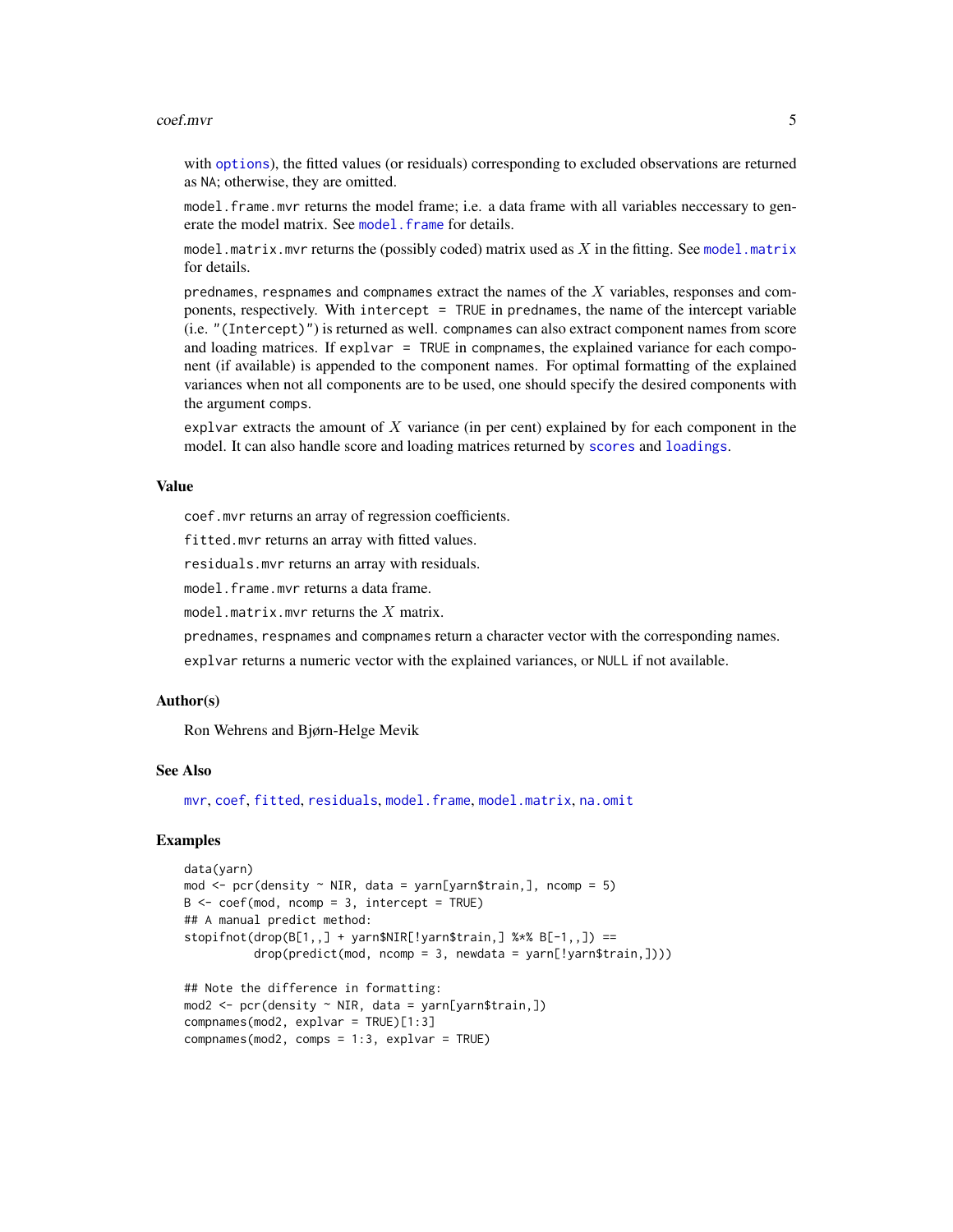#### <span id="page-4-0"></span>coef.mvr 5

with [options](#page-0-0)), the fitted values (or residuals) corresponding to excluded observations are returned as NA; otherwise, they are omitted.

model.frame.mvr returns the model frame; i.e. a data frame with all variables neccessary to generate the model matrix. See [model.frame](#page-0-0) for details.

[model.matrix](#page-0-0).mvr returns the (possibly coded) matrix used as  $X$  in the fitting. See model.matrix for details.

prednames, respnames and compnames extract the names of the  $X$  variables, responses and components, respectively. With intercept = TRUE in prednames, the name of the intercept variable (i.e. "(Intercept)") is returned as well. compnames can also extract component names from score and loading matrices. If explvar = TRUE in compnames, the explained variance for each component (if available) is appended to the component names. For optimal formatting of the explained variances when not all components are to be used, one should specify the desired components with the argument comps.

explvar extracts the amount of  $X$  variance (in per cent) explained by for each component in the model. It can also handle score and loading matrices returned by [scores](#page-41-2) and [loadings](#page-41-1).

# Value

coef.mvr returns an array of regression coefficients.

fitted.mvr returns an array with fitted values.

residuals.mvr returns an array with residuals.

model.frame.mvr returns a data frame.

model.matrix.mvr returns the  $X$  matrix.

prednames, respnames and compnames return a character vector with the corresponding names.

explvar returns a numeric vector with the explained variances, or NULL if not available.

#### Author(s)

Ron Wehrens and Bjørn-Helge Mevik

#### See Also

[mvr](#page-20-1), [coef](#page-0-0), [fitted](#page-0-0), [residuals](#page-0-0), [model.frame](#page-0-0), [model.matrix](#page-0-0), [na.omit](#page-0-0)

#### Examples

```
data(yarn)
mod \le pcr(density \sim NIR, data = yarn[yarn$train,], ncomp = 5)
B \le -\text{coeff}(\text{mod}, \text{ncomp} = 3, \text{intercept} = \text{TRUE})## A manual predict method:
stopifnot(drop(B[1,)] + yarn$NIR[!yarn$train, ] %*% B[-1, 1]) ==drop(predict(mod, ncomp = 3, newdata = yarn[!yarn$train,])))
## Note the difference in formatting:
mod2 <- pcr(density ~ NIR, data = yarn[yarn$train,])
compnames(mod2, explvar = TRUE)[1:3]
compnames(mod2, comps = 1:3, explvar = TRUE)
```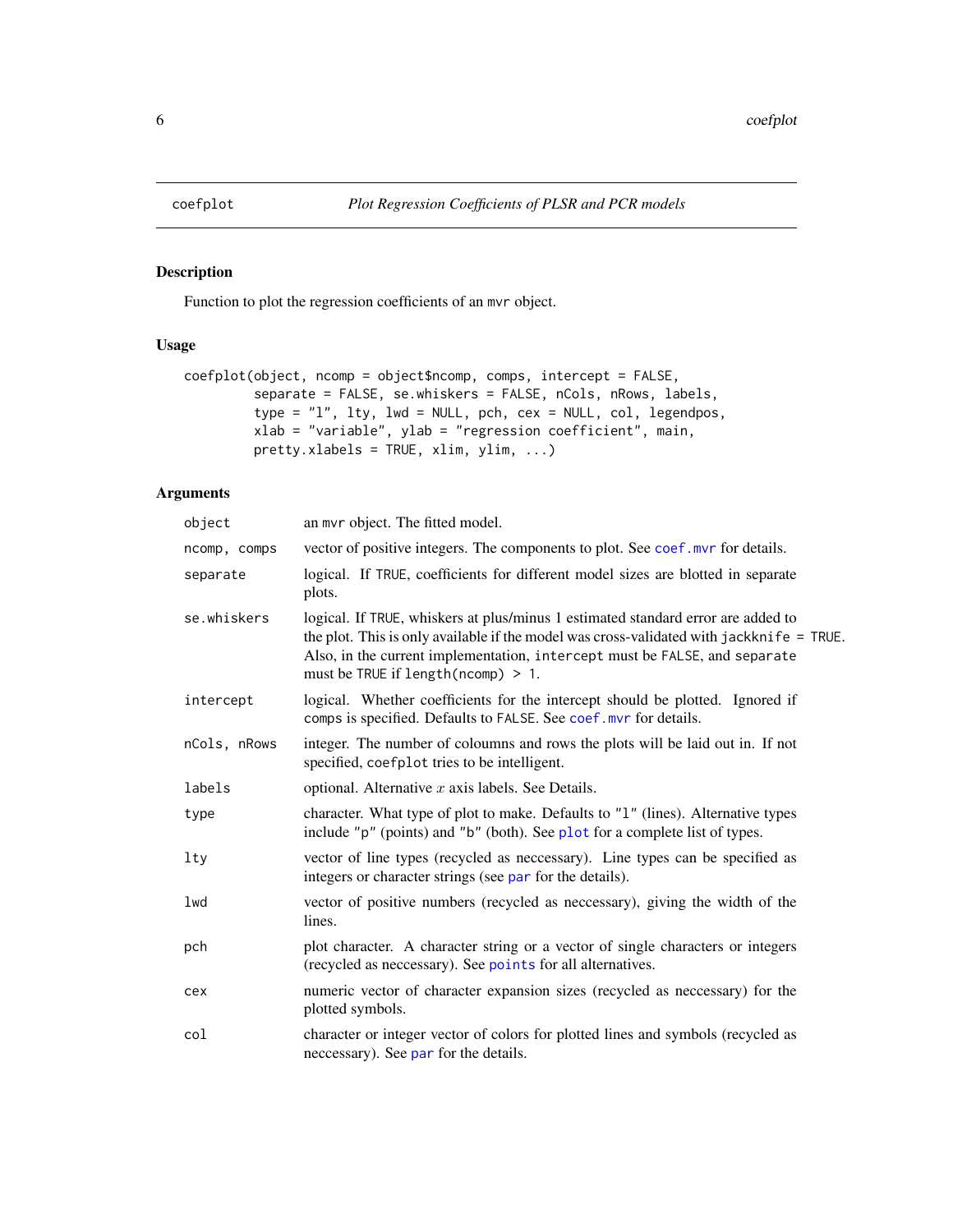<span id="page-5-1"></span><span id="page-5-0"></span>

# Description

Function to plot the regression coefficients of an mvr object.

# Usage

```
coefplot(object, ncomp = object$ncomp, comps, intercept = FALSE,
         separate = FALSE, se.whiskers = FALSE, nCols, nRows, labels,
         type = "l", lty, lwd = NULL, pch, cex = NULL, col, legendpos,
        xlab = "variable", ylab = "regression coefficient", main,
         pretty.xlabels = TRUE, xlim, ylim, ...)
```
# Arguments

| object       | an myr object. The fitted model.                                                                                                                                                                                                                                                                      |
|--------------|-------------------------------------------------------------------------------------------------------------------------------------------------------------------------------------------------------------------------------------------------------------------------------------------------------|
| ncomp, comps | vector of positive integers. The components to plot. See coef. myr for details.                                                                                                                                                                                                                       |
| separate     | logical. If TRUE, coefficients for different model sizes are blotted in separate<br>plots.                                                                                                                                                                                                            |
| se.whiskers  | logical. If TRUE, whiskers at plus/minus 1 estimated standard error are added to<br>the plot. This is only available if the model was cross-validated with jackknife = TRUE.<br>Also, in the current implementation, intercept must be FALSE, and separate<br>must be TRUE if length ( $ncomp$ ) > 1. |
| intercept    | logical. Whether coefficients for the intercept should be plotted. Ignored if<br>comps is specified. Defaults to FALSE. See coef. mvr for details.                                                                                                                                                    |
| nCols, nRows | integer. The number of coloumns and rows the plots will be laid out in. If not<br>specified, coefplot tries to be intelligent.                                                                                                                                                                        |
| labels       | optional. Alternative $x$ axis labels. See Details.                                                                                                                                                                                                                                                   |
| type         | character. What type of plot to make. Defaults to "1" (lines). Alternative types<br>include "p" (points) and "b" (both). See plot for a complete list of types.                                                                                                                                       |
| $1$ ty       | vector of line types (recycled as neccessary). Line types can be specified as<br>integers or character strings (see par for the details).                                                                                                                                                             |
| lwd          | vector of positive numbers (recycled as neccessary), giving the width of the<br>lines.                                                                                                                                                                                                                |
| pch          | plot character. A character string or a vector of single characters or integers<br>(recycled as neccessary). See points for all alternatives.                                                                                                                                                         |
| cex          | numeric vector of character expansion sizes (recycled as neccessary) for the<br>plotted symbols.                                                                                                                                                                                                      |
| col          | character or integer vector of colors for plotted lines and symbols (recycled as<br>neccessary). See par for the details.                                                                                                                                                                             |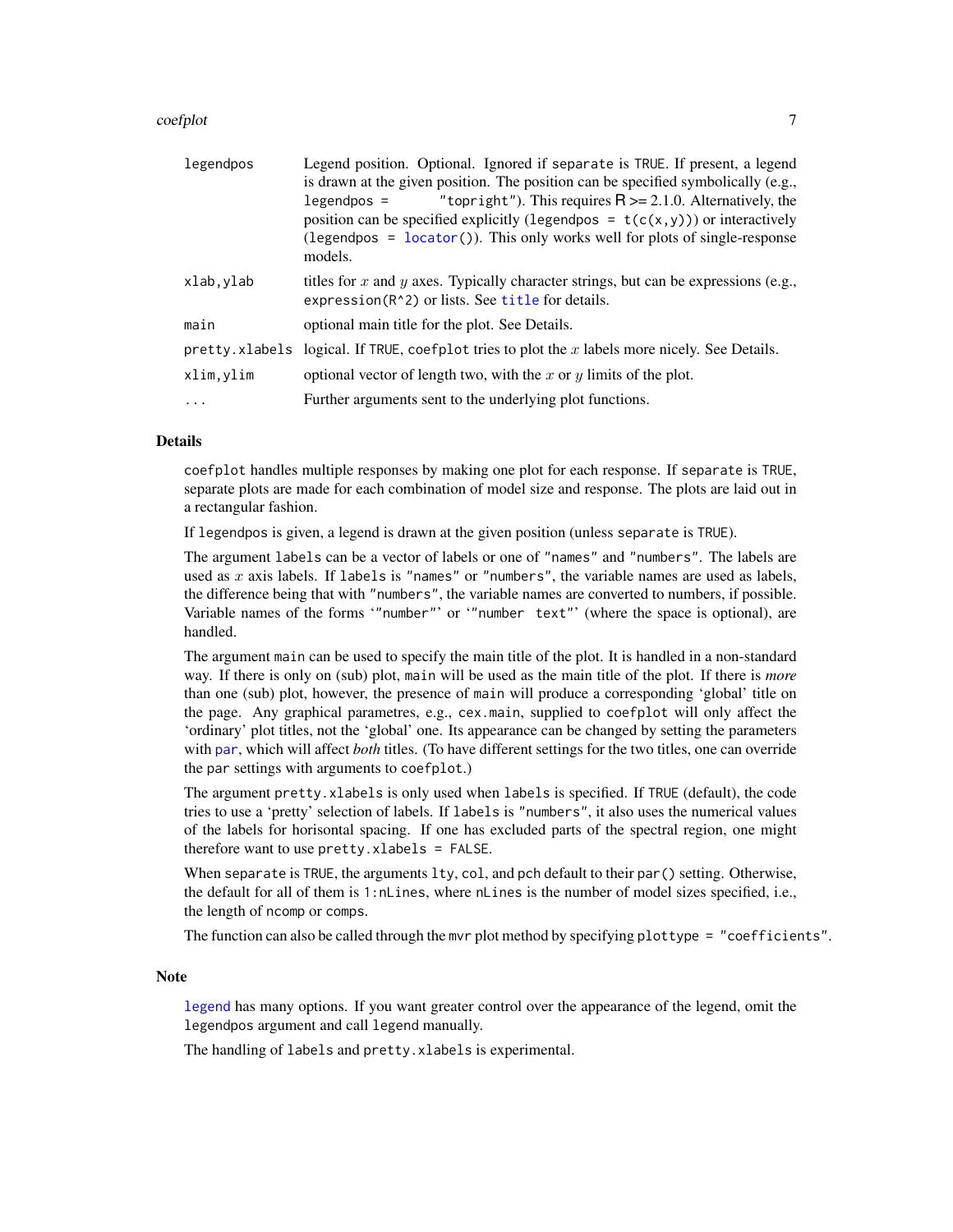#### <span id="page-6-0"></span>coefplot 7

| legendpos | Legend position. Optional. Ignored if separate is TRUE. If present, a legend<br>is drawn at the given position. The position can be specified symbolically (e.g.,<br>"topright"). This requires $R \ge 2.1.0$ . Alternatively, the<br>$legendpos =$<br>position can be specified explicitly (legendpos = $t(c(x, y))$ ) or interactively<br>(legendpos = $locator()$ ). This only works well for plots of single-response<br>models. |
|-----------|--------------------------------------------------------------------------------------------------------------------------------------------------------------------------------------------------------------------------------------------------------------------------------------------------------------------------------------------------------------------------------------------------------------------------------------|
| xlab,ylab | titles for x and y axes. Typically character strings, but can be expressions (e.g.,<br>expression(R <sup>^2</sup> ) or lists. See title for details.                                                                                                                                                                                                                                                                                 |
| main      | optional main title for the plot. See Details.                                                                                                                                                                                                                                                                                                                                                                                       |
|           | pretty. xlabels logical. If TRUE, coefplot tries to plot the $x$ labels more nicely. See Details.                                                                                                                                                                                                                                                                                                                                    |
| xlim.ylim | optional vector of length two, with the x or y limits of the plot.                                                                                                                                                                                                                                                                                                                                                                   |
| .         | Further arguments sent to the underlying plot functions.                                                                                                                                                                                                                                                                                                                                                                             |

# **Details**

coefplot handles multiple responses by making one plot for each response. If separate is TRUE, separate plots are made for each combination of model size and response. The plots are laid out in a rectangular fashion.

If legendpos is given, a legend is drawn at the given position (unless separate is TRUE).

The argument labels can be a vector of labels or one of "names" and "numbers". The labels are used as  $x$  axis labels. If labels is "names" or "numbers", the variable names are used as labels, the difference being that with "numbers", the variable names are converted to numbers, if possible. Variable names of the forms '"number"' or '"number text"' (where the space is optional), are handled.

The argument main can be used to specify the main title of the plot. It is handled in a non-standard way. If there is only on (sub) plot, main will be used as the main title of the plot. If there is *more* than one (sub) plot, however, the presence of main will produce a corresponding 'global' title on the page. Any graphical parametres, e.g., cex.main, supplied to coefplot will only affect the 'ordinary' plot titles, not the 'global' one. Its appearance can be changed by setting the parameters with [par](#page-0-0), which will affect *both* titles. (To have different settings for the two titles, one can override the par settings with arguments to coefplot.)

The argument pretty.xlabels is only used when labels is specified. If TRUE (default), the code tries to use a 'pretty' selection of labels. If labels is "numbers", it also uses the numerical values of the labels for horisontal spacing. If one has excluded parts of the spectral region, one might therefore want to use pretty.xlabels = FALSE.

When separate is TRUE, the arguments lty, col, and pch default to their par() setting. Otherwise, the default for all of them is 1:nLines, where nLines is the number of model sizes specified, i.e., the length of ncomp or comps.

The function can also be called through the mvr plot method by specifying plottype = "coefficients".

#### Note

[legend](#page-0-0) has many options. If you want greater control over the appearance of the legend, omit the legendpos argument and call legend manually.

The handling of labels and pretty.xlabels is experimental.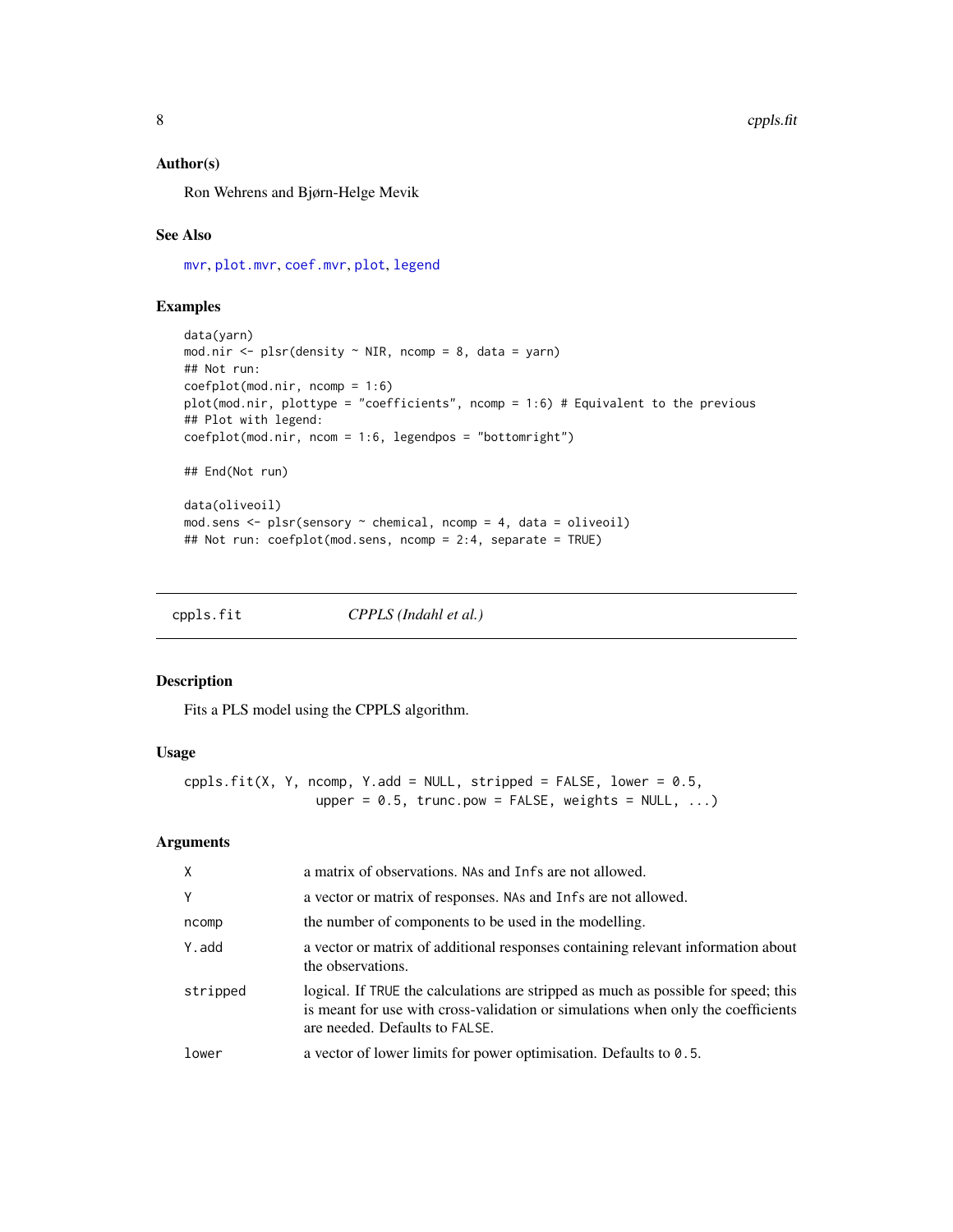#### <span id="page-7-0"></span>Author(s)

Ron Wehrens and Bjørn-Helge Mevik

# See Also

[mvr](#page-20-1), [plot.mvr](#page-31-1), [coef.mvr](#page-2-1), [plot](#page-0-0), [legend](#page-0-0)

# Examples

```
data(yarn)
mod.nir <- plsr(density \sim NIR, ncomp = 8, data = yarn)
## Not run:
coefplot(mod.nir, ncomp = 1:6)
plot(mod.nir, plottype = "coefficients", ncomp = 1:6) # Equivalent to the previous
## Plot with legend:
coefplot(mod.nir, ncom = 1:6, legendpos = "bottomright")
## End(Not run)
data(oliveoil)
mod.sens <- plsr(sensory ~ chemical, ncomp = 4, data = oliveoil)
## Not run: coefplot(mod.sens, ncomp = 2:4, separate = TRUE)
```
<span id="page-7-1"></span>cppls.fit *CPPLS (Indahl et al.)*

#### Description

Fits a PLS model using the CPPLS algorithm.

# Usage

```
cppls.fit(X, Y, ncomp, Y.add = NULL, stripped = FALSE, lower = 0.5,
                 upper = 0.5, trunc.pow = FALSE, weights = NULL, ...)
```
#### Arguments

| X        | a matrix of observations. NAs and Infs are not allowed.                                                                                                                                                  |
|----------|----------------------------------------------------------------------------------------------------------------------------------------------------------------------------------------------------------|
| Y        | a vector or matrix of responses. NAs and Infs are not allowed.                                                                                                                                           |
| ncomp    | the number of components to be used in the modelling.                                                                                                                                                    |
| Y.add    | a vector or matrix of additional responses containing relevant information about<br>the observations.                                                                                                    |
| stripped | logical. If TRUE the calculations are stripped as much as possible for speed; this<br>is meant for use with cross-validation or simulations when only the coefficients<br>are needed. Defaults to FALSE. |
| lower    | a vector of lower limits for power optimisation. Defaults to 0.5.                                                                                                                                        |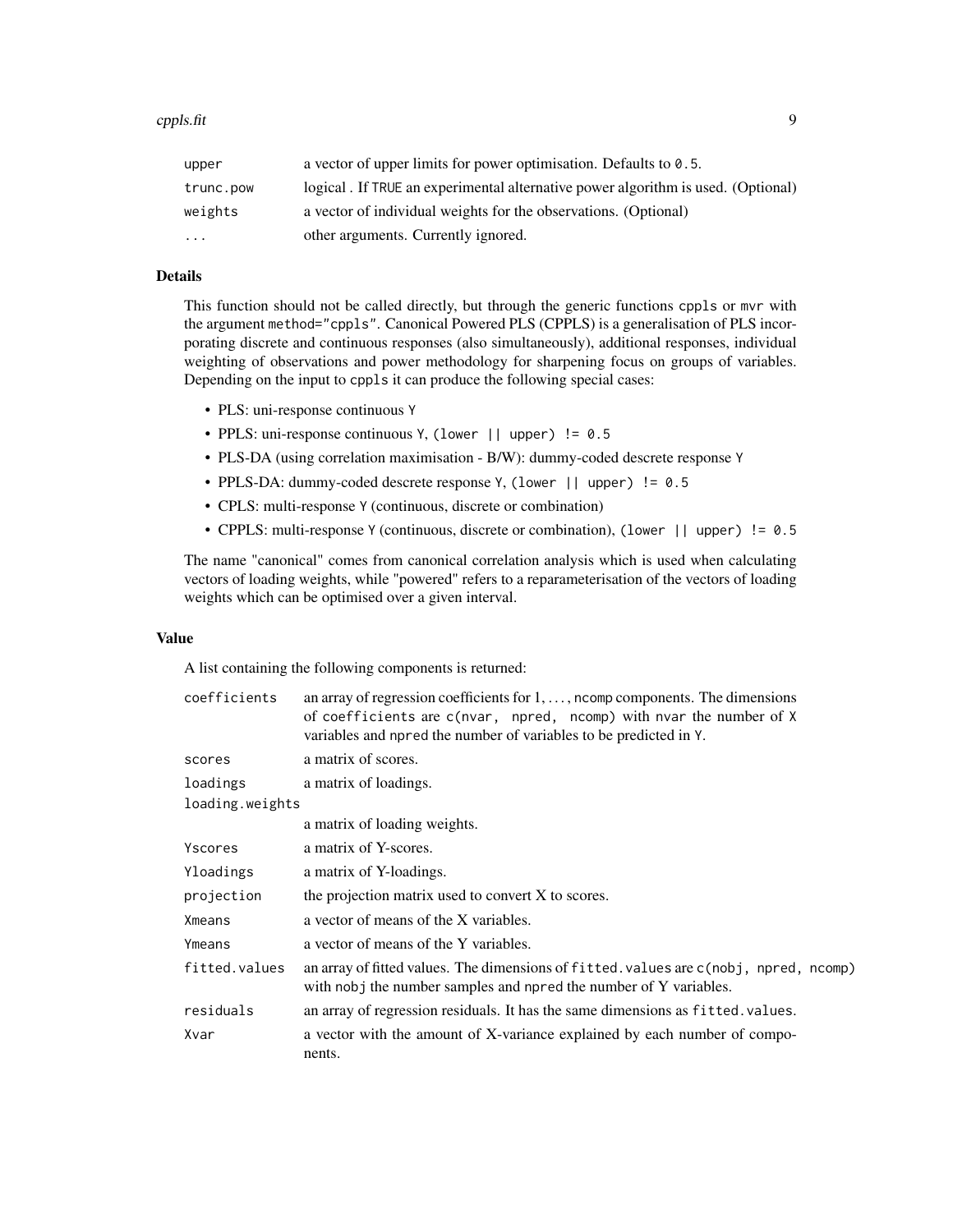| upper     | a vector of upper limits for power optimisation. Defaults to $0.5$ .             |
|-----------|----------------------------------------------------------------------------------|
| trunc.pow | logical. If TRUE an experimental alternative power algorithm is used. (Optional) |
| weights   | a vector of individual weights for the observations. (Optional)                  |
| $\ddotsc$ | other arguments. Currently ignored.                                              |

# Details

This function should not be called directly, but through the generic functions cppls or mvr with the argument method="cppls". Canonical Powered PLS (CPPLS) is a generalisation of PLS incorporating discrete and continuous responses (also simultaneously), additional responses, individual weighting of observations and power methodology for sharpening focus on groups of variables. Depending on the input to cppls it can produce the following special cases:

- PLS: uni-response continuous Y
- PPLS: uni-response continuous Y, (lower || upper) != 0.5
- PLS-DA (using correlation maximisation B/W): dummy-coded descrete response Y
- PPLS-DA: dummy-coded descrete response Y, (lower || upper) != 0.5
- CPLS: multi-response Y (continuous, discrete or combination)
- CPPLS: multi-response Y (continuous, discrete or combination), (lower || upper) != 0.5

The name "canonical" comes from canonical correlation analysis which is used when calculating vectors of loading weights, while "powered" refers to a reparameterisation of the vectors of loading weights which can be optimised over a given interval.

# Value

A list containing the following components is returned:

| coefficients    | an array of regression coefficients for $1, \ldots$ , north components. The dimensions<br>of coefficients are c(nvar, npred, ncomp) with nvar the number of X<br>variables and npred the number of variables to be predicted in Y. |
|-----------------|------------------------------------------------------------------------------------------------------------------------------------------------------------------------------------------------------------------------------------|
| scores          | a matrix of scores.                                                                                                                                                                                                                |
| loadings        | a matrix of loadings.                                                                                                                                                                                                              |
| loading.weights |                                                                                                                                                                                                                                    |
|                 | a matrix of loading weights.                                                                                                                                                                                                       |
| Yscores         | a matrix of Y-scores.                                                                                                                                                                                                              |
| Yloadings       | a matrix of Y-loadings.                                                                                                                                                                                                            |
| projection      | the projection matrix used to convert X to scores.                                                                                                                                                                                 |
| Xmeans          | a vector of means of the X variables.                                                                                                                                                                                              |
| Ymeans          | a vector of means of the Y variables.                                                                                                                                                                                              |
| fitted.values   | an array of fitted values. The dimensions of fitted values are c(nobj, npred, ncomp)<br>with nobj the number samples and npred the number of Y variables.                                                                          |
| residuals       | an array of regression residuals. It has the same dimensions as fitted, values.                                                                                                                                                    |
| Xvar            | a vector with the amount of X-variance explained by each number of compo-<br>nents.                                                                                                                                                |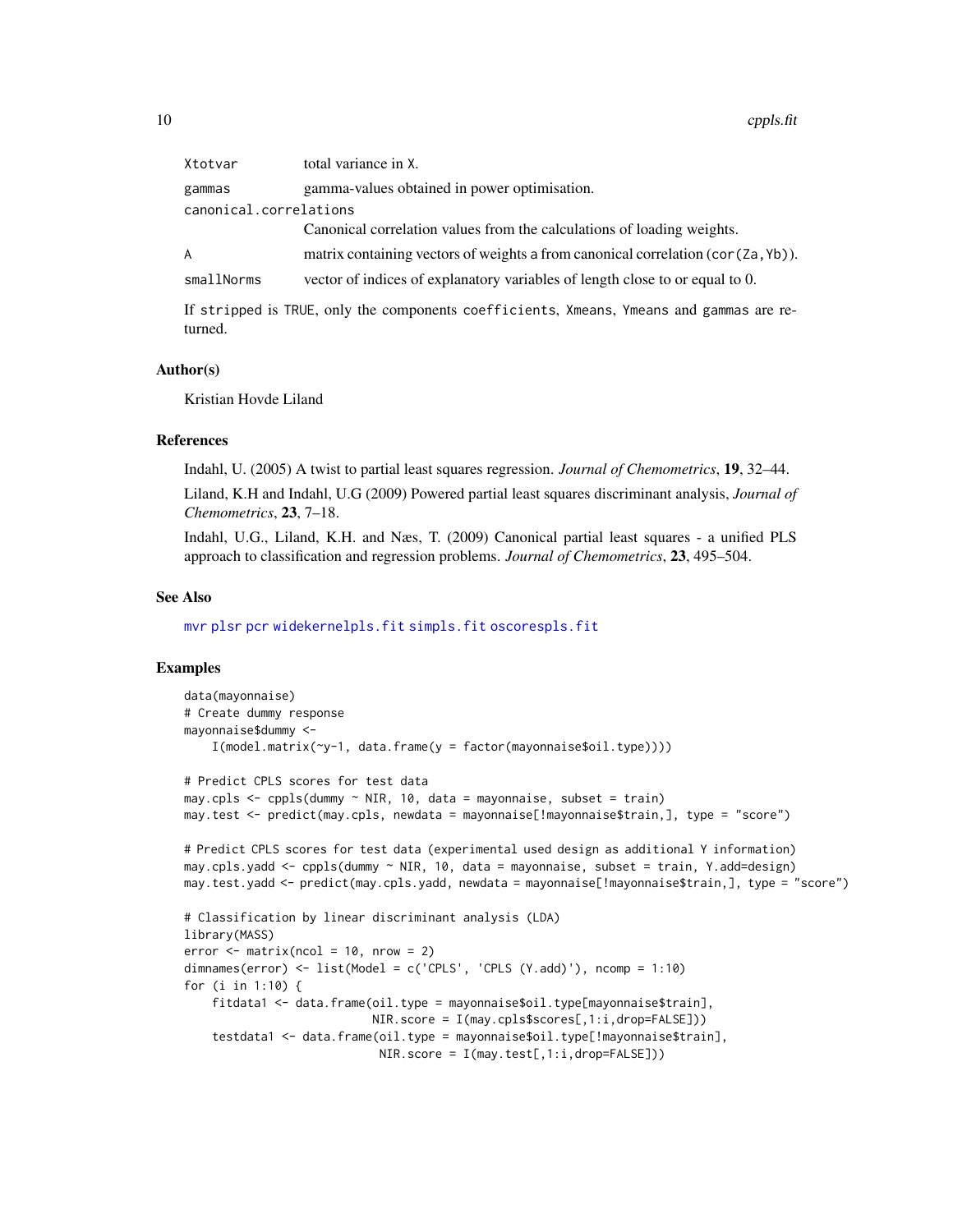<span id="page-9-0"></span>

| Xtotvar                | total variance in X.                                                              |  |
|------------------------|-----------------------------------------------------------------------------------|--|
| gammas                 | gamma-values obtained in power optimisation.                                      |  |
| canonical.correlations |                                                                                   |  |
|                        | Canonical correlation values from the calculations of loading weights.            |  |
| A                      | matrix containing vectors of weights a from canonical correlation (cor (Za, Yb)). |  |
| smallNorms             | vector of indices of explanatory variables of length close to or equal to 0.      |  |
|                        |                                                                                   |  |

If stripped is TRUE, only the components coefficients, Xmeans, Ymeans and gammas are returned.

#### Author(s)

Kristian Hovde Liland

#### References

Indahl, U. (2005) A twist to partial least squares regression. *Journal of Chemometrics*, 19, 32–44.

Liland, K.H and Indahl, U.G (2009) Powered partial least squares discriminant analysis, *Journal of Chemometrics*, 23, 7–18.

Indahl, U.G., Liland, K.H. and Næs, T. (2009) Canonical partial least squares - a unified PLS approach to classification and regression problems. *Journal of Chemometrics*, 23, 495–504.

#### See Also

[mvr](#page-20-1) [plsr](#page-20-2) [pcr](#page-20-2) [widekernelpls.fit](#page-51-1) [simpls.fit](#page-42-1) [oscorespls.fit](#page-29-1)

#### Examples

```
data(mayonnaise)
# Create dummy response
mayonnaise$dummy <-
    I(model.matrix(~y-1, data.frame(y = factor(mayonnaise$oil.type))))
# Predict CPLS scores for test data
may.cpls <- cppls(dummy ~ NIR, 10, data = mayonnaise, subset = train)
may.test <- predict(may.cpls, newdata = mayonnaise[!mayonnaise$train,], type = "score")
# Predict CPLS scores for test data (experimental used design as additional Y information)
may.cpls.yadd <- cppls(dummy ~ NIR, 10, data = mayonnaise, subset = train, Y.add=design)
may.test.yadd <- predict(may.cpls.yadd, newdata = mayonnaise[!mayonnaise$train,], type = "score")
# Classification by linear discriminant analysis (LDA)
library(MASS)
error < - matrix(ncol = 10, nrow = 2)
dimnames(error) <- list(Model = c('CPLS', 'CPLS (Y.add)'), ncomp = 1:10)
for (i in 1:10) {
    fitdata1 <- data.frame(oil.type = mayonnaise$oil.type[mayonnaise$train],
                           NIR.score = I(may.cpls$scores[,1:i,drop=FALSE]))
    testdata1 <- data.frame(oil.type = mayonnaise$oil.type[!mayonnaise$train],
                            NIR.score = I(may.test[,1:i,drop=FALSE]))
```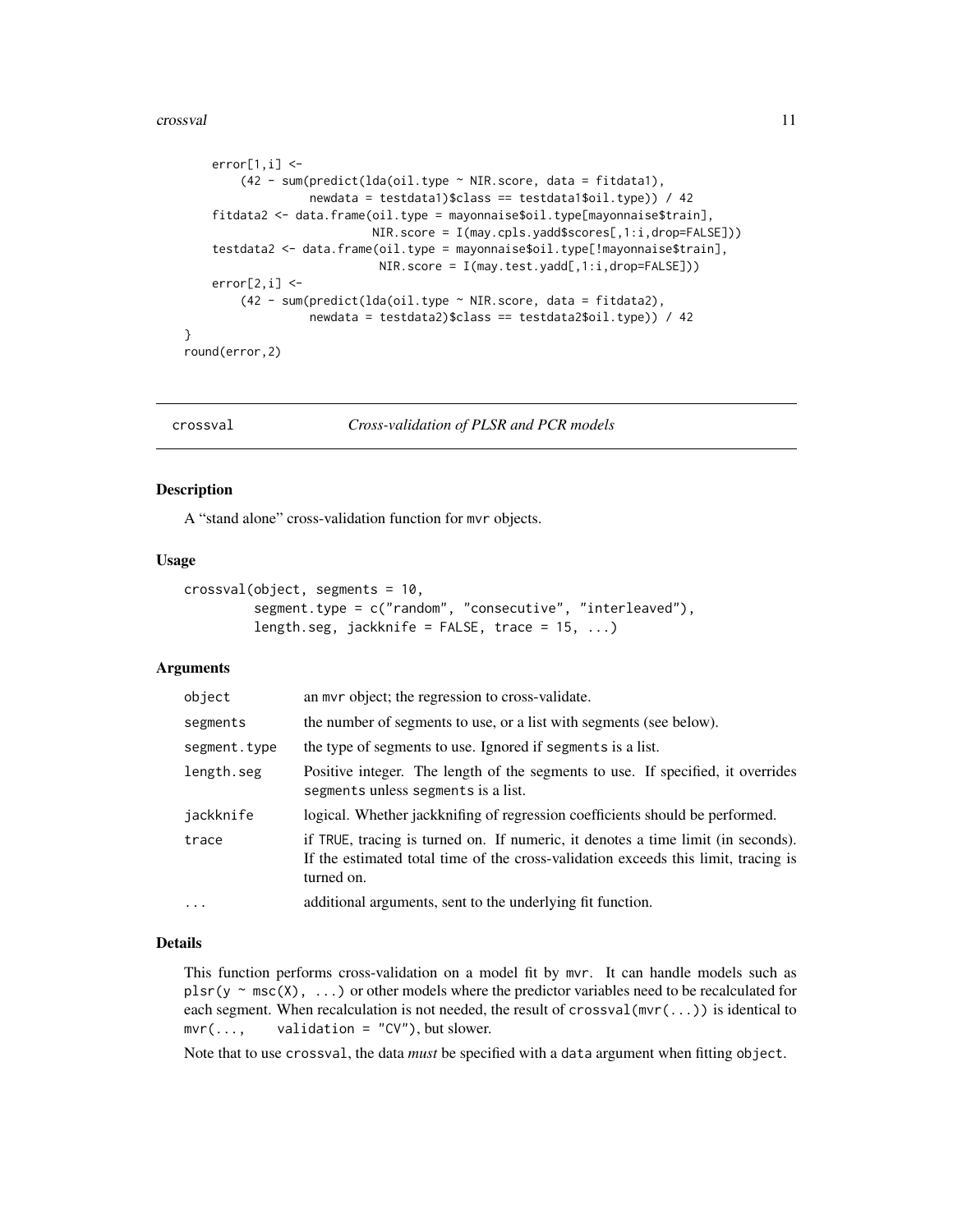#### <span id="page-10-0"></span>crossval and the crossval contract of the crossval contract of the crossval contract of the crossval contract of the crossval contract of the crossval contract of the crossval contract of the crossval contract of the cross

```
error[1,i] < -(42 - sum(predict(lda(oil.type ~ NIR.score, data = fitdata1),
                  newdata = testdata1)$class == testdata1$oil.type)) / 42
    fitdata2 <- data.frame(oil.type = mayonnaise$oil.type[mayonnaise$train],
                           NIR.score = I(may.cpls.yadd$scores[,1:i,drop=FALSE]))
    testdata2 <- data.frame(oil.type = mayonnaise$oil.type[!mayonnaise$train],
                            NIR.score = I(may.test.yadd[,1:i,drop=FALSE]))
    error[2,i] < -(42 - sum(predict(lda(oil.type ~ NIR.score, data = fitdata2),
                  newdata = testdata2)$class == testdata2$oil.type)) / 42
round(error,2)
```
<span id="page-10-1"></span>

}

crossval *Cross-validation of PLSR and PCR models*

#### **Description**

A "stand alone" cross-validation function for mvr objects.

#### Usage

```
crossval(object, segments = 10,
         segment.type = c("random", "consecutive", "interleaved"),
         length.seg, jackknife = FALSE, trace = 15, ...)
```
#### Arguments

| object       | an mvr object; the regression to cross-validate.                                                                                                                                     |
|--------------|--------------------------------------------------------------------------------------------------------------------------------------------------------------------------------------|
| segments     | the number of segments to use, or a list with segments (see below).                                                                                                                  |
| segment.type | the type of segments to use. Ignored if segments is a list.                                                                                                                          |
| length.seg   | Positive integer. The length of the segments to use. If specified, it overrides<br>segments unless segments is a list.                                                               |
| jackknife    | logical. Whether jackknifing of regression coefficients should be performed.                                                                                                         |
| trace        | if TRUE, tracing is turned on. If numeric, it denotes a time limit (in seconds).<br>If the estimated total time of the cross-validation exceeds this limit, tracing is<br>turned on. |
| $\cdots$     | additional arguments, sent to the underlying fit function.                                                                                                                           |

#### Details

This function performs cross-validation on a model fit by mvr. It can handle models such as plsr(y  $\sim$  msc(X), ...) or other models where the predictor variables need to be recalculated for each segment. When recalculation is not needed, the result of crossval( $mvr(...)$ ) is identical to  $mvr(...,$  validation = "CV"), but slower.

Note that to use crossval, the data *must* be specified with a data argument when fitting object.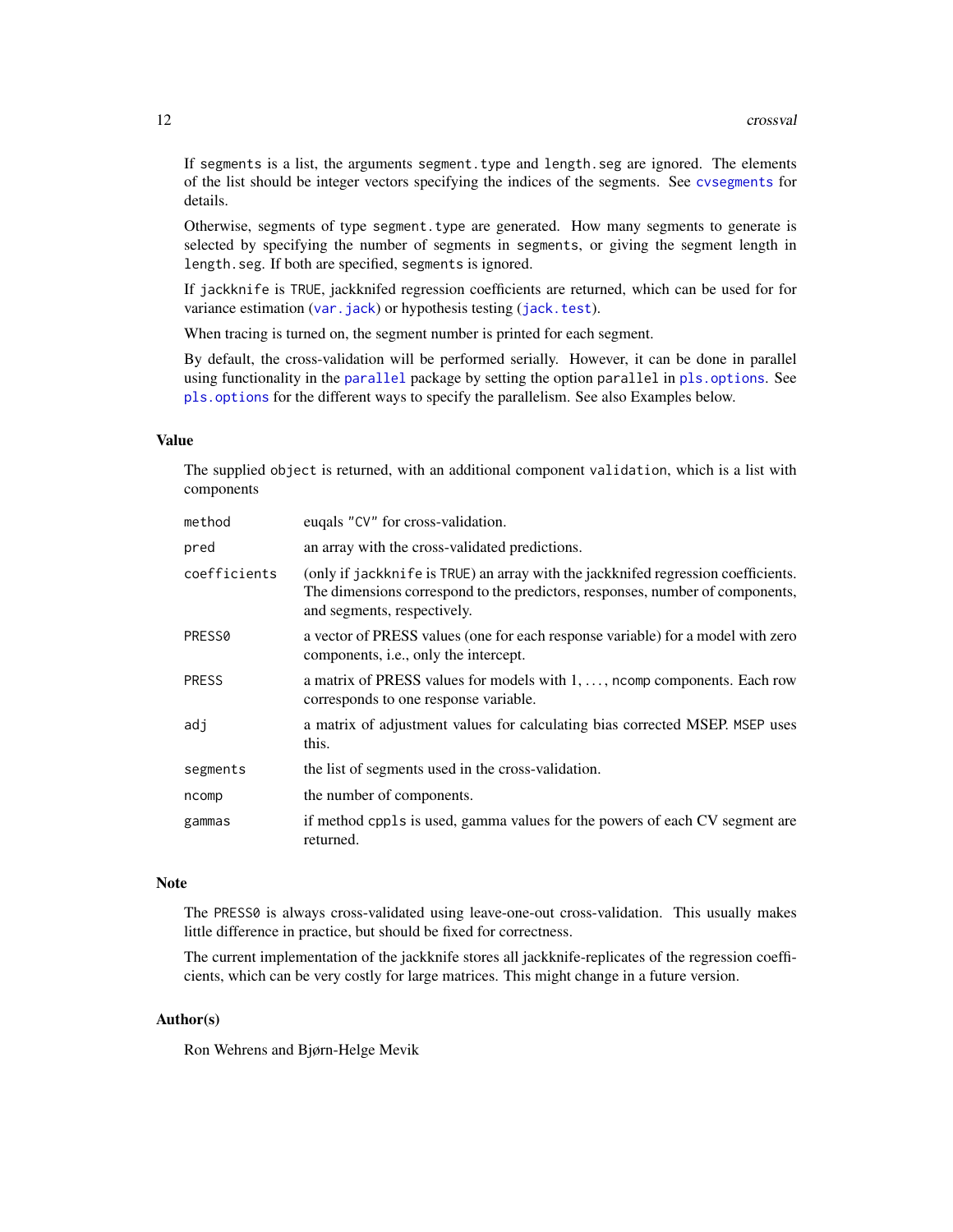<span id="page-11-0"></span>If segments is a list, the arguments segment.type and length.seg are ignored. The elements of the list should be integer vectors specifying the indices of the segments. See [cvsegments](#page-13-1) for details.

Otherwise, segments of type segment.type are generated. How many segments to generate is selected by specifying the number of segments in segments, or giving the segment length in length.seg. If both are specified, segments is ignored.

If jackknife is TRUE, jackknifed regression coefficients are returned, which can be used for for variance estimation ([var.jack](#page-50-1)) or hypothesis testing ([jack.test](#page-15-1)).

When tracing is turned on, the segment number is printed for each segment.

By default, the cross-validation will be performed serially. However, it can be done in parallel using functionality in the [parallel](#page-0-0) package by setting the option parallel in [pls.options](#page-32-1). See [pls.options](#page-32-1) for the different ways to specify the parallelism. See also Examples below.

# Value

The supplied object is returned, with an additional component validation, which is a list with components

| method       | eugals "CV" for cross-validation.                                                                                                                                                                 |
|--------------|---------------------------------------------------------------------------------------------------------------------------------------------------------------------------------------------------|
| pred         | an array with the cross-validated predictions.                                                                                                                                                    |
| coefficients | (only if jackknife is TRUE) an array with the jackknifed regression coefficients.<br>The dimensions correspond to the predictors, responses, number of components,<br>and segments, respectively. |
| PRESS0       | a vector of PRESS values (one for each response variable) for a model with zero<br>components, <i>i.e.</i> , only the intercept.                                                                  |
| PRESS        | a matrix of PRESS values for models with 1, , norm components. Each row<br>corresponds to one response variable.                                                                                  |
| adi          | a matrix of adjustment values for calculating bias corrected MSEP. MSEP uses<br>this.                                                                                                             |
| segments     | the list of segments used in the cross-validation.                                                                                                                                                |
| ncomp        | the number of components.                                                                                                                                                                         |
| gammas       | if method cppls is used, gamma values for the powers of each CV segment are<br>returned.                                                                                                          |

#### **Note**

The PRESS0 is always cross-validated using leave-one-out cross-validation. This usually makes little difference in practice, but should be fixed for correctness.

The current implementation of the jackknife stores all jackknife-replicates of the regression coefficients, which can be very costly for large matrices. This might change in a future version.

#### Author(s)

Ron Wehrens and Bjørn-Helge Mevik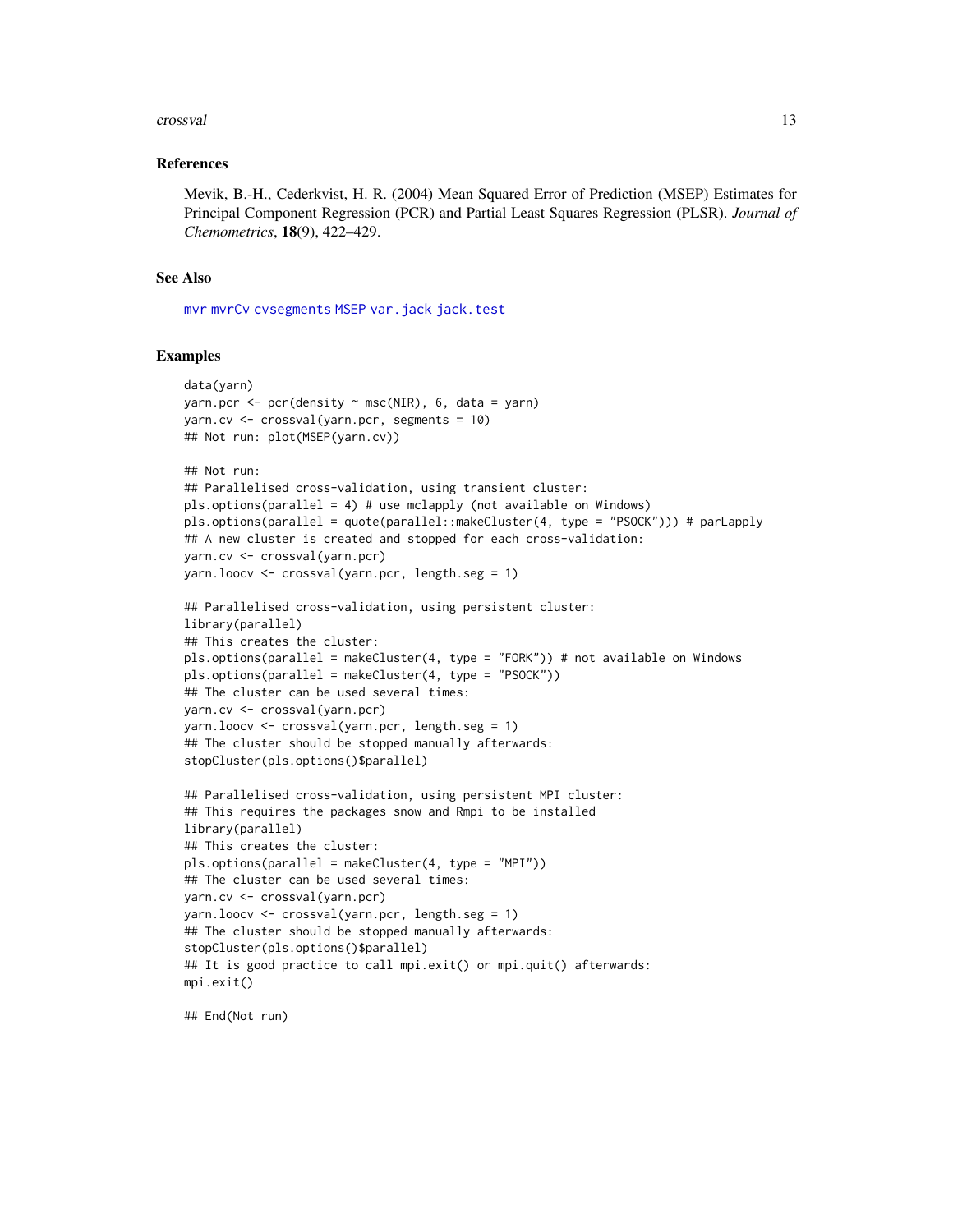#### <span id="page-12-0"></span>crossval and the crossval contract of the crossval contract of the crossval contract of the crossval contract of the crossval contract of the crossval contract of the crossval contract of the crossval contract of the cross

#### References

Mevik, B.-H., Cederkvist, H. R. (2004) Mean Squared Error of Prediction (MSEP) Estimates for Principal Component Regression (PCR) and Partial Least Squares Regression (PLSR). *Journal of Chemometrics*, 18(9), 422–429.

#### See Also

[mvr](#page-20-1) [mvrCv](#page-23-1) [cvsegments](#page-13-1) [MSEP](#page-26-1) [var.jack](#page-50-1) [jack.test](#page-15-1)

#### Examples

```
data(yarn)
yarn.pcr <- pcr(density \sim msc(NIR), 6, data = yarn)
yarn.cv <- crossval(yarn.pcr, segments = 10)
## Not run: plot(MSEP(yarn.cv))
## Not run:
## Parallelised cross-validation, using transient cluster:
pls.options(parallel = 4) # use mclapply (not available on Windows)
pls.options(parallel = quote(parallel::makeCluster(4, type = "PSOCK"))) # parLapply
## A new cluster is created and stopped for each cross-validation:
yarn.cv <- crossval(yarn.pcr)
yarn.loocv <- crossval(yarn.pcr, length.seg = 1)
## Parallelised cross-validation, using persistent cluster:
library(parallel)
## This creates the cluster:
pls.options(parallel = makeCluster(4, type = "FORK")) # not available on Windows
pls.options(parallel = makeCluster(4, type = "PSOCK"))
## The cluster can be used several times:
yarn.cv <- crossval(yarn.pcr)
yarn.loocv <- crossval(yarn.pcr, length.seg = 1)
## The cluster should be stopped manually afterwards:
stopCluster(pls.options()$parallel)
## Parallelised cross-validation, using persistent MPI cluster:
## This requires the packages snow and Rmpi to be installed
library(parallel)
## This creates the cluster:
pls.options(parallel = makeCluster(4, type = "MPI"))
## The cluster can be used several times:
yarn.cv <- crossval(yarn.pcr)
yarn.loocv <- crossval(yarn.pcr, length.seg = 1)
## The cluster should be stopped manually afterwards:
stopCluster(pls.options()$parallel)
## It is good practice to call mpi.exit() or mpi.quit() afterwards:
mpi.exit()
```
## End(Not run)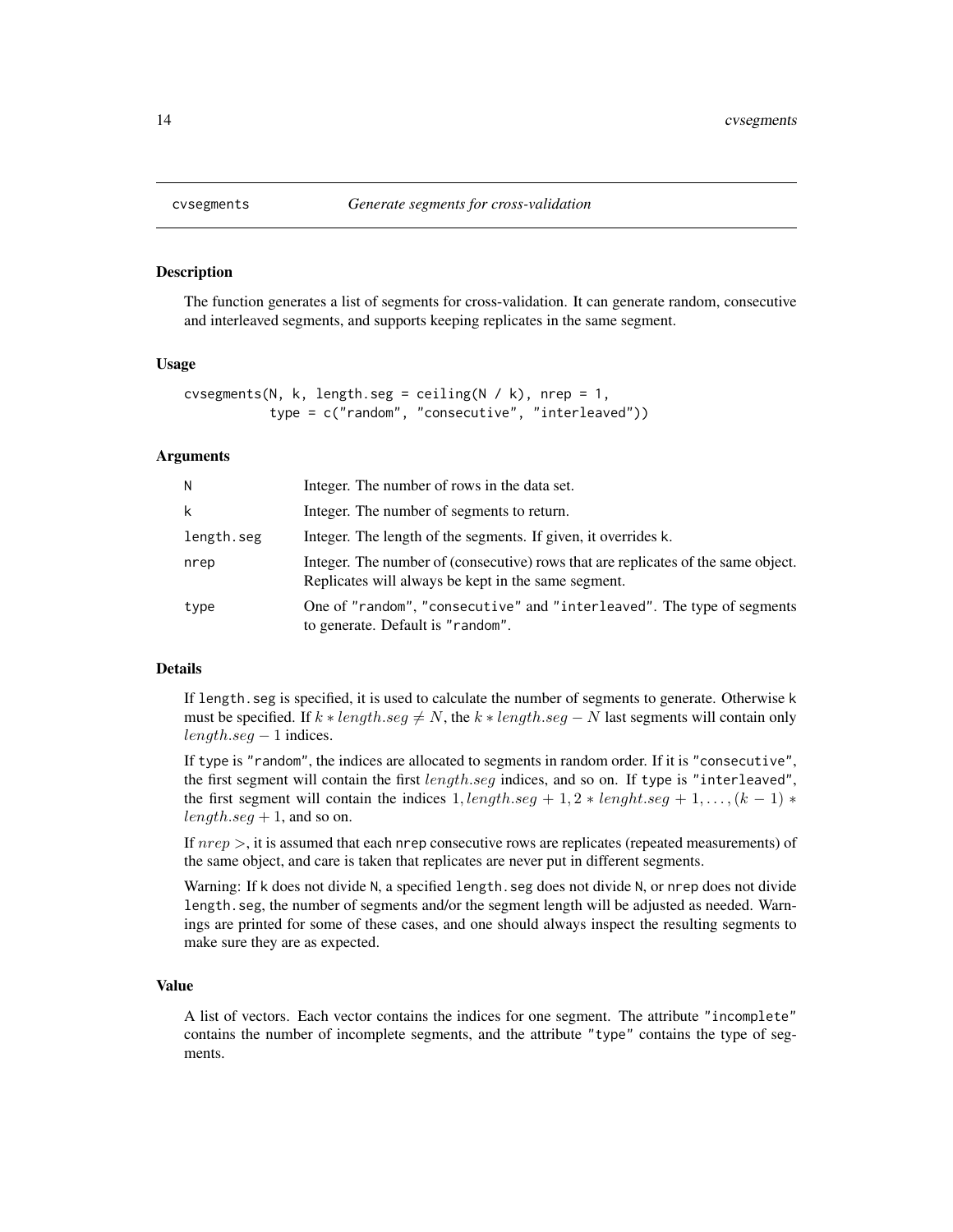# Description

The function generates a list of segments for cross-validation. It can generate random, consecutive and interleaved segments, and supports keeping replicates in the same segment.

#### Usage

```
cvsegments(N, k, length.seg = ceiling(N / k), nrep = 1,
           type = c("random", "consecutive", "interleaved"))
```
#### Arguments

| N          | Integer. The number of rows in the data set.                                                                                             |
|------------|------------------------------------------------------------------------------------------------------------------------------------------|
| k          | Integer. The number of segments to return.                                                                                               |
| length.seg | Integer. The length of the segments. If given, it overrides k.                                                                           |
| nrep       | Integer. The number of (consecutive) rows that are replicates of the same object.<br>Replicates will always be kept in the same segment. |
| type       | One of "random", "consecutive" and "interleaved". The type of segments<br>to generate. Default is "random".                              |

#### Details

If length. seg is specified, it is used to calculate the number of segments to generate. Otherwise k must be specified. If  $k * length \text{.} seg \neq N$ , the  $k * length \text{.} seg - N$  last segments will contain only  $length. seg - 1$  indices.

If type is "random", the indices are allocated to segments in random order. If it is "consecutive", the first segment will contain the first *length.seq* indices, and so on. If type is "interleaved", the first segment will contain the indices  $1$ , length.seg + 1, 2 ∗ lenght.seg + 1, ...,  $(k-1)$  \*  $length.$ seg + 1, and so on.

If  $nrep >$ , it is assumed that each nrep consecutive rows are replicates (repeated measurements) of the same object, and care is taken that replicates are never put in different segments.

Warning: If k does not divide N, a specified length.seg does not divide N, or nrep does not divide length.seg, the number of segments and/or the segment length will be adjusted as needed. Warnings are printed for some of these cases, and one should always inspect the resulting segments to make sure they are as expected.

# Value

A list of vectors. Each vector contains the indices for one segment. The attribute "incomplete" contains the number of incomplete segments, and the attribute "type" contains the type of segments.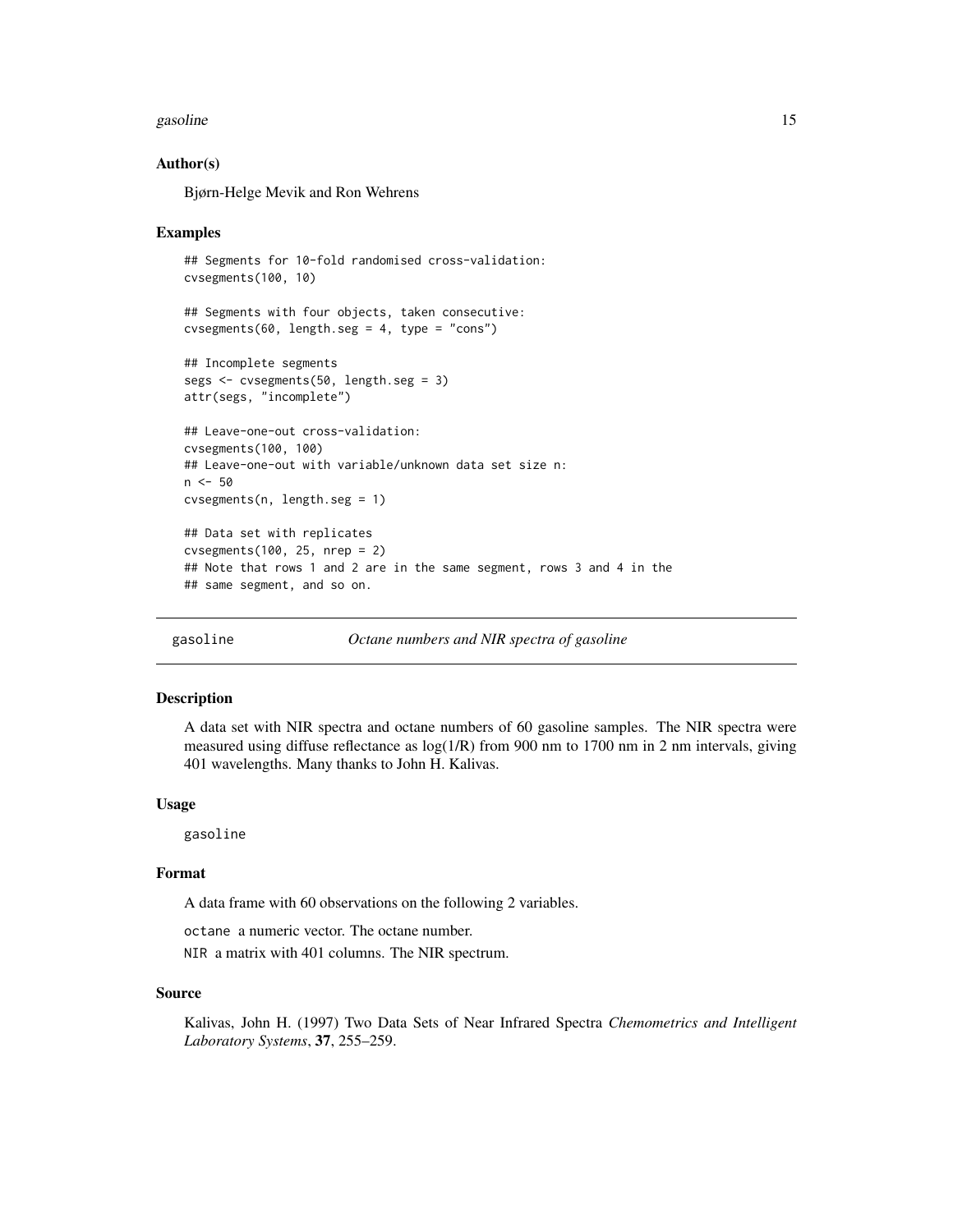#### <span id="page-14-0"></span>gasoline that the set of the set of the set of the set of the set of the set of the set of the set of the set of the set of the set of the set of the set of the set of the set of the set of the set of the set of the set of

#### Author(s)

Bjørn-Helge Mevik and Ron Wehrens

#### Examples

```
## Segments for 10-fold randomised cross-validation:
cvsegments(100, 10)
## Segments with four objects, taken consecutive:
cvsegments(60, length.seg = 4, type = "cons")
## Incomplete segments
segs <- cvsegments(50, length.seg = 3)
attr(segs, "incomplete")
## Leave-one-out cross-validation:
cvsegments(100, 100)
## Leave-one-out with variable/unknown data set size n:
n <- 50
cvsegments(n, length.seg = 1)
## Data set with replicates
cvsegments(100, 25, nrep = 2)
## Note that rows 1 and 2 are in the same segment, rows 3 and 4 in the
## same segment, and so on.
```
gasoline *Octane numbers and NIR spectra of gasoline*

#### Description

A data set with NIR spectra and octane numbers of 60 gasoline samples. The NIR spectra were measured using diffuse reflectance as log(1/R) from 900 nm to 1700 nm in 2 nm intervals, giving 401 wavelengths. Many thanks to John H. Kalivas.

#### Usage

gasoline

#### Format

A data frame with 60 observations on the following 2 variables.

octane a numeric vector. The octane number.

NIR a matrix with 401 columns. The NIR spectrum.

#### Source

Kalivas, John H. (1997) Two Data Sets of Near Infrared Spectra *Chemometrics and Intelligent Laboratory Systems*, 37, 255–259.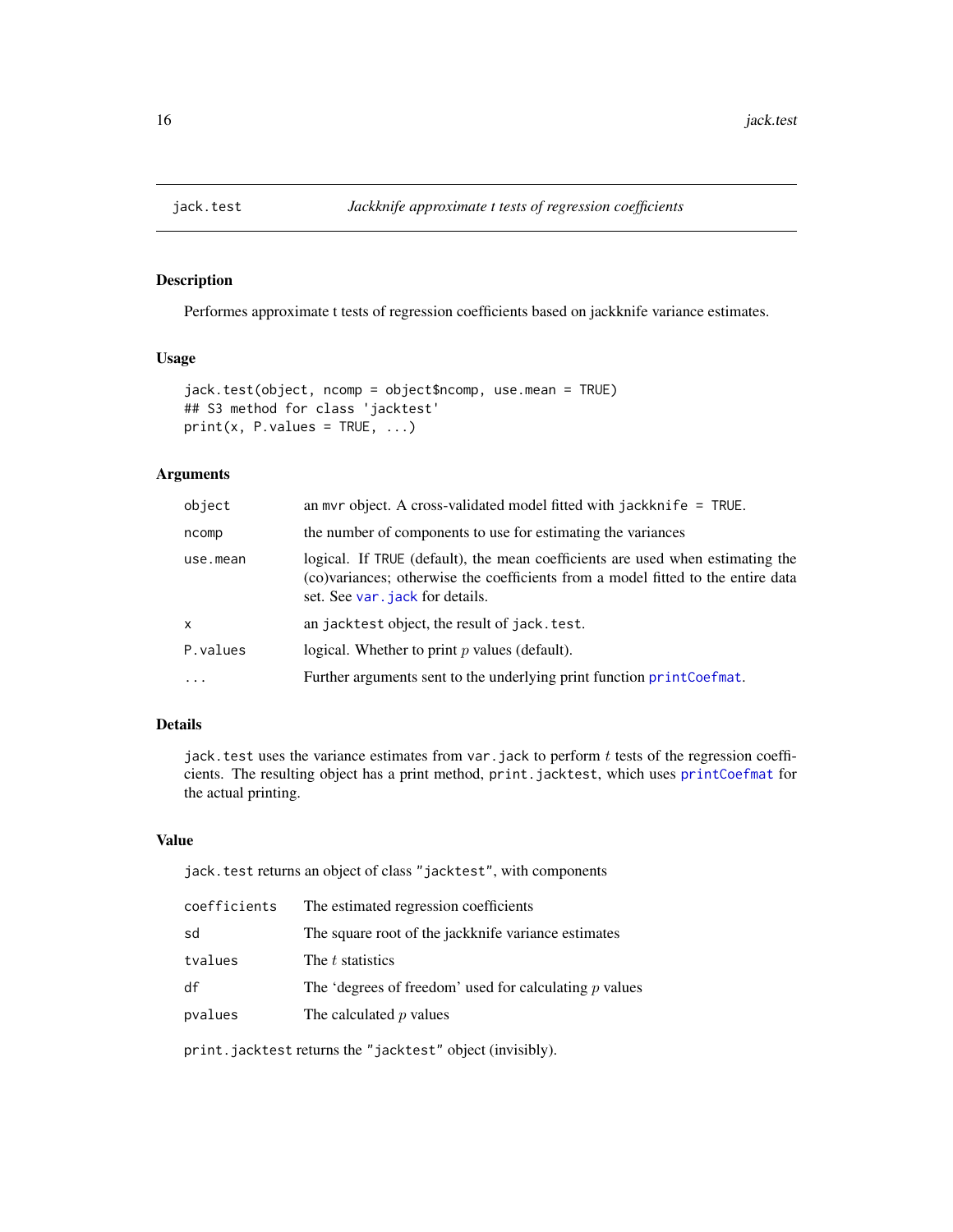<span id="page-15-1"></span><span id="page-15-0"></span>

# Description

Performes approximate t tests of regression coefficients based on jackknife variance estimates.

# Usage

```
jack.test(object, ncomp = object$ncomp, use.mean = TRUE)
## S3 method for class 'jacktest'
print(x, P.values = TRUE, ...)
```
# Arguments

| object       | an myr object. A cross-validated model fitted with jackknife $=$ TRUE.                                                                                                                                |
|--------------|-------------------------------------------------------------------------------------------------------------------------------------------------------------------------------------------------------|
| ncomp        | the number of components to use for estimating the variances                                                                                                                                          |
| use.mean     | logical. If TRUE (default), the mean coefficients are used when estimating the<br>(co)variances; otherwise the coefficients from a model fitted to the entire data<br>set. See var, jack for details. |
| $\mathsf{x}$ | an jacktest object, the result of jack. test.                                                                                                                                                         |
| P.values     | logical. Whether to print $p$ values (default).                                                                                                                                                       |
| $\cdot$      | Further arguments sent to the underlying print function print Coefmat.                                                                                                                                |

# Details

jack. test uses the variance estimates from var. jack to perform  $t$  tests of the regression coefficients. The resulting object has a print method, print.jacktest, which uses [printCoefmat](#page-0-0) for the actual printing.

# Value

jack.test returns an object of class "jacktest", with components

| coefficients | The estimated regression coefficients                    |
|--------------|----------------------------------------------------------|
| sd           | The square root of the jackknife variance estimates      |
| tvalues      | The t statistics                                         |
| df           | The 'degrees of freedom' used for calculating $p$ values |
| pvalues      | The calculated $p$ values                                |
|              |                                                          |

print.jacktest returns the "jacktest" object (invisibly).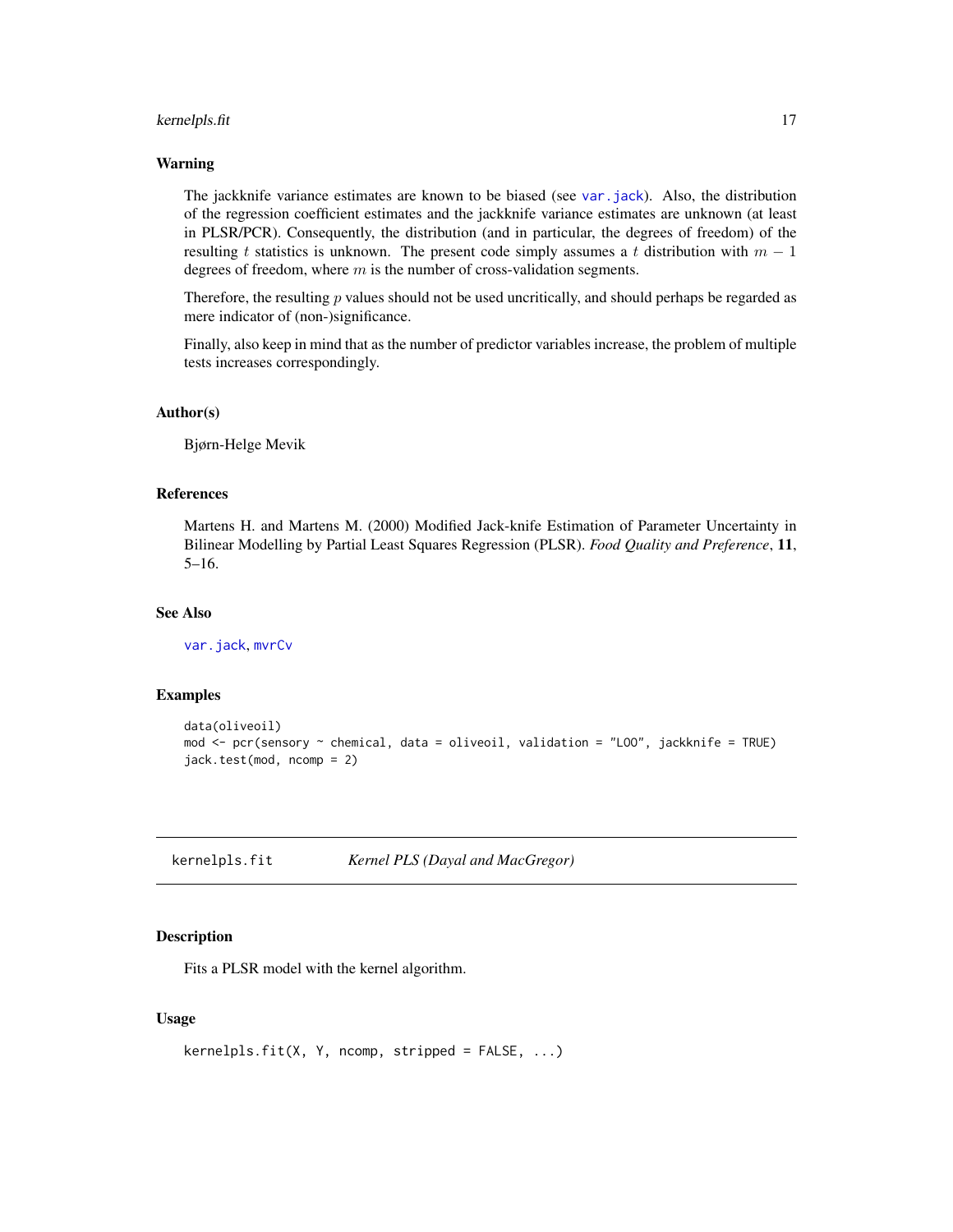# <span id="page-16-0"></span>kernelpls.fit 17

#### Warning

The jackknife variance estimates are known to be biased (see [var.jack](#page-50-1)). Also, the distribution of the regression coefficient estimates and the jackknife variance estimates are unknown (at least in PLSR/PCR). Consequently, the distribution (and in particular, the degrees of freedom) of the resulting t statistics is unknown. The present code simply assumes a t distribution with  $m - 1$ degrees of freedom, where  $m$  is the number of cross-validation segments.

Therefore, the resulting  $p$  values should not be used uncritically, and should perhaps be regarded as mere indicator of (non-)significance.

Finally, also keep in mind that as the number of predictor variables increase, the problem of multiple tests increases correspondingly.

#### Author(s)

Bjørn-Helge Mevik

#### References

Martens H. and Martens M. (2000) Modified Jack-knife Estimation of Parameter Uncertainty in Bilinear Modelling by Partial Least Squares Regression (PLSR). *Food Quality and Preference*, 11, 5–16.

### See Also

[var.jack](#page-50-1), [mvrCv](#page-23-1)

#### Examples

```
data(oliveoil)
mod <- pcr(sensory ~ chemical, data = oliveoil, validation = "LOO", jackknife = TRUE)
jack.test(mod, ncomp = 2)
```
<span id="page-16-1"></span>kernelpls.fit *Kernel PLS (Dayal and MacGregor)*

#### Description

Fits a PLSR model with the kernel algorithm.

### Usage

```
kernelpls.fit(X, Y, ncomp, stripped = FALSE, ...)
```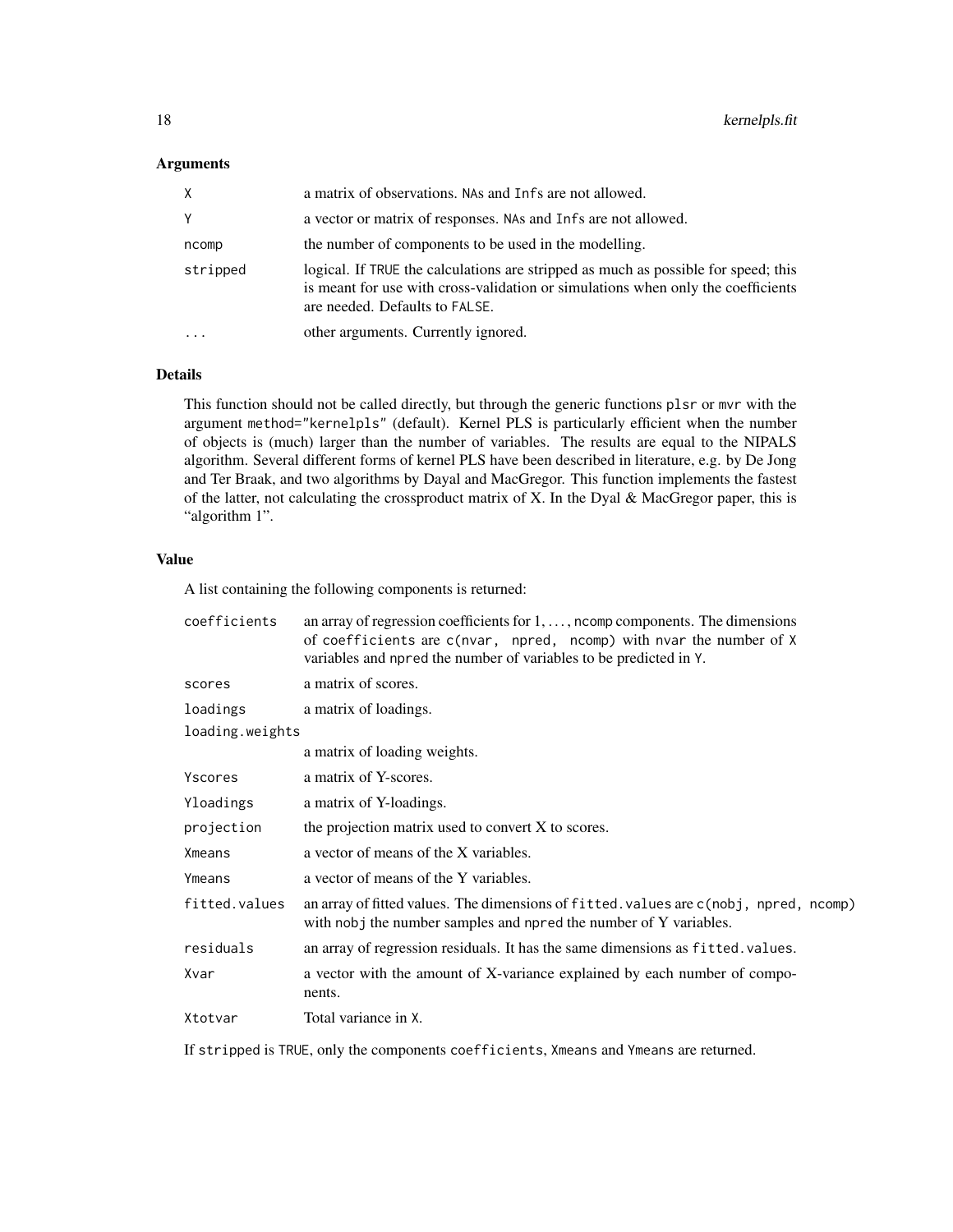# Arguments

| X         | a matrix of observations. NAs and Infs are not allowed.                                                                                                                                                  |
|-----------|----------------------------------------------------------------------------------------------------------------------------------------------------------------------------------------------------------|
| Υ         | a vector or matrix of responses. NAs and Infs are not allowed.                                                                                                                                           |
| ncomp     | the number of components to be used in the modelling.                                                                                                                                                    |
| stripped  | logical. If TRUE the calculations are stripped as much as possible for speed; this<br>is meant for use with cross-validation or simulations when only the coefficients<br>are needed. Defaults to FALSE. |
| $\ddotsc$ | other arguments. Currently ignored.                                                                                                                                                                      |

# Details

This function should not be called directly, but through the generic functions plsr or mvr with the argument method="kernelpls" (default). Kernel PLS is particularly efficient when the number of objects is (much) larger than the number of variables. The results are equal to the NIPALS algorithm. Several different forms of kernel PLS have been described in literature, e.g. by De Jong and Ter Braak, and two algorithms by Dayal and MacGregor. This function implements the fastest of the latter, not calculating the crossproduct matrix of X. In the Dyal & MacGregor paper, this is "algorithm 1".

# Value

A list containing the following components is returned:

| coefficients    | an array of regression coefficients for $1, \ldots$ , north components. The dimensions<br>of coefficients are c(nvar, npred, ncomp) with nvar the number of X<br>variables and npred the number of variables to be predicted in Y. |
|-----------------|------------------------------------------------------------------------------------------------------------------------------------------------------------------------------------------------------------------------------------|
| scores          | a matrix of scores.                                                                                                                                                                                                                |
| loadings        | a matrix of loadings.                                                                                                                                                                                                              |
| loading.weights |                                                                                                                                                                                                                                    |
|                 | a matrix of loading weights.                                                                                                                                                                                                       |
| Yscores         | a matrix of Y-scores.                                                                                                                                                                                                              |
| Yloadings       | a matrix of Y-loadings.                                                                                                                                                                                                            |
| projection      | the projection matrix used to convert X to scores.                                                                                                                                                                                 |
| Xmeans          | a vector of means of the X variables.                                                                                                                                                                                              |
| Ymeans          | a vector of means of the Y variables.                                                                                                                                                                                              |
| fitted.values   | an array of fitted values. The dimensions of fitted values are c(nobj, npred, ncomp)<br>with nobj the number samples and npred the number of Y variables.                                                                          |
| residuals       | an array of regression residuals. It has the same dimensions as fitted. values.                                                                                                                                                    |
| Xvar            | a vector with the amount of X-variance explained by each number of compo-<br>nents.                                                                                                                                                |
| Xtotvar         | Total variance in X.                                                                                                                                                                                                               |

If stripped is TRUE, only the components coefficients, Xmeans and Ymeans are returned.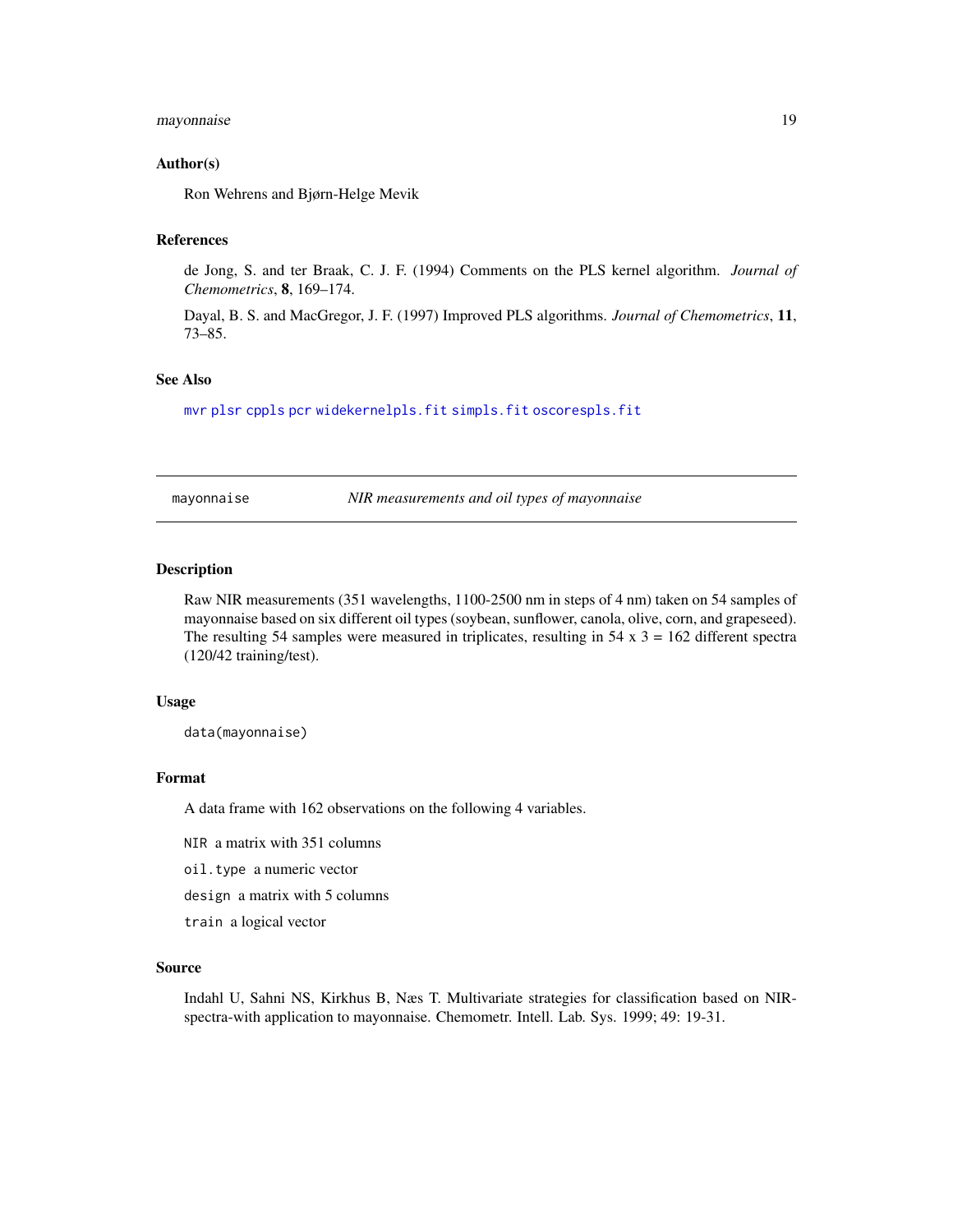### <span id="page-18-0"></span>mayonnaise 19

#### Author(s)

Ron Wehrens and Bjørn-Helge Mevik

# References

de Jong, S. and ter Braak, C. J. F. (1994) Comments on the PLS kernel algorithm. *Journal of Chemometrics*, 8, 169–174.

Dayal, B. S. and MacGregor, J. F. (1997) Improved PLS algorithms. *Journal of Chemometrics*, 11, 73–85.

# See Also

[mvr](#page-20-1) [plsr](#page-20-2) [cppls](#page-20-2) [pcr](#page-20-2) [widekernelpls.fit](#page-51-1) [simpls.fit](#page-42-1) [oscorespls.fit](#page-29-1)

mayonnaise *NIR measurements and oil types of mayonnaise*

# Description

Raw NIR measurements (351 wavelengths, 1100-2500 nm in steps of 4 nm) taken on 54 samples of mayonnaise based on six different oil types (soybean, sunflower, canola, olive, corn, and grapeseed). The resulting 54 samples were measured in triplicates, resulting in  $54 \times 3 = 162$  different spectra (120/42 training/test).

#### Usage

data(mayonnaise)

#### Format

A data frame with 162 observations on the following 4 variables.

NIR a matrix with 351 columns

oil.type a numeric vector

design a matrix with 5 columns

train a logical vector

#### Source

Indahl U, Sahni NS, Kirkhus B, Næs T. Multivariate strategies for classification based on NIRspectra-with application to mayonnaise. Chemometr. Intell. Lab. Sys. 1999; 49: 19-31.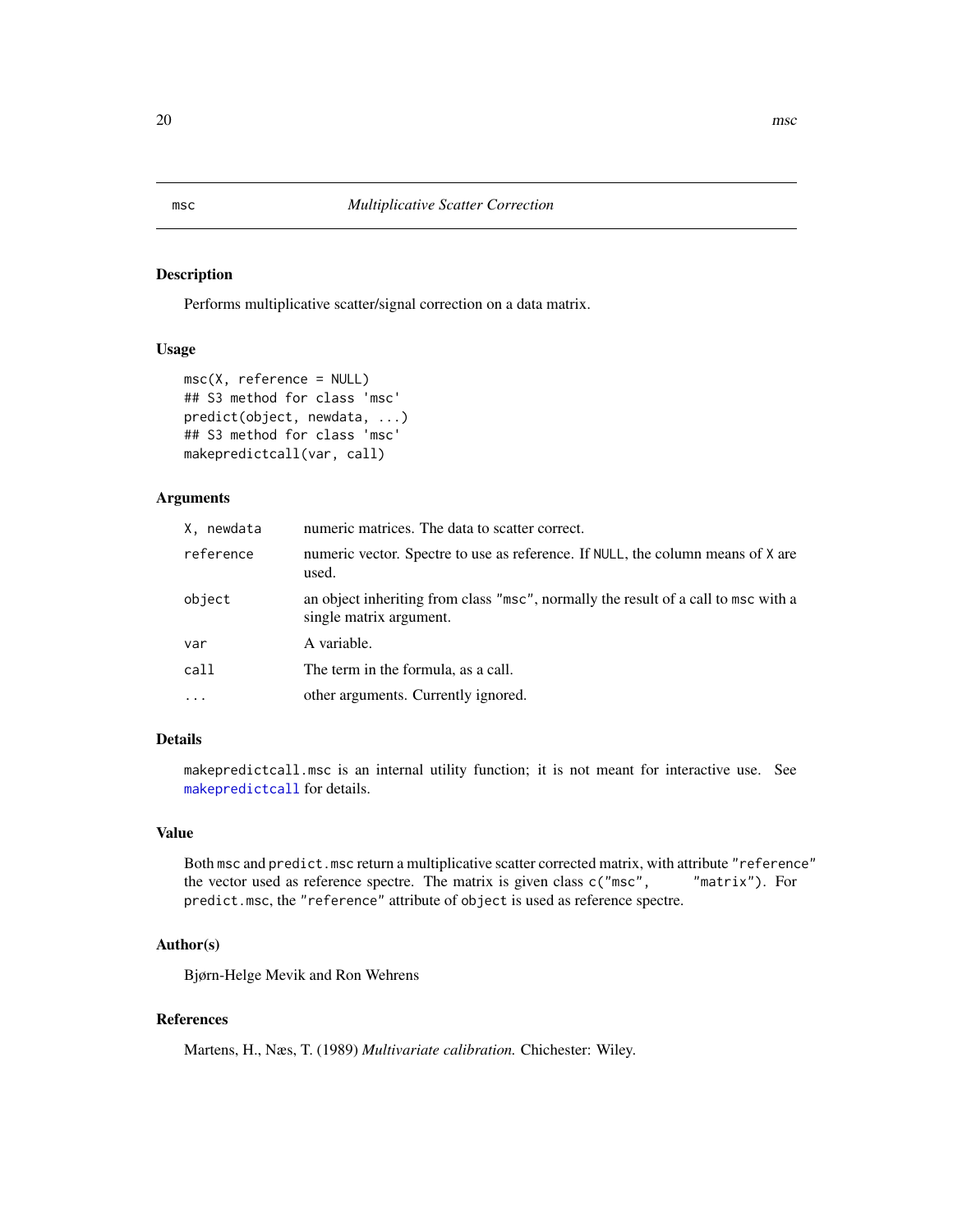# <span id="page-19-1"></span><span id="page-19-0"></span>Description

Performs multiplicative scatter/signal correction on a data matrix.

# Usage

```
msc(X, reference = NULL)
## S3 method for class 'msc'
predict(object, newdata, ...)
## S3 method for class 'msc'
makepredictcall(var, call)
```
# Arguments

| X, newdata | numeric matrices. The data to scatter correct.                                                                |
|------------|---------------------------------------------------------------------------------------------------------------|
| reference  | numeric vector. Spectre to use as reference. If NULL, the column means of X are<br>used.                      |
| object     | an object inheriting from class "msc", normally the result of a call to msc with a<br>single matrix argument. |
| var        | A variable.                                                                                                   |
| call       | The term in the formula, as a call.                                                                           |
| $\ddots$ . | other arguments. Currently ignored.                                                                           |

# Details

makepredictcall.msc is an internal utility function; it is not meant for interactive use. See [makepredictcall](#page-0-0) for details.

# Value

Both msc and predict.msc return a multiplicative scatter corrected matrix, with attribute "reference" the vector used as reference spectre. The matrix is given class c("msc", "matrix"). For predict.msc, the "reference" attribute of object is used as reference spectre.

#### Author(s)

Bjørn-Helge Mevik and Ron Wehrens

# References

Martens, H., Næs, T. (1989) *Multivariate calibration.* Chichester: Wiley.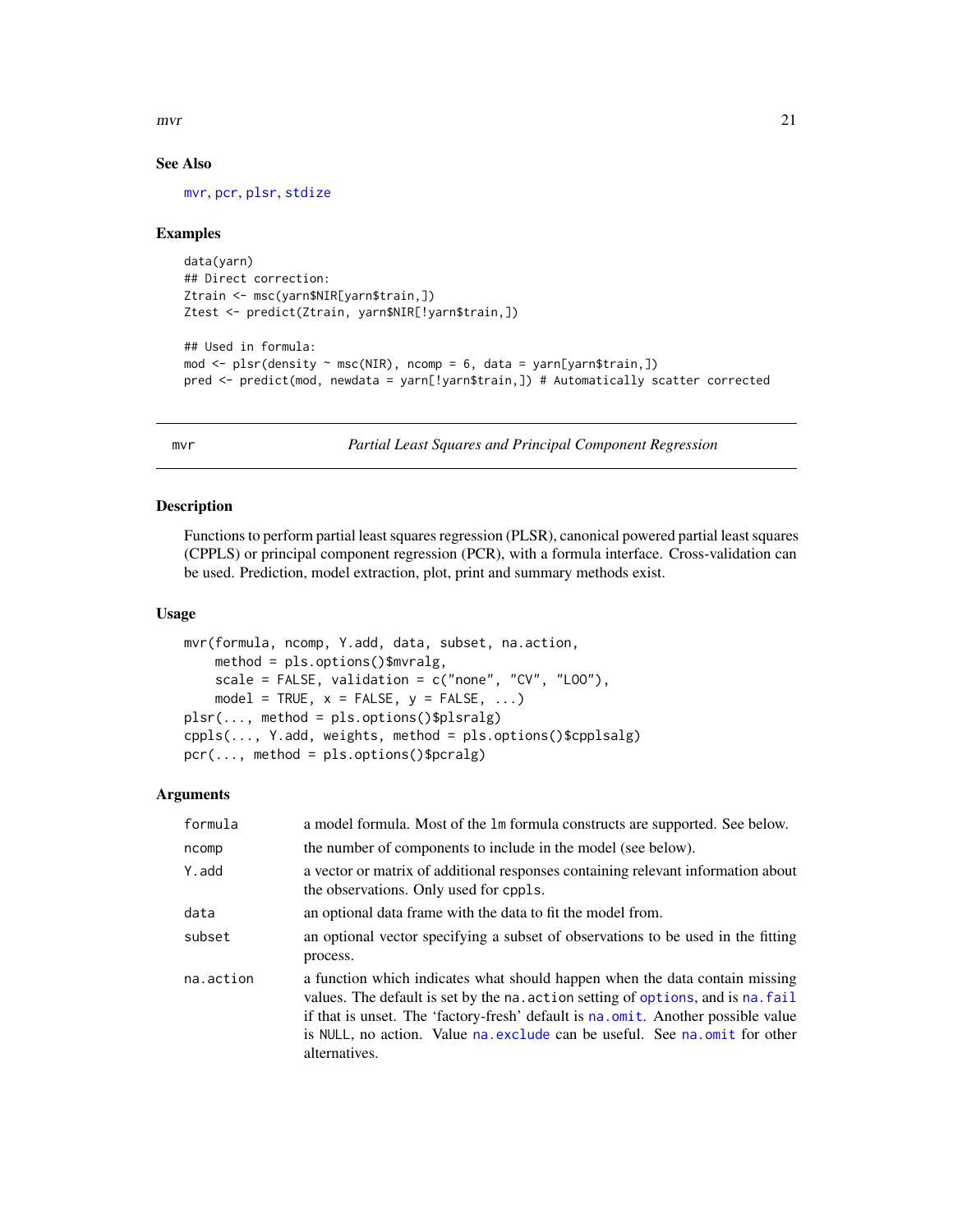<span id="page-20-0"></span> $mvr$  21

## See Also

[mvr](#page-20-1), [pcr](#page-20-2), [plsr](#page-20-2), [stdize](#page-44-1)

#### Examples

```
data(yarn)
## Direct correction:
Ztrain <- msc(yarn$NIR[yarn$train,])
Ztest <- predict(Ztrain, yarn$NIR[!yarn$train,])
```

```
## Used in formula:
mod \leq plsr(density \sim msc(NIR), ncomp = 6, data = yarn[yarn$train,])
pred <- predict(mod, newdata = yarn[!yarn$train,]) # Automatically scatter corrected
```
<span id="page-20-1"></span>mvr *Partial Least Squares and Principal Component Regression*

# <span id="page-20-2"></span>Description

Functions to perform partial least squares regression (PLSR), canonical powered partial least squares (CPPLS) or principal component regression (PCR), with a formula interface. Cross-validation can be used. Prediction, model extraction, plot, print and summary methods exist.

#### Usage

```
mvr(formula, ncomp, Y.add, data, subset, na.action,
   method = pls.options()$mvralg,
    scale = FALSE, validation = c("none", "CV", "LOO"),
    model = TRUE, x = FALSE, y = FALSE, ...)
plsr(..., method = pls.options()$plsralg)
cppls(..., Y.add, weights, method = pls.options()$cpplsalg)
pcr(..., method = pls.options()$pcralg)
```
# Arguments

| formula   | a model formula. Most of the 1m formula constructs are supported. See below.                                                                                                                                                                                                                                                                       |
|-----------|----------------------------------------------------------------------------------------------------------------------------------------------------------------------------------------------------------------------------------------------------------------------------------------------------------------------------------------------------|
| ncomp     | the number of components to include in the model (see below).                                                                                                                                                                                                                                                                                      |
| Y.add     | a vector or matrix of additional responses containing relevant information about<br>the observations. Only used for cppls.                                                                                                                                                                                                                         |
| data      | an optional data frame with the data to fit the model from.                                                                                                                                                                                                                                                                                        |
| subset    | an optional vector specifying a subset of observations to be used in the fitting<br>process.                                                                                                                                                                                                                                                       |
| na.action | a function which indicates what should happen when the data contain missing<br>values. The default is set by the na. action setting of options, and is na. fail<br>if that is unset. The 'factory-fresh' default is not omit. Another possible value<br>is NULL, no action. Value na exclude can be useful. See na omit for other<br>alternatives. |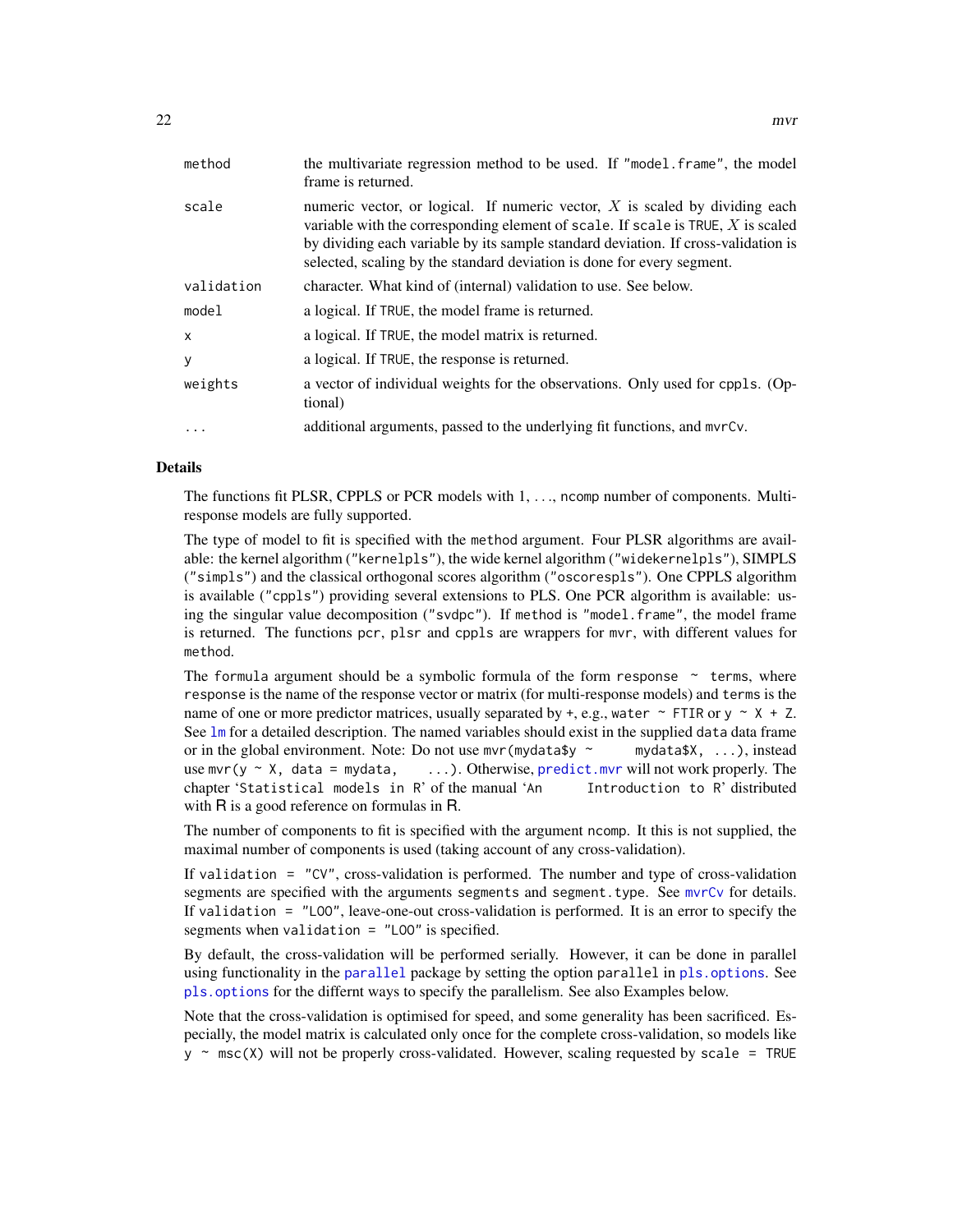<span id="page-21-0"></span>

| method       | the multivariate regression method to be used. If "model.frame", the model<br>frame is returned.                                                                                                                                                                                                                                    |
|--------------|-------------------------------------------------------------------------------------------------------------------------------------------------------------------------------------------------------------------------------------------------------------------------------------------------------------------------------------|
| scale        | numeric vector, or logical. If numeric vector, $X$ is scaled by dividing each<br>variable with the corresponding element of scale. If scale is $TRUE$ , X is scaled<br>by dividing each variable by its sample standard deviation. If cross-validation is<br>selected, scaling by the standard deviation is done for every segment. |
| validation   | character. What kind of (internal) validation to use. See below.                                                                                                                                                                                                                                                                    |
| model        | a logical. If TRUE, the model frame is returned.                                                                                                                                                                                                                                                                                    |
| $\mathsf{x}$ | a logical. If TRUE, the model matrix is returned.                                                                                                                                                                                                                                                                                   |
| y            | a logical. If TRUE, the response is returned.                                                                                                                                                                                                                                                                                       |
| weights      | a vector of individual weights for the observations. Only used for cppls. (Op-<br>tional)                                                                                                                                                                                                                                           |
| $\cdot$      | additional arguments, passed to the underlying fit functions, and myrCy.                                                                                                                                                                                                                                                            |

#### Details

The functions fit PLSR, CPPLS or PCR models with 1, ..., ncomp number of components. Multiresponse models are fully supported.

The type of model to fit is specified with the method argument. Four PLSR algorithms are available: the kernel algorithm ("kernelpls"), the wide kernel algorithm ("widekernelpls"), SIMPLS ("simpls") and the classical orthogonal scores algorithm ("oscorespls"). One CPPLS algorithm is available ("cppls") providing several extensions to PLS. One PCR algorithm is available: using the singular value decomposition ("svdpc"). If method is "model.frame", the model frame is returned. The functions pcr, plsr and cppls are wrappers for mvr, with different values for method.

The formula argument should be a symbolic formula of the form response  $\sim$  terms, where response is the name of the response vector or matrix (for multi-response models) and terms is the name of one or more predictor matrices, usually separated by  $+$ , e.g., water  $\sim$  FTIR or y  $\sim$  X + Z. See [lm](#page-0-0) for a detailed description. The named variables should exist in the supplied data data frame or in the global environment. Note: Do not use  $mvr(mydata$y \sim mydata$X, ...,)$ , instead use mvr( $y \sim X$ , data = mydata, ...). Otherwise, [predict.mvr](#page-34-1) will not work properly. The chapter 'Statistical models in R' of the manual 'An Introduction to R' distributed with R is a good reference on formulas in R.

The number of components to fit is specified with the argument ncomp. It this is not supplied, the maximal number of components is used (taking account of any cross-validation).

If validation = "CV", cross-validation is performed. The number and type of cross-validation segments are specified with the arguments segments and segment.type. See myrCy for details. If validation = "LOO", leave-one-out cross-validation is performed. It is an error to specify the segments when validation = "LOO" is specified.

By default, the cross-validation will be performed serially. However, it can be done in parallel using functionality in the [parallel](#page-0-0) package by setting the option parallel in [pls.options](#page-32-1). See [pls.options](#page-32-1) for the differnt ways to specify the parallelism. See also Examples below.

Note that the cross-validation is optimised for speed, and some generality has been sacrificed. Especially, the model matrix is calculated only once for the complete cross-validation, so models like  $y \sim \text{msc}(X)$  will not be properly cross-validated. However, scaling requested by scale = TRUE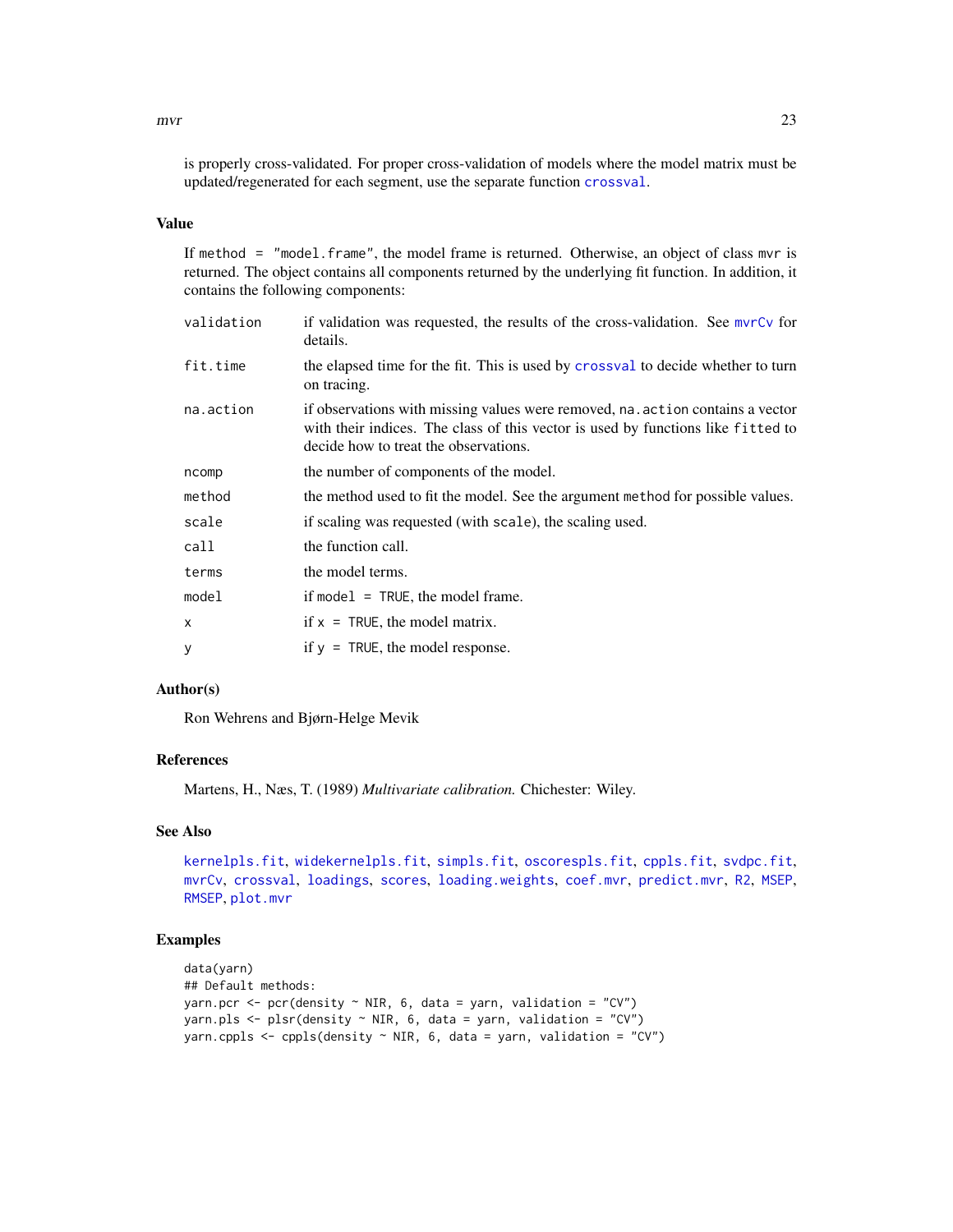<span id="page-22-0"></span>

is properly cross-validated. For proper cross-validation of models where the model matrix must be updated/regenerated for each segment, use the separate function [crossval](#page-10-1).

# Value

If method = "model.frame", the model frame is returned. Otherwise, an object of class mvr is returned. The object contains all components returned by the underlying fit function. In addition, it contains the following components:

| validation | if validation was requested, the results of the cross-validation. See myrCy for<br>details.                                                                                                                 |
|------------|-------------------------------------------------------------------------------------------------------------------------------------------------------------------------------------------------------------|
| fit.time   | the elapsed time for the fit. This is used by crossval to decide whether to turn<br>on tracing.                                                                                                             |
| na.action  | if observations with missing values were removed, na. action contains a vector<br>with their indices. The class of this vector is used by functions like fitted to<br>decide how to treat the observations. |
| ncomp      | the number of components of the model.                                                                                                                                                                      |
| method     | the method used to fit the model. See the argument method for possible values.                                                                                                                              |
| scale      | if scaling was requested (with scale), the scaling used.                                                                                                                                                    |
| call       | the function call.                                                                                                                                                                                          |
| terms      | the model terms.                                                                                                                                                                                            |
| model      | if model $=$ TRUE, the model frame.                                                                                                                                                                         |
| X          | if $x = TRUE$ , the model matrix.                                                                                                                                                                           |
| y          | if $y = TRUE$ , the model response.                                                                                                                                                                         |
|            |                                                                                                                                                                                                             |

### Author(s)

Ron Wehrens and Bjørn-Helge Mevik

# References

Martens, H., Næs, T. (1989) *Multivariate calibration.* Chichester: Wiley.

# See Also

[kernelpls.fit](#page-16-1), [widekernelpls.fit](#page-51-1), [simpls.fit](#page-42-1), [oscorespls.fit](#page-29-1), [cppls.fit](#page-7-1), [svdpc.fit](#page-46-1), [mvrCv](#page-23-1), [crossval](#page-10-1), [loadings](#page-41-1), [scores](#page-41-2), [loading.weights](#page-41-1), [coef.mvr](#page-2-1), [predict.mvr](#page-34-1), [R2](#page-26-1), [MSEP](#page-26-1), [RMSEP](#page-26-1), [plot.mvr](#page-31-1)

#### Examples

```
data(yarn)
## Default methods:
yarn.pcr <- pcr(density \sim NIR, 6, data = yarn, validation = "CV")
yarn.pls \leq plsr(density \sim NIR, 6, data = yarn, validation = "CV")
yarn.cppls <- cppls(density \sim NIR, 6, data = yarn, validation = "CV")
```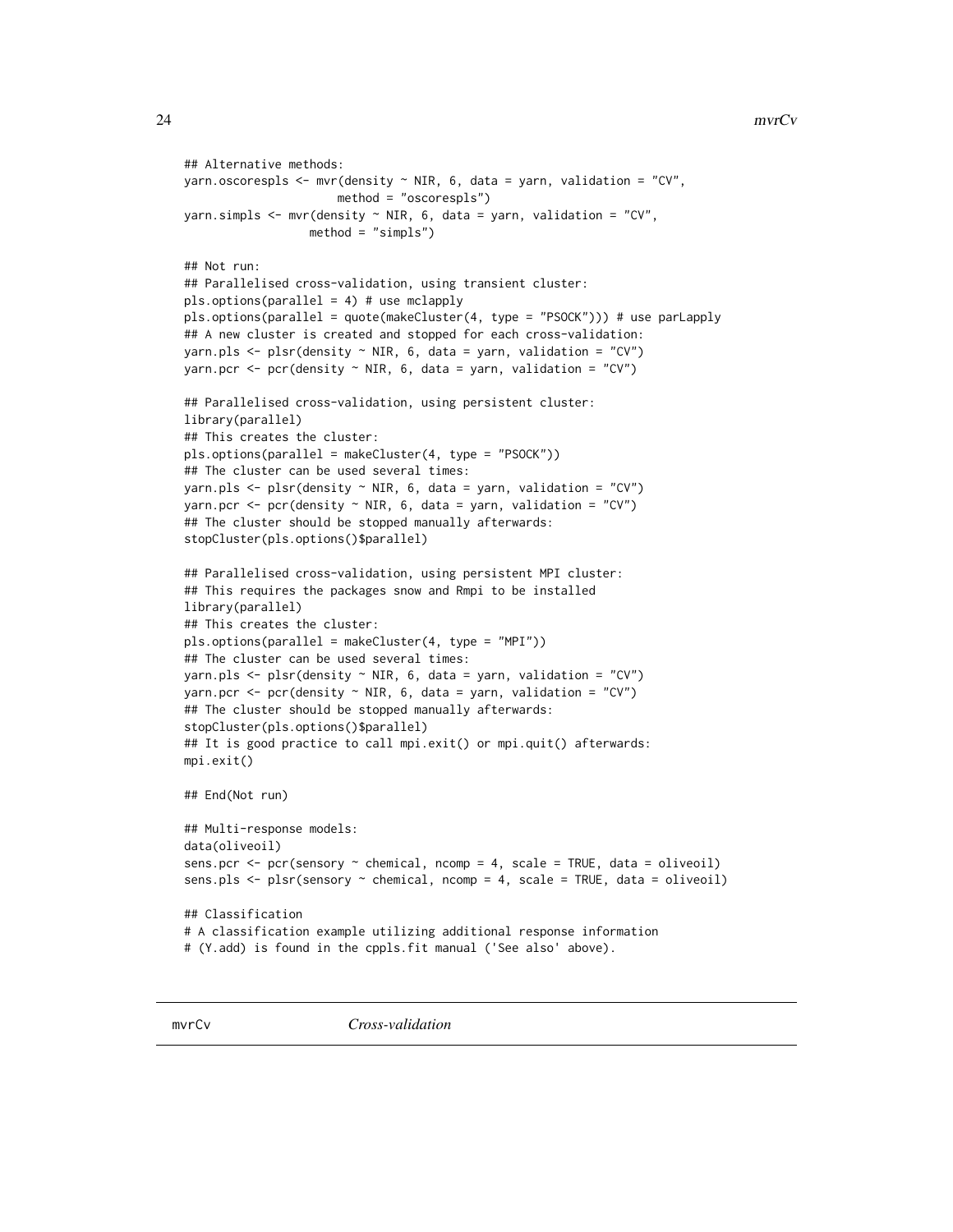```
## Alternative methods:
yarn.oscorespls \leq mvr(density \sim NIR, 6, data = yarn, validation = "CV",
                      method = "oscorespls")
yarn.simpls \leq mvr(density \sim NIR, 6, data = yarn, validation = "CV",
                  method = "simpls")
## Not run:
## Parallelised cross-validation, using transient cluster:
pls.options(parallel = 4) # use mclapply
pls.options(parallel = quote(makeCluster(4, type = "PSOCK"))) # use parLapply
## A new cluster is created and stopped for each cross-validation:
yarn.pls \leq plsr(density \sim NIR, 6, data = yarn, validation = "CV")
yarn.pcr <- pcr(density \sim NIR, 6, data = yarn, validation = "CV")
## Parallelised cross-validation, using persistent cluster:
library(parallel)
## This creates the cluster:
pls.options(parallel = makeCluster(4, type = "PSOCK"))
## The cluster can be used several times:
yarn.pls \leq plsr(density \sim NIR, 6, data = yarn, validation = "CV")
yarn.pcr \leq pcr(density \sim NIR, 6, data = yarn, validation = "CV")
## The cluster should be stopped manually afterwards:
stopCluster(pls.options()$parallel)
## Parallelised cross-validation, using persistent MPI cluster:
## This requires the packages snow and Rmpi to be installed
library(parallel)
## This creates the cluster:
pls.options(parallel = makeCluster(4, type = "MPI"))
## The cluster can be used several times:
yarn.pls \leq plsr(density \sim NIR, 6, data = yarn, validation = "CV")
yarn.pcr <- pcr(density \sim NIR, 6, data = yarn, validation = "CV")
## The cluster should be stopped manually afterwards:
stopCluster(pls.options()$parallel)
## It is good practice to call mpi.exit() or mpi.quit() afterwards:
mpi.exit()
## End(Not run)
## Multi-response models:
data(oliveoil)
sens.pcr <- pcr(sensory ~ chemical, ncomp = 4, scale = TRUE, data = oliveoil)
sens.pls <- plsr(sensory ~ chemical, ncomp = 4, scale = TRUE, data = oliveoil)
## Classification
# A classification example utilizing additional response information
# (Y.add) is found in the cppls.fit manual ('See also' above).
```
<span id="page-23-1"></span>mvrCv *Cross-validation*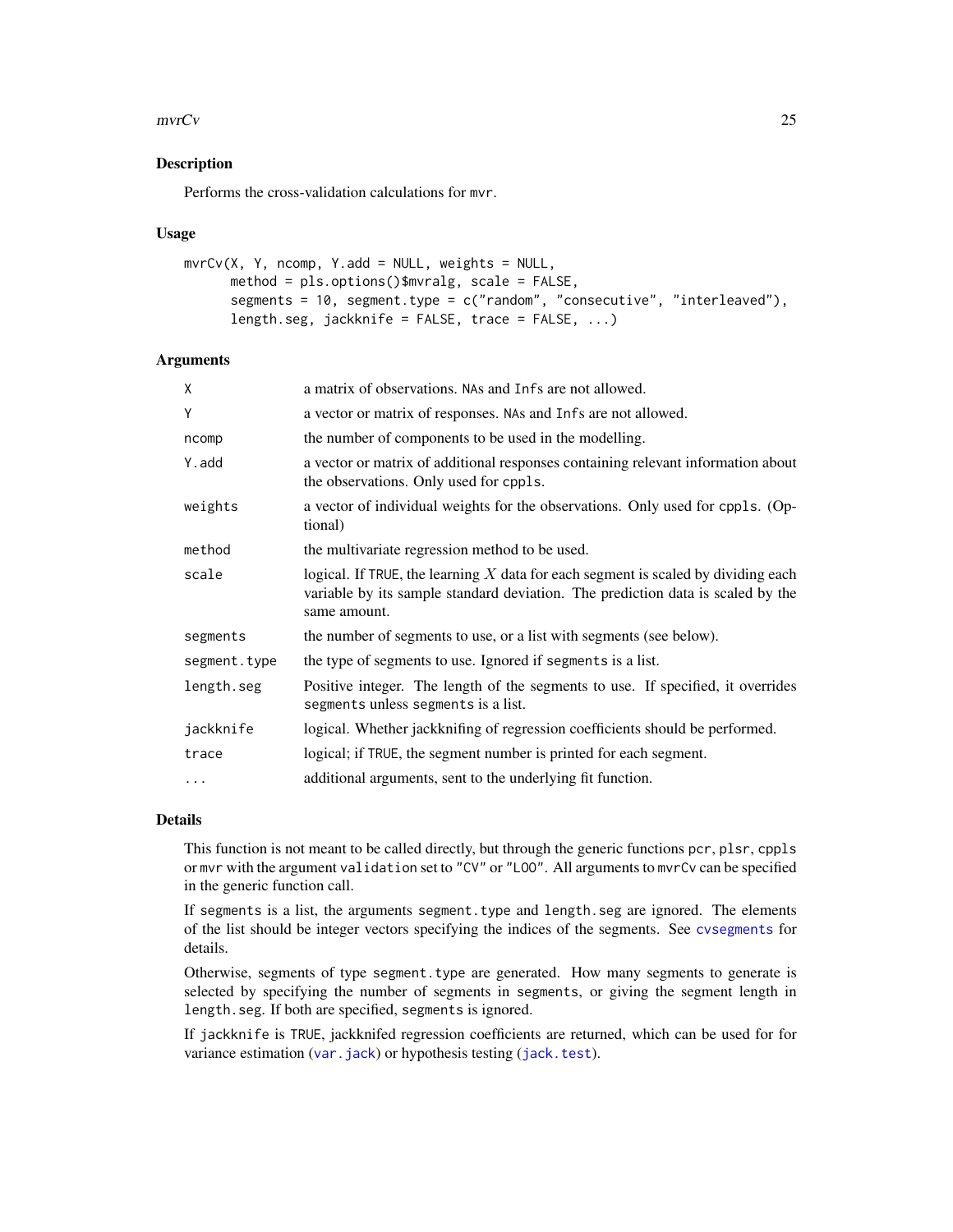#### <span id="page-24-0"></span> $mvrCv$  25

# Description

Performs the cross-validation calculations for mvr.

#### Usage

```
mvrCv(X, Y, ncomp, Y.add = NULL, weights = NULL,method = pls.options()$mvralg, scale = FALSE,
      segments = 10, segment.type = c("random", "consecutive", "interleaved"),
      length.seg, jackknife = FALSE, trace = FALSE, \ldots)
```
#### Arguments

| X            | a matrix of observations. NAs and Infs are not allowed.                                                                                                                                |
|--------------|----------------------------------------------------------------------------------------------------------------------------------------------------------------------------------------|
| Y            | a vector or matrix of responses. NAs and Infs are not allowed.                                                                                                                         |
| ncomp        | the number of components to be used in the modelling.                                                                                                                                  |
| Y.add        | a vector or matrix of additional responses containing relevant information about<br>the observations. Only used for cppls.                                                             |
| weights      | a vector of individual weights for the observations. Only used for cppls. (Op-<br>tional)                                                                                              |
| method       | the multivariate regression method to be used.                                                                                                                                         |
| scale        | logical. If TRUE, the learning $X$ data for each segment is scaled by dividing each<br>variable by its sample standard deviation. The prediction data is scaled by the<br>same amount. |
| segments     | the number of segments to use, or a list with segments (see below).                                                                                                                    |
| segment.type | the type of segments to use. Ignored if segments is a list.                                                                                                                            |
| length.seg   | Positive integer. The length of the segments to use. If specified, it overrides<br>segments unless segments is a list.                                                                 |
| jackknife    | logical. Whether jackknifing of regression coefficients should be performed.                                                                                                           |
| trace        | logical; if TRUE, the segment number is printed for each segment.                                                                                                                      |
| $\cdots$     | additional arguments, sent to the underlying fit function.                                                                                                                             |

# Details

This function is not meant to be called directly, but through the generic functions pcr, plsr, cppls or mvr with the argument validation set to "CV" or "LOO". All arguments to mvrCv can be specified in the generic function call.

If segments is a list, the arguments segment.type and length.seg are ignored. The elements of the list should be integer vectors specifying the indices of the segments. See [cvsegments](#page-13-1) for details.

Otherwise, segments of type segment.type are generated. How many segments to generate is selected by specifying the number of segments in segments, or giving the segment length in length.seg. If both are specified, segments is ignored.

If jackknife is TRUE, jackknifed regression coefficients are returned, which can be used for for variance estimation ([var.jack](#page-50-1)) or hypothesis testing ([jack.test](#page-15-1)).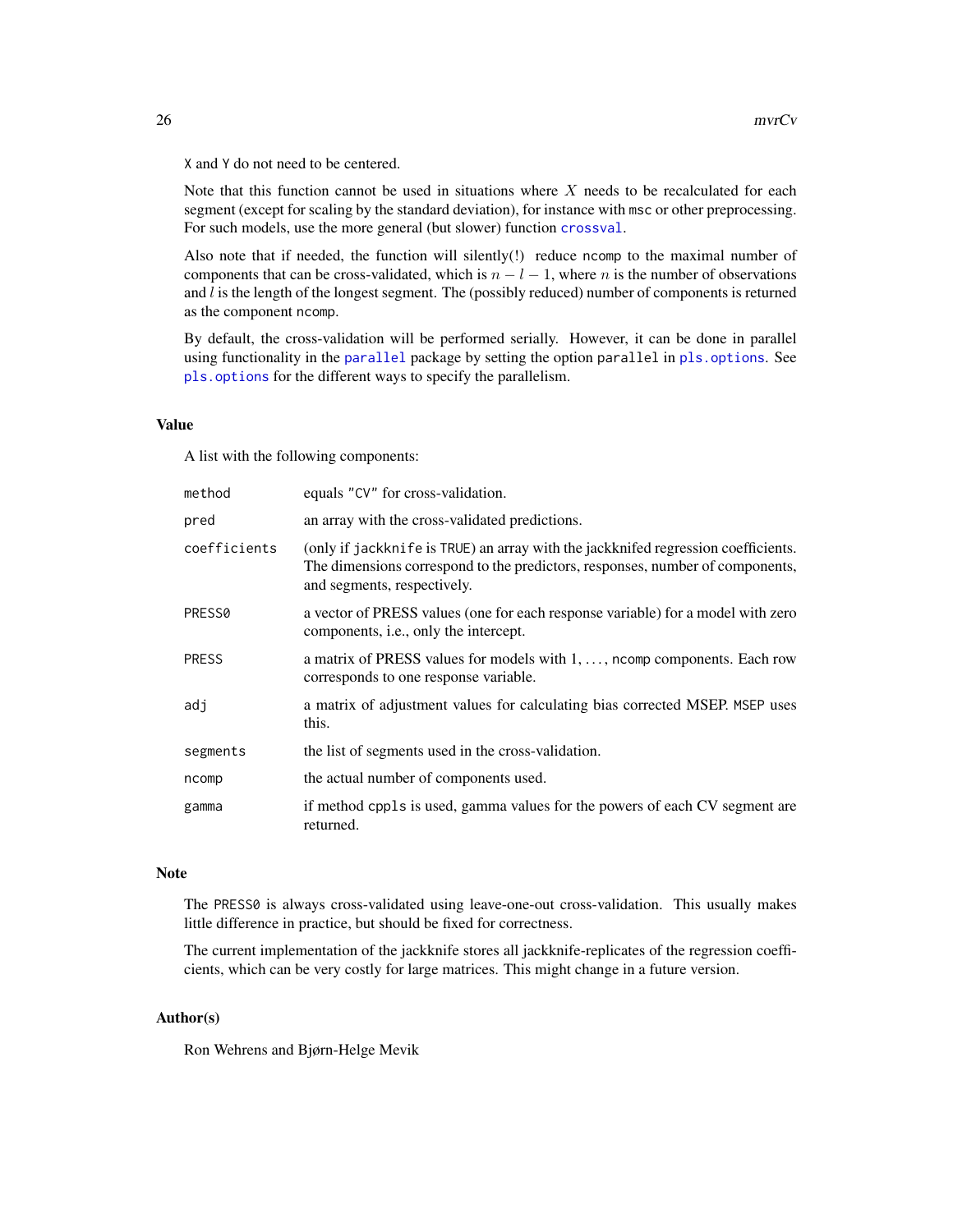X and Y do not need to be centered.

Note that this function cannot be used in situations where  $X$  needs to be recalculated for each segment (except for scaling by the standard deviation), for instance with msc or other preprocessing. For such models, use the more general (but slower) function [crossval](#page-10-1).

Also note that if needed, the function will silently(!) reduce ncomp to the maximal number of components that can be cross-validated, which is  $n - l - 1$ , where n is the number of observations and  $l$  is the length of the longest segment. The (possibly reduced) number of components is returned as the component ncomp.

By default, the cross-validation will be performed serially. However, it can be done in parallel using functionality in the [parallel](#page-0-0) package by setting the option parallel in [pls.options](#page-32-1). See [pls.options](#page-32-1) for the different ways to specify the parallelism.

## Value

A list with the following components:

| method             | equals "CV" for cross-validation.                                                                                                                                                                 |
|--------------------|---------------------------------------------------------------------------------------------------------------------------------------------------------------------------------------------------|
| pred               | an array with the cross-validated predictions.                                                                                                                                                    |
| coefficients       | (only if jackknife is TRUE) an array with the jackknifed regression coefficients.<br>The dimensions correspond to the predictors, responses, number of components,<br>and segments, respectively. |
| PRESS <sub>0</sub> | a vector of PRESS values (one for each response variable) for a model with zero<br>components, <i>i.e.</i> , only the intercept.                                                                  |
| <b>PRESS</b>       | a matrix of PRESS values for models with 1, , north components. Each row<br>corresponds to one response variable.                                                                                 |
| adj                | a matrix of adjustment values for calculating bias corrected MSEP. MSEP uses<br>this.                                                                                                             |
| segments           | the list of segments used in the cross-validation.                                                                                                                                                |
| ncomp              | the actual number of components used.                                                                                                                                                             |
| gamma              | if method cppls is used, gamma values for the powers of each CV segment are<br>returned.                                                                                                          |

#### Note

The PRESS0 is always cross-validated using leave-one-out cross-validation. This usually makes little difference in practice, but should be fixed for correctness.

The current implementation of the jackknife stores all jackknife-replicates of the regression coefficients, which can be very costly for large matrices. This might change in a future version.

### Author(s)

Ron Wehrens and Bjørn-Helge Mevik

<span id="page-25-0"></span>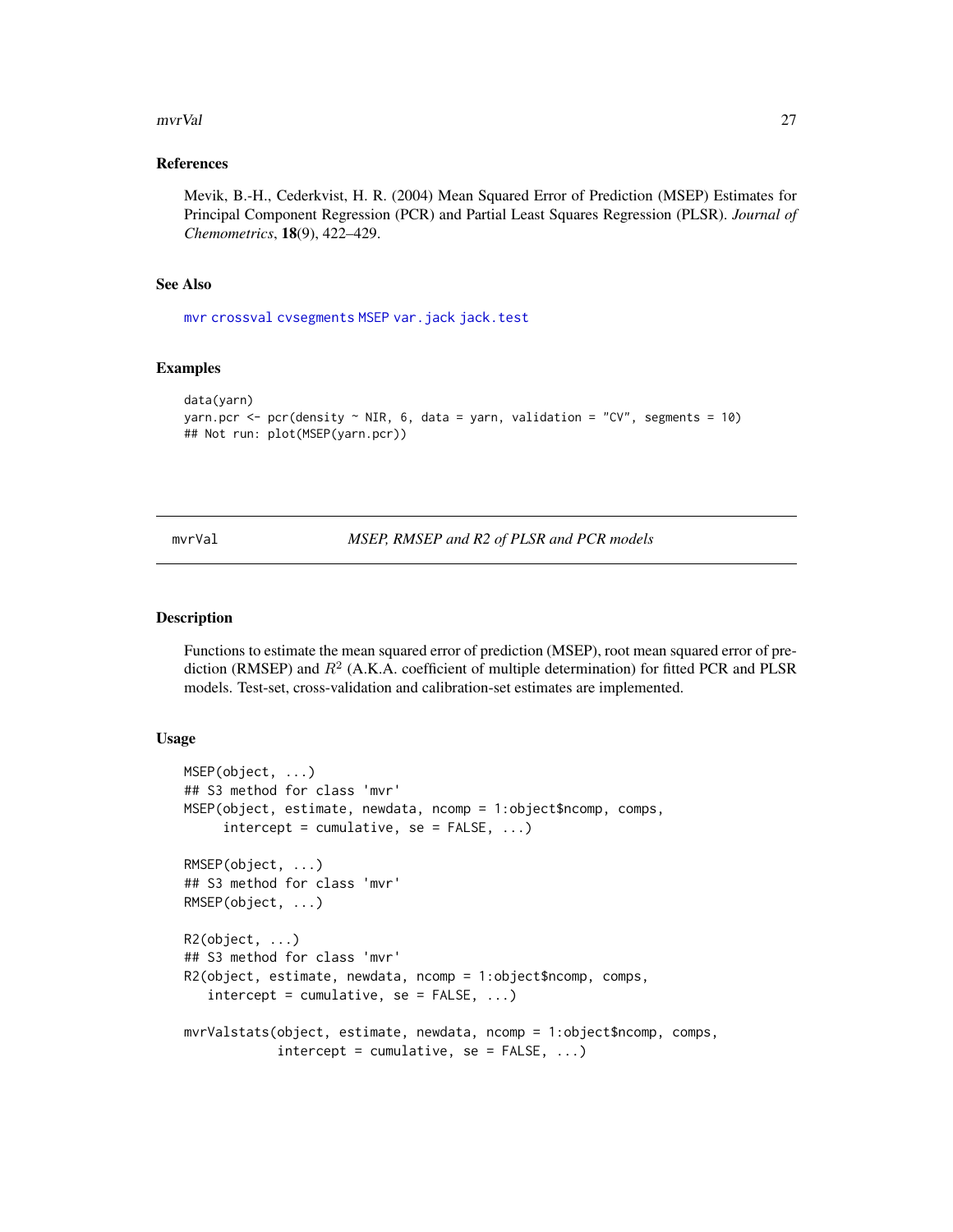#### <span id="page-26-0"></span>mvrVal 27

#### References

Mevik, B.-H., Cederkvist, H. R. (2004) Mean Squared Error of Prediction (MSEP) Estimates for Principal Component Regression (PCR) and Partial Least Squares Regression (PLSR). *Journal of Chemometrics*, 18(9), 422–429.

#### See Also

[mvr](#page-20-1) [crossval](#page-10-1) [cvsegments](#page-13-1) [MSEP](#page-26-1) [var.jack](#page-50-1) [jack.test](#page-15-1)

#### Examples

```
data(yarn)
yarn.pcr <- pcr(density \sim NIR, 6, data = yarn, validation = "CV", segments = 10)
## Not run: plot(MSEP(yarn.pcr))
```
mvrVal *MSEP, RMSEP and R2 of PLSR and PCR models*

#### <span id="page-26-1"></span>Description

Functions to estimate the mean squared error of prediction (MSEP), root mean squared error of prediction (RMSEP) and  $R^2$  (A.K.A. coefficient of multiple determination) for fitted PCR and PLSR models. Test-set, cross-validation and calibration-set estimates are implemented.

#### Usage

```
MSEP(object, ...)
## S3 method for class 'mvr'
MSEP(object, estimate, newdata, ncomp = 1:object$ncomp, comps,
     intercept = cumulative, se = FALSE, ...)RMSEP(object, ...)
## S3 method for class 'mvr'
RMSEP(object, ...)
R2(object, ...)
## S3 method for class 'mvr'
R2(object, estimate, newdata, ncomp = 1:object$ncomp, comps,
   intercept = cumulative, se = FALSE, ...)mvrValstats(object, estimate, newdata, ncomp = 1:object$ncomp, comps,
            intercept = cumulative, se = FALSE, ...)
```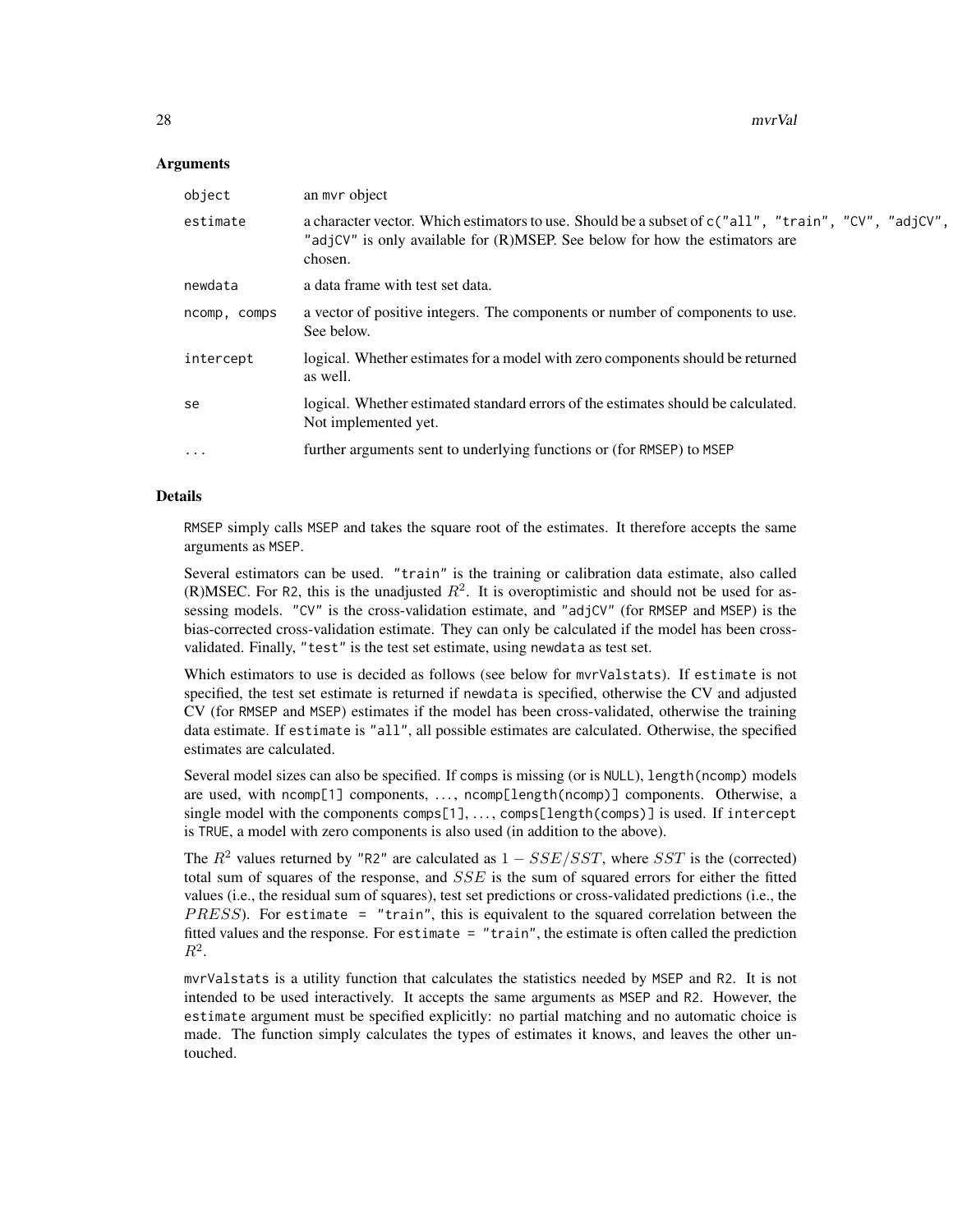28 mvrVal

#### **Arguments**

| object       | an myr object                                                                                                                                                                                 |
|--------------|-----------------------------------------------------------------------------------------------------------------------------------------------------------------------------------------------|
| estimate     | a character vector. Which estimators to use. Should be a subset of c("all", "train", "CV", "adjCV",<br>"adjCV" is only available for (R)MSEP. See below for how the estimators are<br>chosen. |
| newdata      | a data frame with test set data.                                                                                                                                                              |
| ncomp, comps | a vector of positive integers. The components or number of components to use.<br>See below.                                                                                                   |
| intercept    | logical. Whether estimates for a model with zero components should be returned<br>as well.                                                                                                    |
| se           | logical. Whether estimated standard errors of the estimates should be calculated.<br>Not implemented yet.                                                                                     |
| .            | further arguments sent to underlying functions or (for RMSEP) to MSEP                                                                                                                         |
|              |                                                                                                                                                                                               |

### Details

RMSEP simply calls MSEP and takes the square root of the estimates. It therefore accepts the same arguments as MSEP.

Several estimators can be used. "train" is the training or calibration data estimate, also called (R)MSEC. For R2, this is the unadjusted  $R^2$ . It is overoptimistic and should not be used for assessing models. "CV" is the cross-validation estimate, and "adjCV" (for RMSEP and MSEP) is the bias-corrected cross-validation estimate. They can only be calculated if the model has been crossvalidated. Finally, "test" is the test set estimate, using newdata as test set.

Which estimators to use is decided as follows (see below for mvrValstats). If estimate is not specified, the test set estimate is returned if newdata is specified, otherwise the CV and adjusted CV (for RMSEP and MSEP) estimates if the model has been cross-validated, otherwise the training data estimate. If estimate is "all", all possible estimates are calculated. Otherwise, the specified estimates are calculated.

Several model sizes can also be specified. If comps is missing (or is NULL), length(ncomp) models are used, with ncomp[1] components, ..., ncomp[length(ncomp)] components. Otherwise, a single model with the components comps[1], ..., comps[length(comps)] is used. If intercept is TRUE, a model with zero components is also used (in addition to the above).

The  $R^2$  values returned by "R2" are calculated as  $1 - SSE/SST$ , where SST is the (corrected) total sum of squares of the response, and  $SSE$  is the sum of squared errors for either the fitted values (i.e., the residual sum of squares), test set predictions or cross-validated predictions (i.e., the  $PRESS$ ). For estimate = "train", this is equivalent to the squared correlation between the fitted values and the response. For estimate = "train", the estimate is often called the prediction  $R^2$ .

mvrValstats is a utility function that calculates the statistics needed by MSEP and R2. It is not intended to be used interactively. It accepts the same arguments as MSEP and R2. However, the estimate argument must be specified explicitly: no partial matching and no automatic choice is made. The function simply calculates the types of estimates it knows, and leaves the other untouched.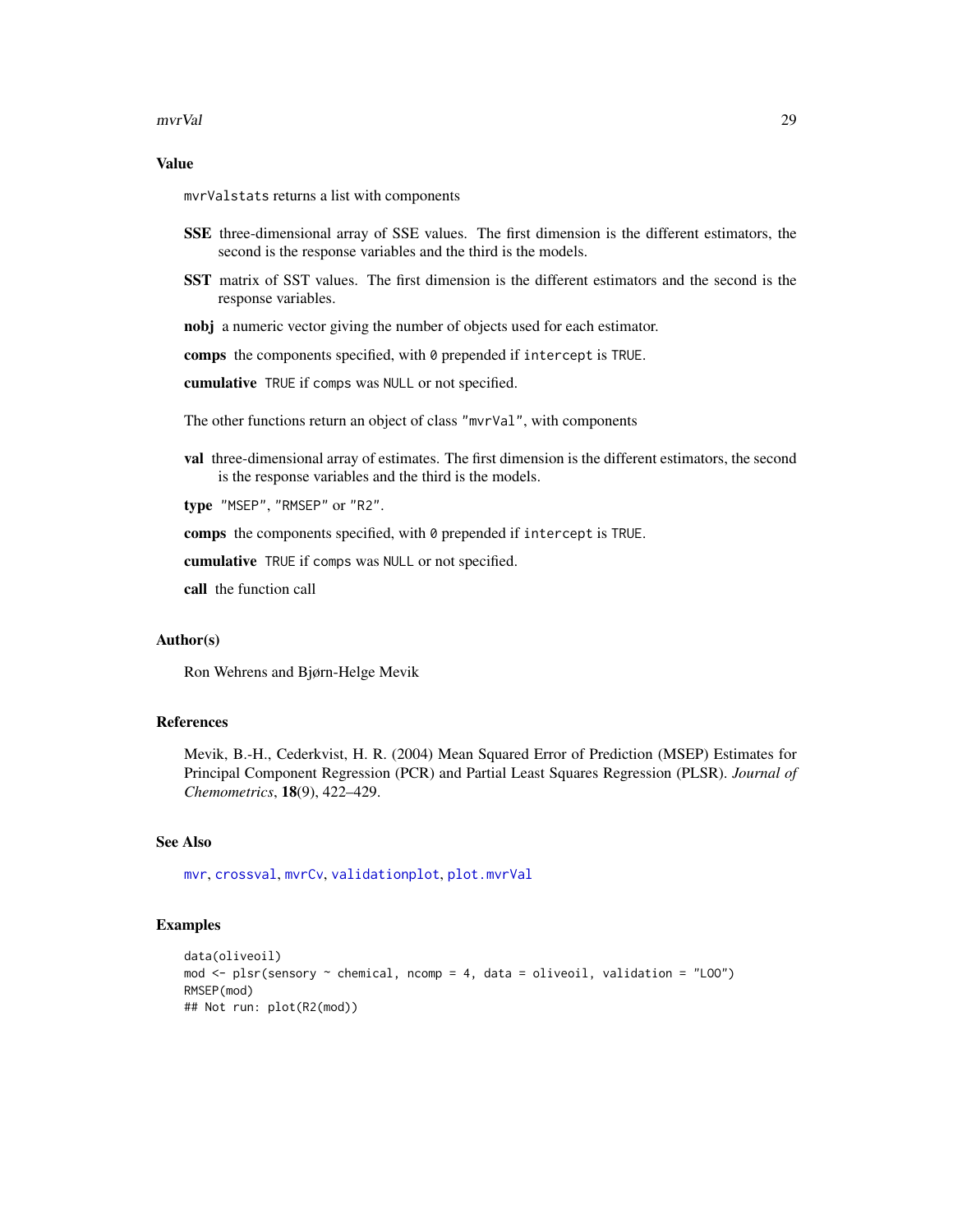#### <span id="page-28-0"></span>mvrVal 29

### Value

mvrValstats returns a list with components

- SSE three-dimensional array of SSE values. The first dimension is the different estimators, the second is the response variables and the third is the models.
- SST matrix of SST values. The first dimension is the different estimators and the second is the response variables.
- nobj a numeric vector giving the number of objects used for each estimator.

comps the components specified, with 0 prepended if intercept is TRUE.

cumulative TRUE if comps was NULL or not specified.

The other functions return an object of class "mvrVal", with components

val three-dimensional array of estimates. The first dimension is the different estimators, the second is the response variables and the third is the models.

type "MSEP", "RMSEP" or "R2".

comps the components specified, with 0 prepended if intercept is TRUE.

cumulative TRUE if comps was NULL or not specified.

call the function call

#### Author(s)

Ron Wehrens and Bjørn-Helge Mevik

#### References

Mevik, B.-H., Cederkvist, H. R. (2004) Mean Squared Error of Prediction (MSEP) Estimates for Principal Component Regression (PCR) and Partial Least Squares Regression (PLSR). *Journal of Chemometrics*, 18(9), 422–429.

#### See Also

[mvr](#page-20-1), [crossval](#page-10-1), [mvrCv](#page-23-1), [validationplot](#page-47-1), [plot.mvrVal](#page-47-2)

# Examples

```
data(oliveoil)
mod \leq plsr(sensory \sim chemical, ncomp = 4, data = oliveoil, validation = "LOO")
RMSEP(mod)
## Not run: plot(R2(mod))
```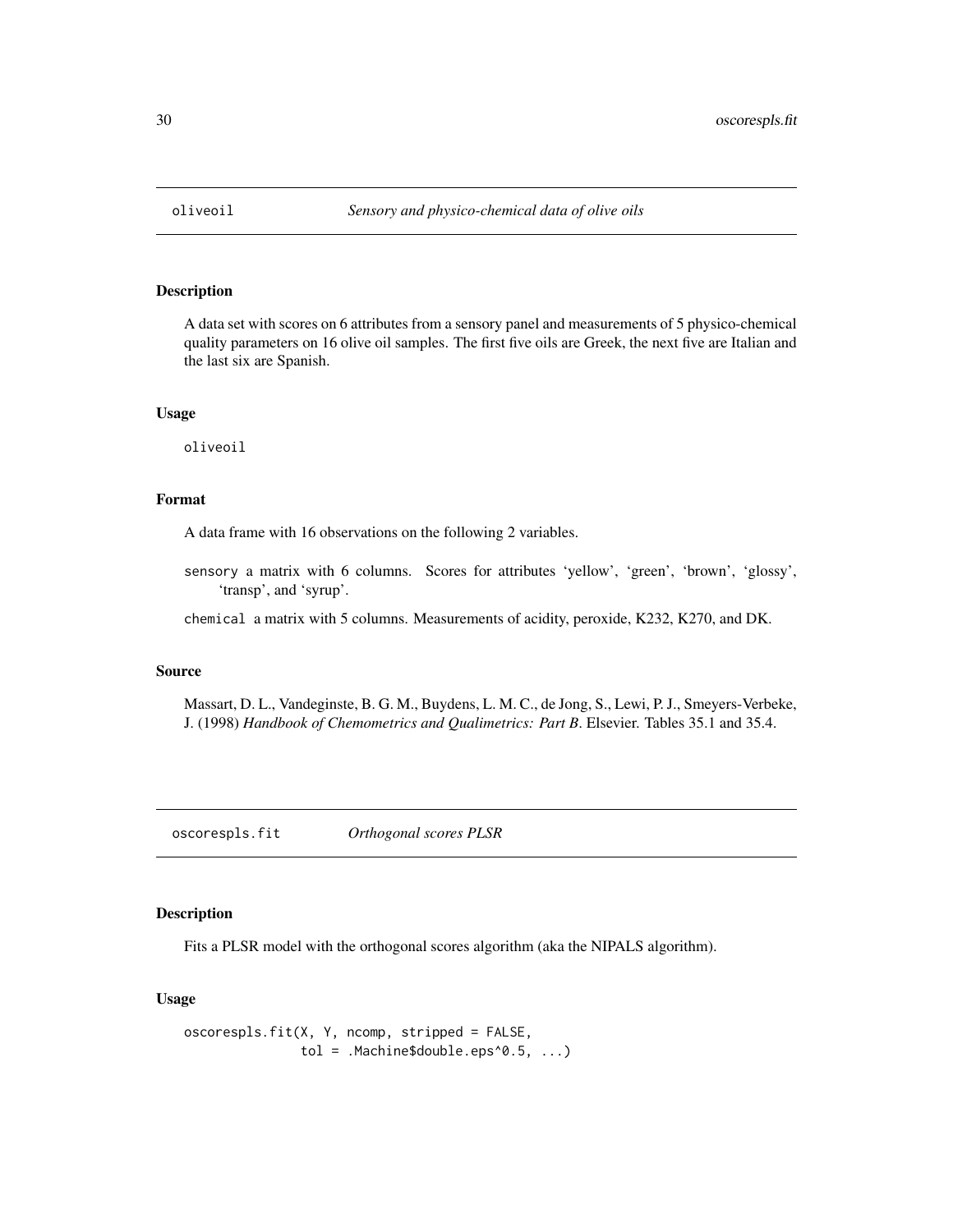<span id="page-29-0"></span>

# Description

A data set with scores on 6 attributes from a sensory panel and measurements of 5 physico-chemical quality parameters on 16 olive oil samples. The first five oils are Greek, the next five are Italian and the last six are Spanish.

#### Usage

oliveoil

# Format

A data frame with 16 observations on the following 2 variables.

sensory a matrix with 6 columns. Scores for attributes 'yellow', 'green', 'brown', 'glossy', 'transp', and 'syrup'.

chemical a matrix with 5 columns. Measurements of acidity, peroxide, K232, K270, and DK.

#### Source

Massart, D. L., Vandeginste, B. G. M., Buydens, L. M. C., de Jong, S., Lewi, P. J., Smeyers-Verbeke, J. (1998) *Handbook of Chemometrics and Qualimetrics: Part B*. Elsevier. Tables 35.1 and 35.4.

<span id="page-29-1"></span>oscorespls.fit *Orthogonal scores PLSR*

#### Description

Fits a PLSR model with the orthogonal scores algorithm (aka the NIPALS algorithm).

### Usage

```
oscorespls.fit(X, Y, ncomp, stripped = FALSE,
              tol = .Machine$double.eps^0.5, ...)
```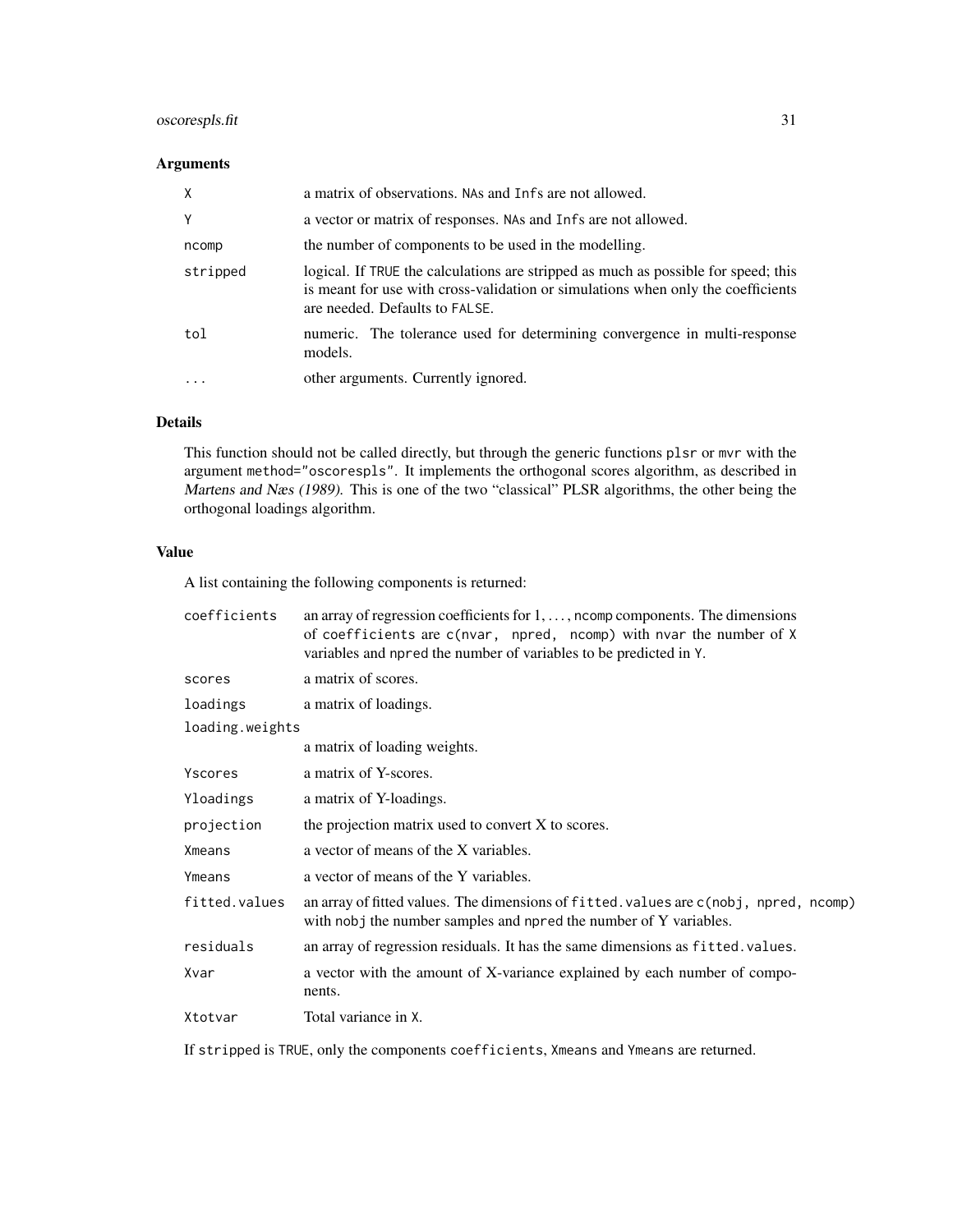# oscorespls.fit 31

# Arguments

| X        | a matrix of observations. NAs and Infs are not allowed.                                                                                                                                                  |
|----------|----------------------------------------------------------------------------------------------------------------------------------------------------------------------------------------------------------|
| Y        | a vector or matrix of responses. NAs and Infs are not allowed.                                                                                                                                           |
| ncomp    | the number of components to be used in the modelling.                                                                                                                                                    |
| stripped | logical. If TRUE the calculations are stripped as much as possible for speed; this<br>is meant for use with cross-validation or simulations when only the coefficients<br>are needed. Defaults to FALSE. |
| tol      | numeric. The tolerance used for determining convergence in multi-response<br>models.                                                                                                                     |
|          | other arguments. Currently ignored.                                                                                                                                                                      |

# Details

This function should not be called directly, but through the generic functions plsr or mvr with the argument method="oscorespls". It implements the orthogonal scores algorithm, as described in Martens and Næs (1989). This is one of the two "classical" PLSR algorithms, the other being the orthogonal loadings algorithm.

# Value

A list containing the following components is returned:

| coefficients    | an array of regression coefficients for $1, \ldots$ , ncomp components. The dimensions<br>of coefficients are c(nvar, npred, ncomp) with nvar the number of X<br>variables and npred the number of variables to be predicted in Y. |  |
|-----------------|------------------------------------------------------------------------------------------------------------------------------------------------------------------------------------------------------------------------------------|--|
| scores          | a matrix of scores.                                                                                                                                                                                                                |  |
| loadings        | a matrix of loadings.                                                                                                                                                                                                              |  |
| loading.weights |                                                                                                                                                                                                                                    |  |
|                 | a matrix of loading weights.                                                                                                                                                                                                       |  |
| Yscores         | a matrix of Y-scores.                                                                                                                                                                                                              |  |
| Yloadings       | a matrix of Y-loadings.                                                                                                                                                                                                            |  |
| projection      | the projection matrix used to convert X to scores.                                                                                                                                                                                 |  |
| Xmeans          | a vector of means of the X variables.                                                                                                                                                                                              |  |
| Ymeans          | a vector of means of the Y variables.                                                                                                                                                                                              |  |
| fitted.values   | an array of fitted values. The dimensions of fitted values are c(nobj, npred, ncomp)<br>with nobj the number samples and npred the number of Y variables.                                                                          |  |
| residuals       | an array of regression residuals. It has the same dimensions as fitted. values.                                                                                                                                                    |  |
| Xvar            | a vector with the amount of X-variance explained by each number of compo-<br>nents.                                                                                                                                                |  |
| Xtotvar         | Total variance in X.                                                                                                                                                                                                               |  |

If stripped is TRUE, only the components coefficients, Xmeans and Ymeans are returned.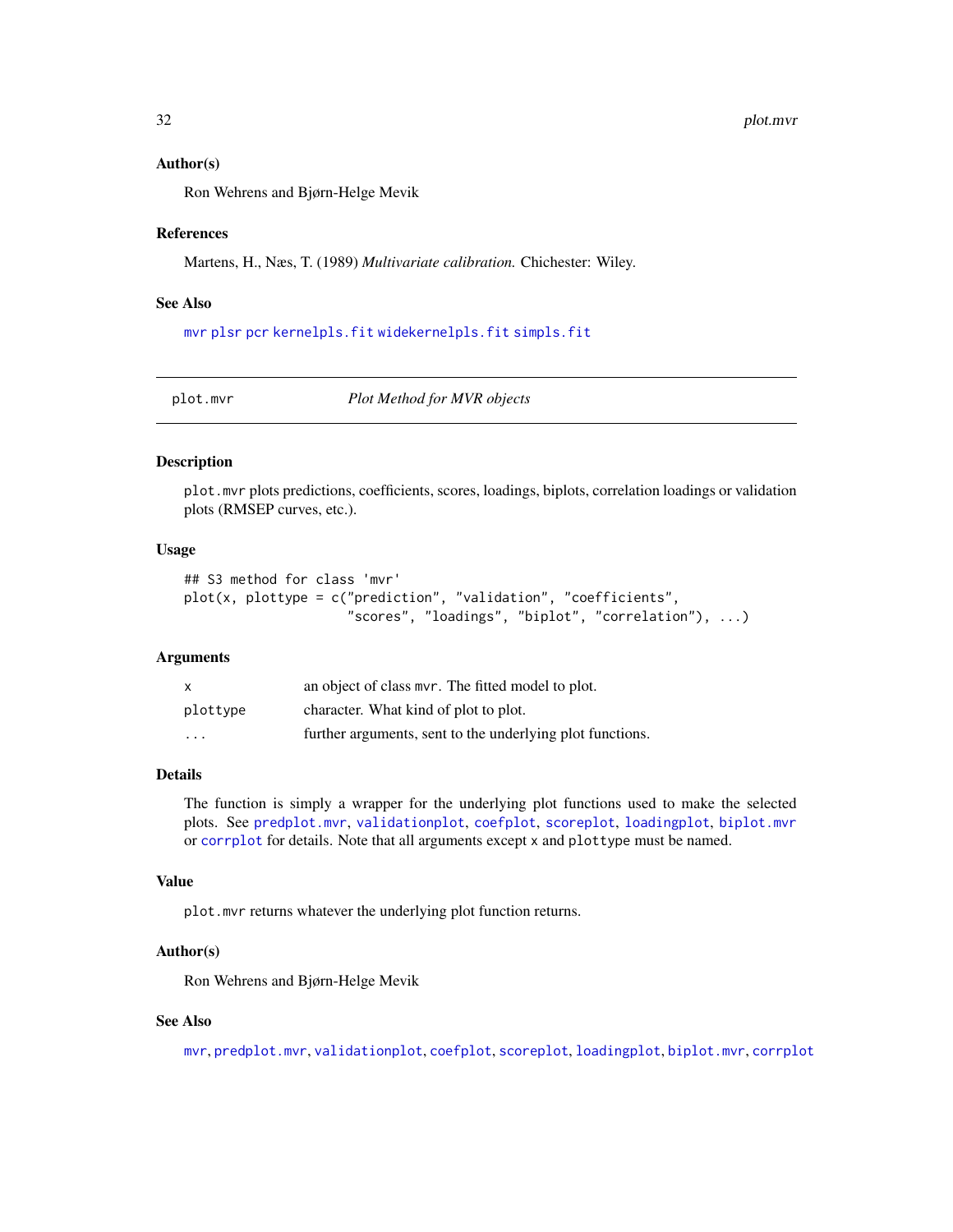#### <span id="page-31-0"></span>Author(s)

Ron Wehrens and Bjørn-Helge Mevik

#### References

Martens, H., Næs, T. (1989) *Multivariate calibration.* Chichester: Wiley.

#### See Also

[mvr](#page-20-1) [plsr](#page-20-2) [pcr](#page-20-2) [kernelpls.fit](#page-16-1) [widekernelpls.fit](#page-51-1) [simpls.fit](#page-42-1)

<span id="page-31-1"></span>plot.mvr *Plot Method for MVR objects*

# Description

plot.mvr plots predictions, coefficients, scores, loadings, biplots, correlation loadings or validation plots (RMSEP curves, etc.).

#### Usage

```
## S3 method for class 'mvr'
plot(x, plottype = c("prediction", "validation", "coefficients",
                     "scores", "loadings", "biplot", "correlation"), ...)
```
# Arguments

| X        | an object of class mvr. The fitted model to plot.         |
|----------|-----------------------------------------------------------|
| plottype | character. What kind of plot to plot.                     |
| .        | further arguments, sent to the underlying plot functions. |

# Details

The function is simply a wrapper for the underlying plot functions used to make the selected plots. See [predplot.mvr](#page-35-1), [validationplot](#page-47-1), [coefplot](#page-5-1), [scoreplot](#page-37-1), [loadingplot](#page-37-2), [biplot.mvr](#page-1-1) or [corrplot](#page-37-2) for details. Note that all arguments except x and plottype must be named.

### Value

plot.mvr returns whatever the underlying plot function returns.

#### Author(s)

Ron Wehrens and Bjørn-Helge Mevik

#### See Also

[mvr](#page-20-1), [predplot.mvr](#page-35-1), [validationplot](#page-47-1), [coefplot](#page-5-1), [scoreplot](#page-37-1), [loadingplot](#page-37-2), [biplot.mvr](#page-1-1), [corrplot](#page-37-2)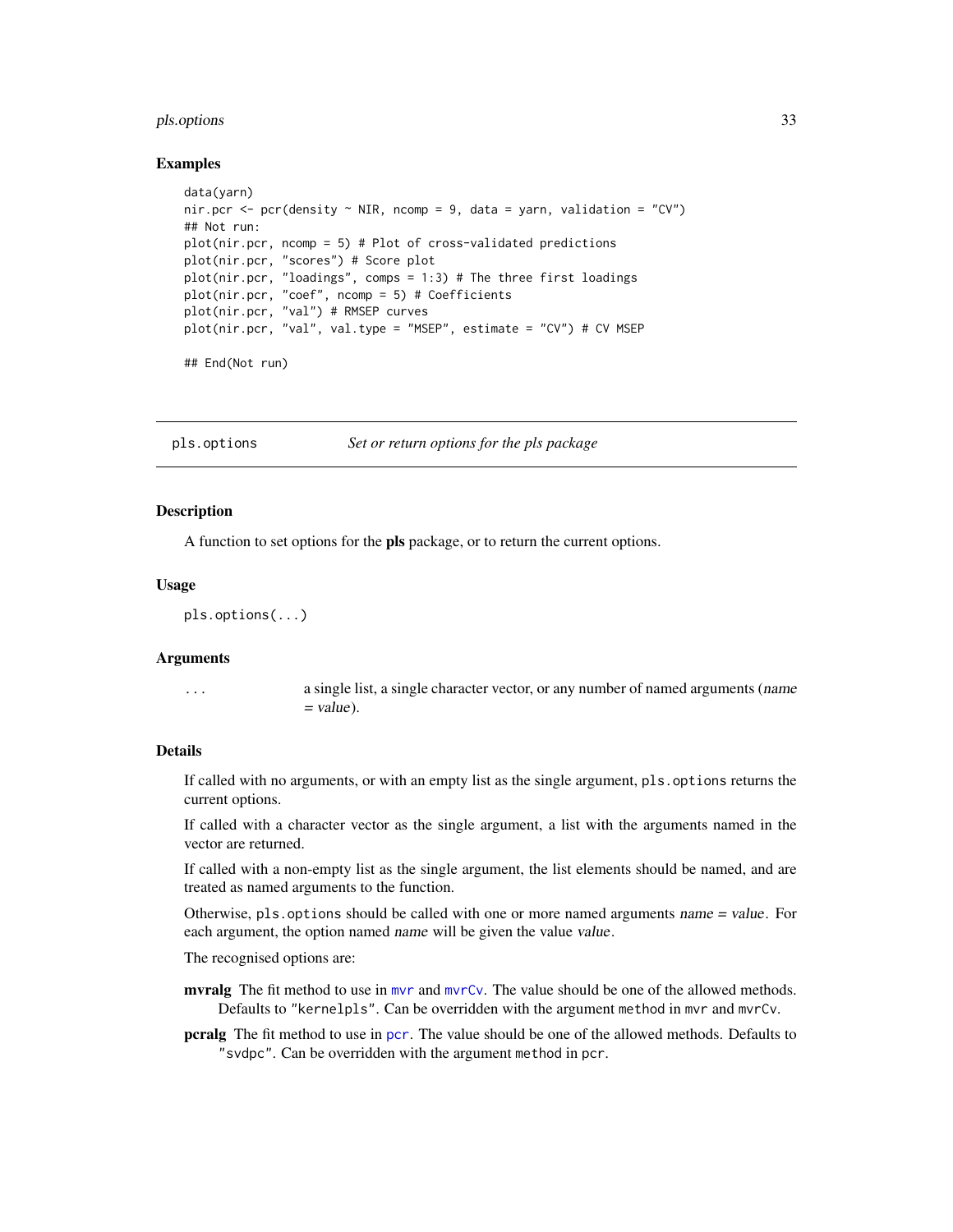#### <span id="page-32-0"></span>pls.options 33

#### Examples

```
data(yarn)
nir.pcr \leq pcr(density \sim NIR, ncomp = 9, data = yarn, validation = "CV")
## Not run:
plot(nir.pcr, ncomp = 5) # Plot of cross-validated predictions
plot(nir.pcr, "scores") # Score plot
plot(nir.pcr, "loadings", comps = 1:3) # The three first loadings
plot(nir.pcr, "coef", ncomp = 5) # Coefficients
plot(nir.pcr, "val") # RMSEP curves
plot(nir.pcr, "val", val.type = "MSEP", estimate = "CV") # CV MSEP
```
## End(Not run)

<span id="page-32-1"></span>pls.options *Set or return options for the pls package*

#### Description

A function to set options for the **pls** package, or to return the current options.

#### Usage

```
pls.options(...)
```
#### Arguments

... a single list, a single character vector, or any number of named arguments (name  $=$  value).

#### Details

If called with no arguments, or with an empty list as the single argument, pls.options returns the current options.

If called with a character vector as the single argument, a list with the arguments named in the vector are returned.

If called with a non-empty list as the single argument, the list elements should be named, and are treated as named arguments to the function.

Otherwise, pls.options should be called with one or more named arguments name = value. For each argument, the option named name will be given the value value.

The recognised options are:

[mvr](#page-20-1)alg The fit method to use in mvr and [mvrCv](#page-23-1). The value should be one of the allowed methods. Defaults to "kernelpls". Can be overridden with the argument method in mvr and mvrCv.

pcralg The fit method to use in [pcr](#page-20-2). The value should be one of the allowed methods. Defaults to "svdpc". Can be overridden with the argument method in pcr.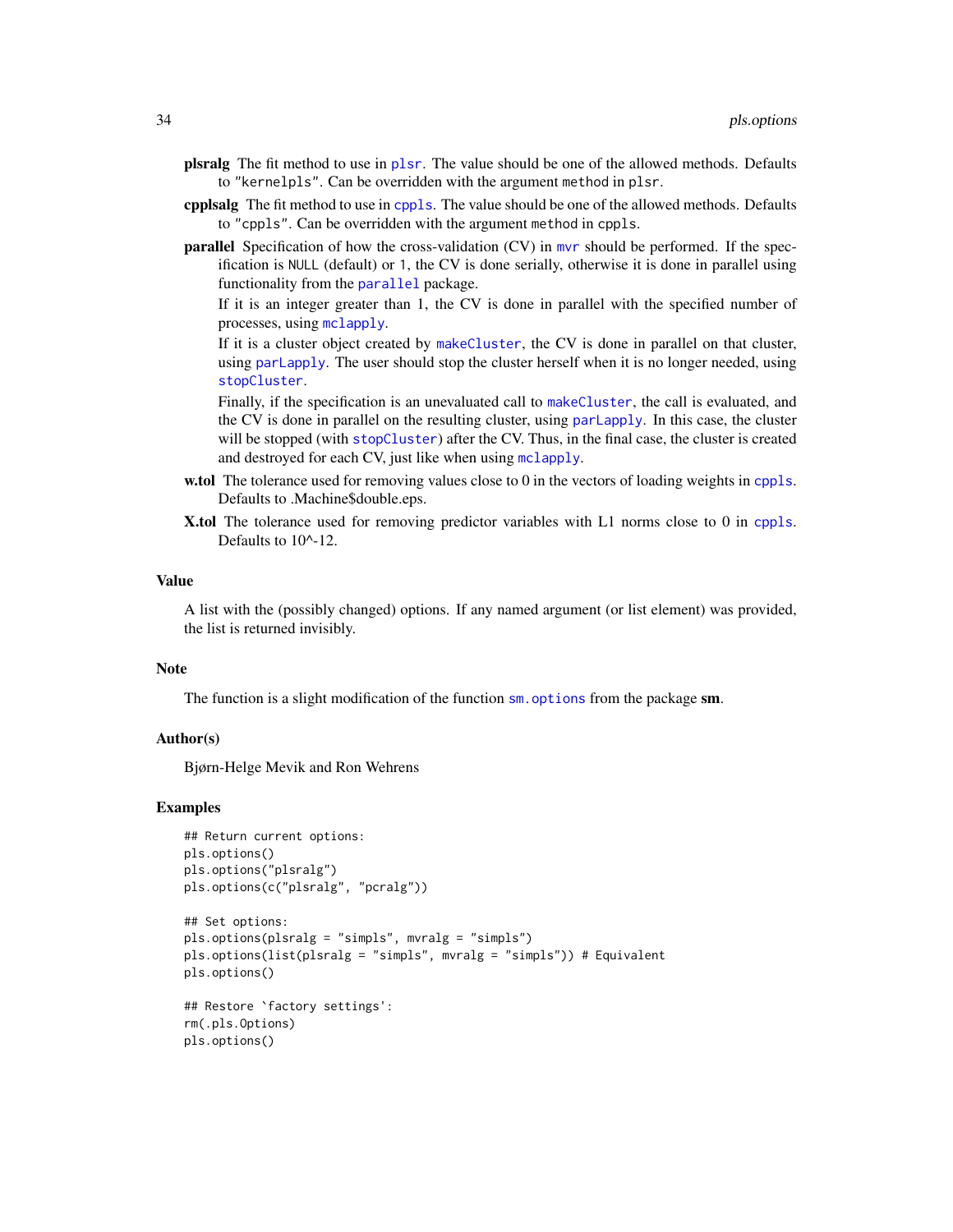- <span id="page-33-0"></span>plsralg The fit method to use in [plsr](#page-20-2). The value should be one of the allowed methods. Defaults to "kernelpls". Can be overridden with the argument method in plsr.
- cpplsalg The fit method to use in [cppls](#page-20-2). The value should be one of the allowed methods. Defaults to "cppls". Can be overridden with the argument method in cppls.
- parallel Specification of how the cross-validation (CV) in [mvr](#page-20-1) should be performed. If the specification is NULL (default) or 1, the CV is done serially, otherwise it is done in parallel using functionality from the [parallel](#page-0-0) package.

If it is an integer greater than 1, the CV is done in parallel with the specified number of processes, using [mclapply](#page-0-0).

If it is a cluster object created by [makeCluster](#page-0-0), the CV is done in parallel on that cluster, using [parLapply](#page-0-0). The user should stop the cluster herself when it is no longer needed, using [stopCluster](#page-0-0).

Finally, if the specification is an unevaluated call to [makeCluster](#page-0-0), the call is evaluated, and the CV is done in parallel on the resulting cluster, using [parLapply](#page-0-0). In this case, the cluster will be stopped (with [stopCluster](#page-0-0)) after the CV. Thus, in the final case, the cluster is created and destroyed for each CV, just like when using [mclapply](#page-0-0).

- w.tol The tolerance used for removing values close to 0 in the vectors of loading weights in [cppls](#page-20-2). Defaults to .Machine\$double.eps.
- X.tol The tolerance used for removing predictor variables with L1 norms close to 0 in [cppls](#page-20-2). Defaults to 10^-12.

#### Value

A list with the (possibly changed) options. If any named argument (or list element) was provided, the list is returned invisibly.

#### Note

The function is a slight modification of the function  $\mathsf{sm}$  options from the package  $\mathsf{sm}$ .

#### Author(s)

Bjørn-Helge Mevik and Ron Wehrens

#### Examples

```
## Return current options:
pls.options()
pls.options("plsralg")
pls.options(c("plsralg", "pcralg"))
```

```
## Set options:
pls.options(plsralg = "simpls", mvralg = "simpls")
pls.options(list(plsralg = "simpls", mvralg = "simpls")) # Equivalent
pls.options()
```

```
## Restore `factory settings':
rm(.pls.Options)
pls.options()
```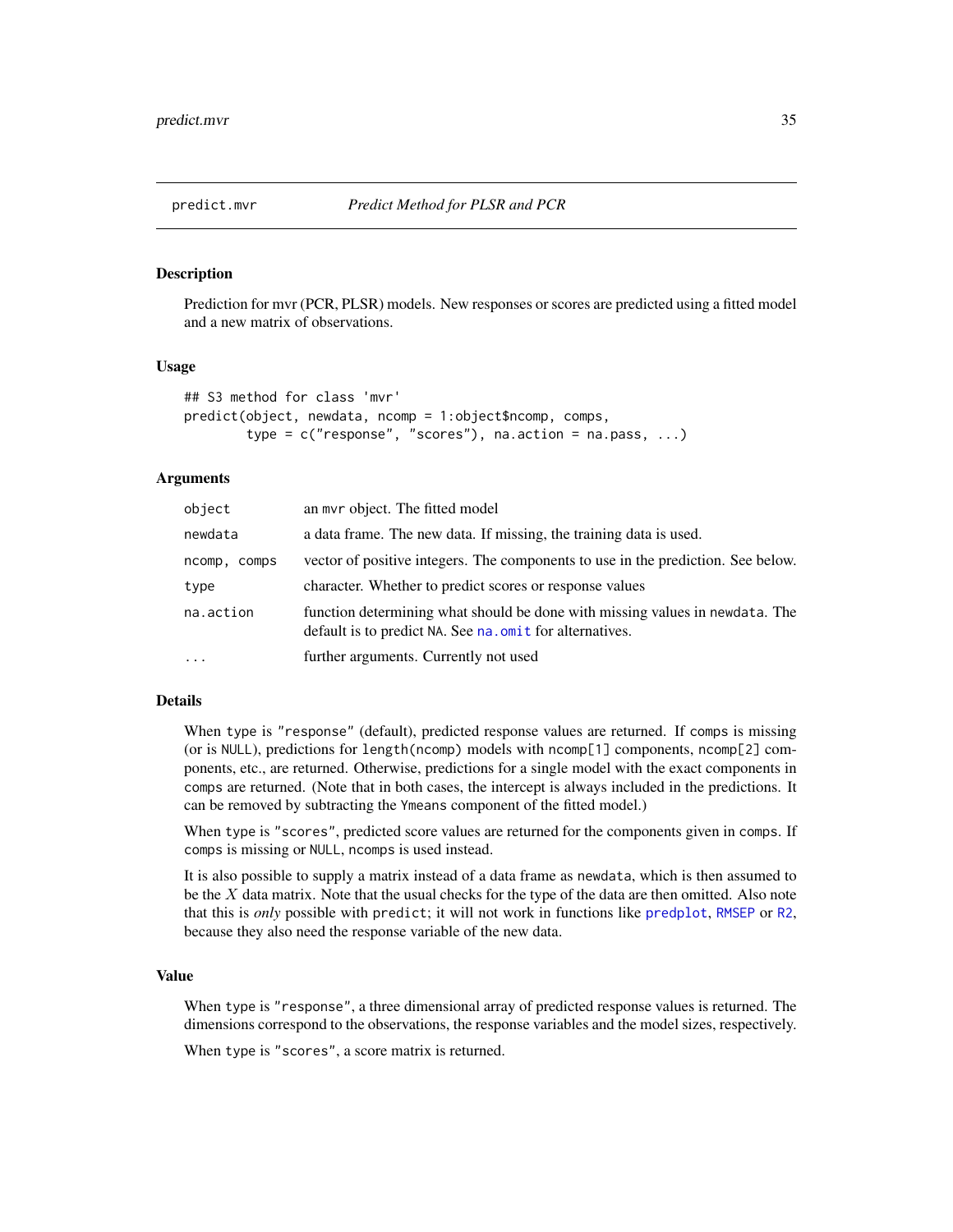<span id="page-34-1"></span><span id="page-34-0"></span>

#### **Description**

Prediction for mvr (PCR, PLSR) models. New responses or scores are predicted using a fitted model and a new matrix of observations.

#### Usage

```
## S3 method for class 'mvr'
predict(object, newdata, ncomp = 1:object$ncomp, comps,
        type = c("response", "scores"), na.action = na.pass, ...)
```
#### Arguments

| object          | an myr object. The fitted model                                                                                                          |
|-----------------|------------------------------------------------------------------------------------------------------------------------------------------|
| newdata         | a data frame. The new data. If missing, the training data is used.                                                                       |
| ncomp.<br>comps | vector of positive integers. The components to use in the prediction. See below.                                                         |
| type            | character. Whether to predict scores or response values                                                                                  |
| na.action       | function determining what should be done with missing values in newdata. The<br>default is to predict NA. See na. omit for alternatives. |
| .               | further arguments. Currently not used                                                                                                    |

# Details

When type is "response" (default), predicted response values are returned. If comps is missing (or is NULL), predictions for length(ncomp) models with ncomp[1] components, ncomp[2] components, etc., are returned. Otherwise, predictions for a single model with the exact components in comps are returned. (Note that in both cases, the intercept is always included in the predictions. It can be removed by subtracting the Ymeans component of the fitted model.)

When type is "scores", predicted score values are returned for the components given in comps. If comps is missing or NULL, ncomps is used instead.

It is also possible to supply a matrix instead of a data frame as newdata, which is then assumed to be the  $X$  data matrix. Note that the usual checks for the type of the data are then omitted. Also note that this is *only* possible with predict; it will not work in functions like [predplot](#page-35-2), [RMSEP](#page-26-1) or [R2](#page-26-1), because they also need the response variable of the new data.

#### Value

When type is "response", a three dimensional array of predicted response values is returned. The dimensions correspond to the observations, the response variables and the model sizes, respectively.

When type is "scores", a score matrix is returned.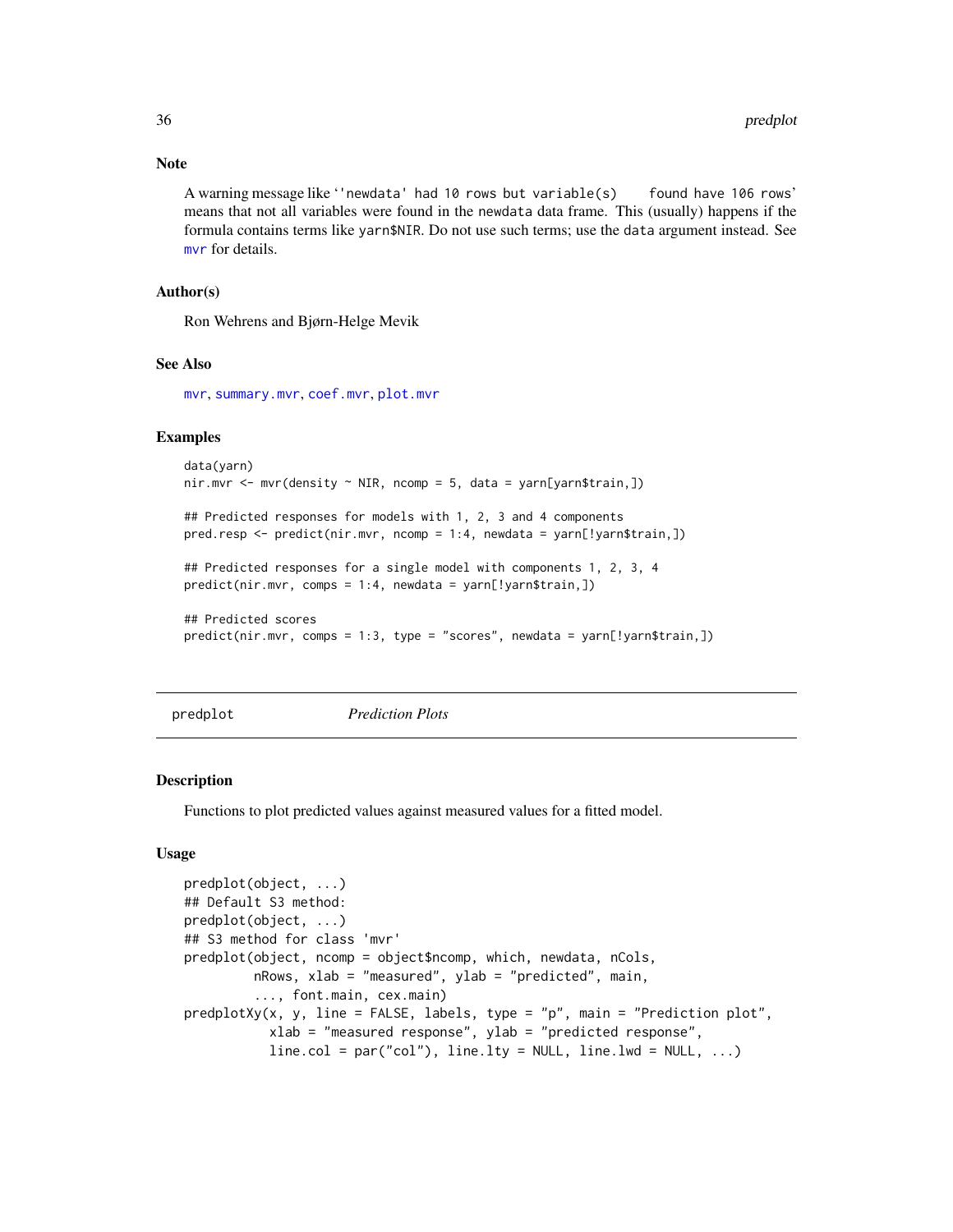#### Note

A warning message like ''newdata' had 10 rows but variable(s) found have 106 rows' means that not all variables were found in the newdata data frame. This (usually) happens if the formula contains terms like yarn\$NIR. Do not use such terms; use the data argument instead. See [mvr](#page-20-1) for details.

# Author(s)

Ron Wehrens and Bjørn-Helge Mevik

#### See Also

[mvr](#page-20-1), [summary.mvr](#page-45-1), [coef.mvr](#page-2-1), [plot.mvr](#page-31-1)

# Examples

```
data(yarn)
nir.mvr \leq mvr(density \sim NIR, ncomp = 5, data = yarn[yarn$train,])## Predicted responses for models with 1, 2, 3 and 4 components
pred.resp \leq predict(nir.mvr, ncomp = 1:4, newdata = yarn[!yarn$train,])
## Predicted responses for a single model with components 1, 2, 3, 4
predict(nir.mvr, comps = 1:4, newdata = yarn[!yarn$train,])
## Predicted scores
predict(nir.mvr, comps = 1:3, type = "scores", newdata = yarn[!yarn$train,])
```
<span id="page-35-2"></span>

predplot *Prediction Plots*

#### <span id="page-35-1"></span>Description

Functions to plot predicted values against measured values for a fitted model.

#### Usage

```
predplot(object, ...)
## Default S3 method:
predplot(object, ...)
## S3 method for class 'mvr'
predplot(object, ncomp = object$ncomp, which, newdata, nCols,
         nRows, xlab = "measured", ylab = "predicted", main,
         ..., font.main, cex.main)
predplotXy(x, y, line = FALSE, labels, type = "p", main = "Prediction plot",
           xlab = "measured response", ylab = "predicted response",
           line.col = par("col"), line. Ity = NULL, line. lwd = NULL, ...)
```
<span id="page-35-0"></span>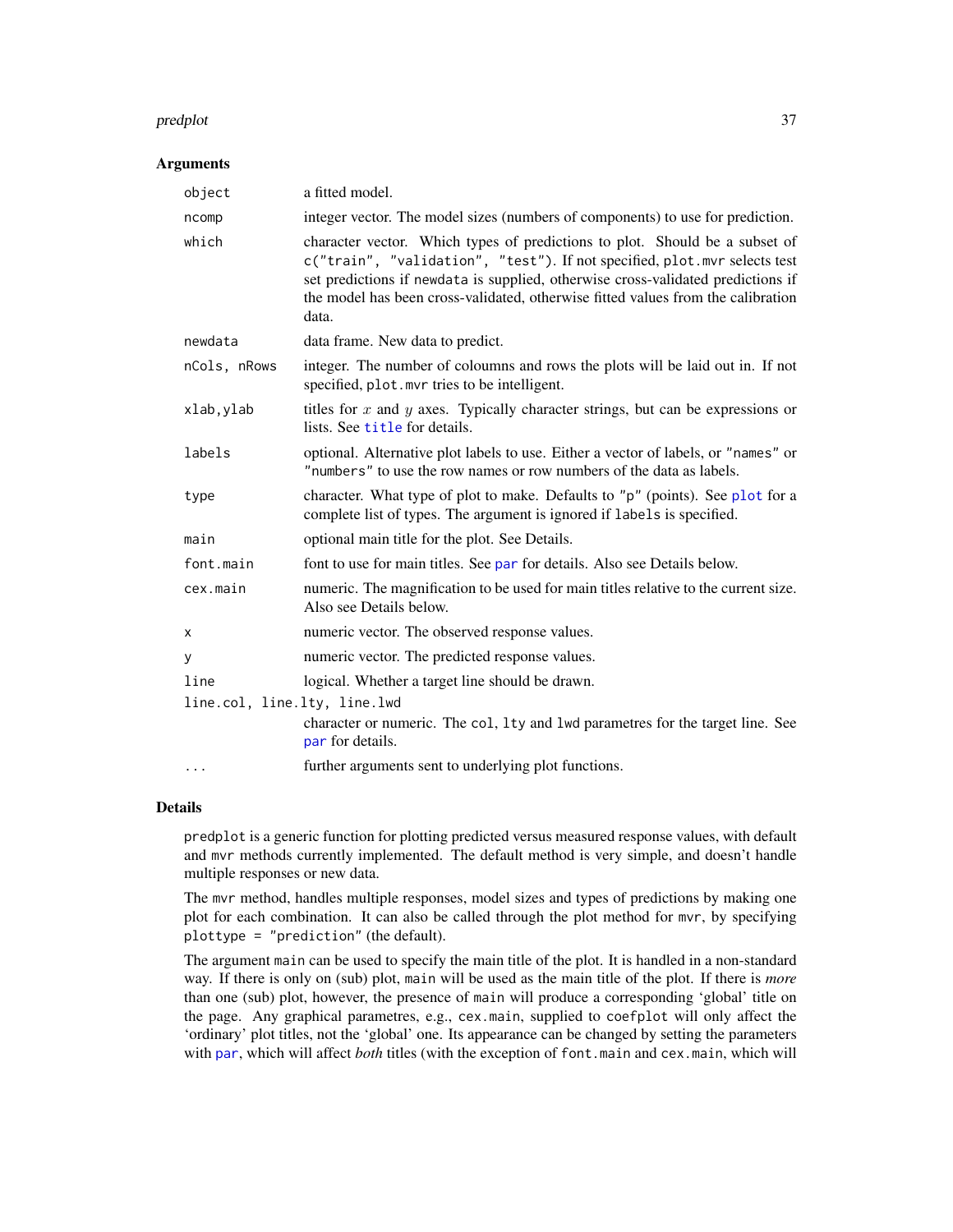#### <span id="page-36-0"></span>predplot 37

#### **Arguments**

| object                       | a fitted model.                                                                                                                                                                                                                                                                                                                           |
|------------------------------|-------------------------------------------------------------------------------------------------------------------------------------------------------------------------------------------------------------------------------------------------------------------------------------------------------------------------------------------|
| ncomp                        | integer vector. The model sizes (numbers of components) to use for prediction.                                                                                                                                                                                                                                                            |
| which                        | character vector. Which types of predictions to plot. Should be a subset of<br>c("train", "validation", "test"). If not specified, plot.mvr selects test<br>set predictions if newdata is supplied, otherwise cross-validated predictions if<br>the model has been cross-validated, otherwise fitted values from the calibration<br>data. |
| newdata                      | data frame. New data to predict.                                                                                                                                                                                                                                                                                                          |
| nCols, nRows                 | integer. The number of coloumns and rows the plots will be laid out in. If not<br>specified, plot. mvr tries to be intelligent.                                                                                                                                                                                                           |
| xlab, ylab                   | titles for $x$ and $y$ axes. Typically character strings, but can be expressions or<br>lists. See title for details.                                                                                                                                                                                                                      |
| labels                       | optional. Alternative plot labels to use. Either a vector of labels, or "names" or<br>"numbers" to use the row names or row numbers of the data as labels.                                                                                                                                                                                |
| type                         | character. What type of plot to make. Defaults to "p" (points). See plot for a<br>complete list of types. The argument is ignored if labels is specified.                                                                                                                                                                                 |
| main                         | optional main title for the plot. See Details.                                                                                                                                                                                                                                                                                            |
| font.main                    | font to use for main titles. See par for details. Also see Details below.                                                                                                                                                                                                                                                                 |
| cex.main                     | numeric. The magnification to be used for main titles relative to the current size.<br>Also see Details below.                                                                                                                                                                                                                            |
| X                            | numeric vector. The observed response values.                                                                                                                                                                                                                                                                                             |
| У                            | numeric vector. The predicted response values.                                                                                                                                                                                                                                                                                            |
| line                         | logical. Whether a target line should be drawn.                                                                                                                                                                                                                                                                                           |
| line.col, line.lty, line.lwd |                                                                                                                                                                                                                                                                                                                                           |
|                              | character or numeric. The col, 1ty and 1wd parametres for the target line. See<br>par for details.                                                                                                                                                                                                                                        |
| $\cdots$                     | further arguments sent to underlying plot functions.                                                                                                                                                                                                                                                                                      |

### Details

predplot is a generic function for plotting predicted versus measured response values, with default and mvr methods currently implemented. The default method is very simple, and doesn't handle multiple responses or new data.

The mvr method, handles multiple responses, model sizes and types of predictions by making one plot for each combination. It can also be called through the plot method for mvr, by specifying plottype = "prediction" (the default).

The argument main can be used to specify the main title of the plot. It is handled in a non-standard way. If there is only on (sub) plot, main will be used as the main title of the plot. If there is *more* than one (sub) plot, however, the presence of main will produce a corresponding 'global' title on the page. Any graphical parametres, e.g., cex.main, supplied to coefplot will only affect the 'ordinary' plot titles, not the 'global' one. Its appearance can be changed by setting the parameters with [par](#page-0-0), which will affect *both* titles (with the exception of font.main and cex.main, which will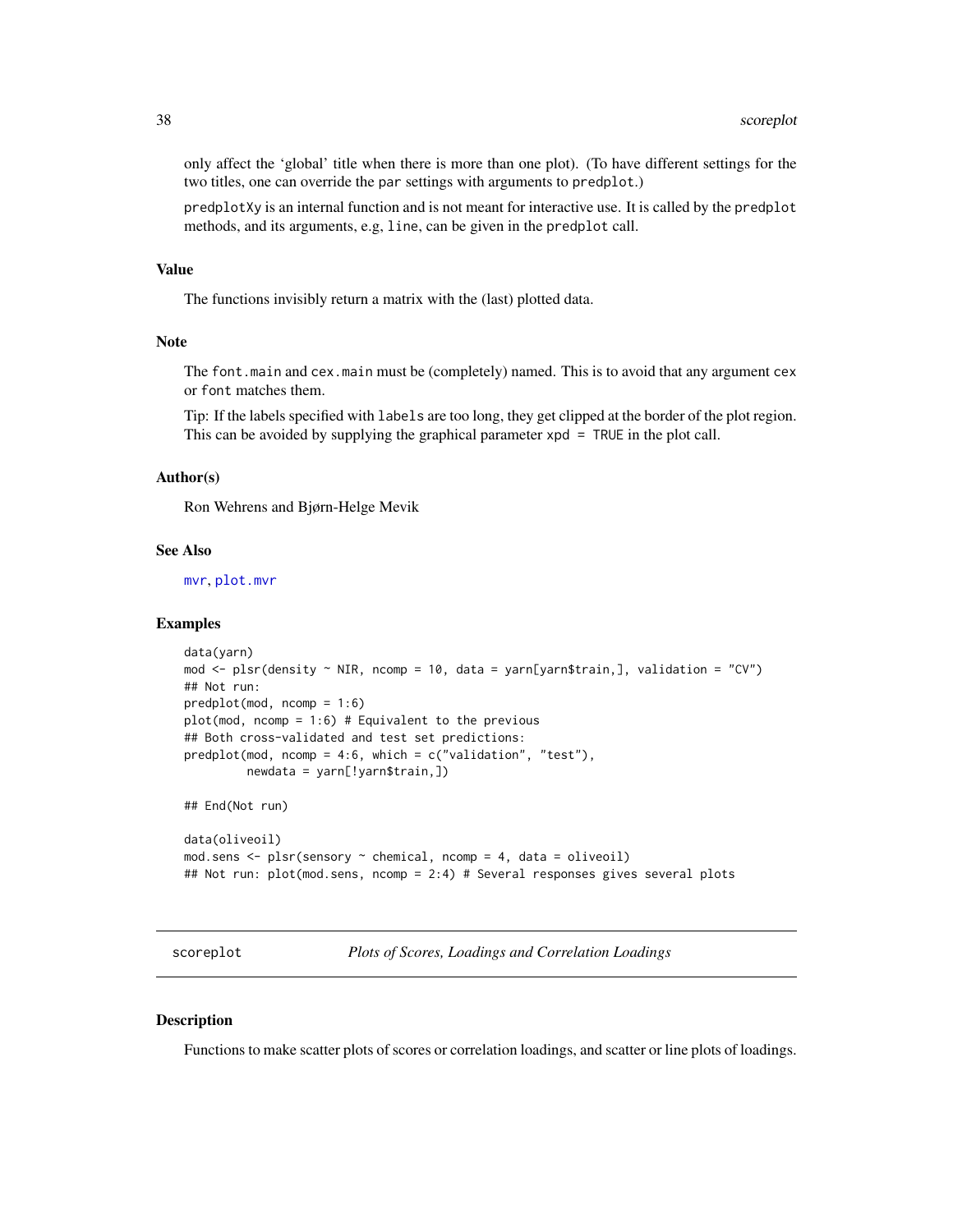<span id="page-37-0"></span>only affect the 'global' title when there is more than one plot). (To have different settings for the two titles, one can override the par settings with arguments to predplot.)

predplotXy is an internal function and is not meant for interactive use. It is called by the predplot methods, and its arguments, e.g, line, can be given in the predplot call.

#### Value

The functions invisibly return a matrix with the (last) plotted data.

# Note

The font.main and cex.main must be (completely) named. This is to avoid that any argument cex or font matches them.

Tip: If the labels specified with labels are too long, they get clipped at the border of the plot region. This can be avoided by supplying the graphical parameter  $xpd = TRUE$  in the plot call.

# Author(s)

Ron Wehrens and Bjørn-Helge Mevik

#### See Also

[mvr](#page-20-1), [plot.mvr](#page-31-1)

#### Examples

```
data(yarn)
mod <- plsr(density ~ NIR, ncomp = 10, data = yarn[yarn$train,], validation = "CV")
## Not run:
predplot(mod, ncomp = 1:6)
plot(mod, ncomp = 1:6) # Equivalent to the previous
## Both cross-validated and test set predictions:
predplot(mod, ncomp = 4:6, which = c("validation", "test"),newdata = yarn[!yarn$train,])
## End(Not run)
data(oliveoil)
mod.sens <- plsr(sensory ~ chemical, ncomp = 4, data = oliveoil)
## Not run: plot(mod.sens, ncomp = 2:4) # Several responses gives several plots
```
<span id="page-37-1"></span>scoreplot *Plots of Scores, Loadings and Correlation Loadings*

#### <span id="page-37-2"></span>**Description**

Functions to make scatter plots of scores or correlation loadings, and scatter or line plots of loadings.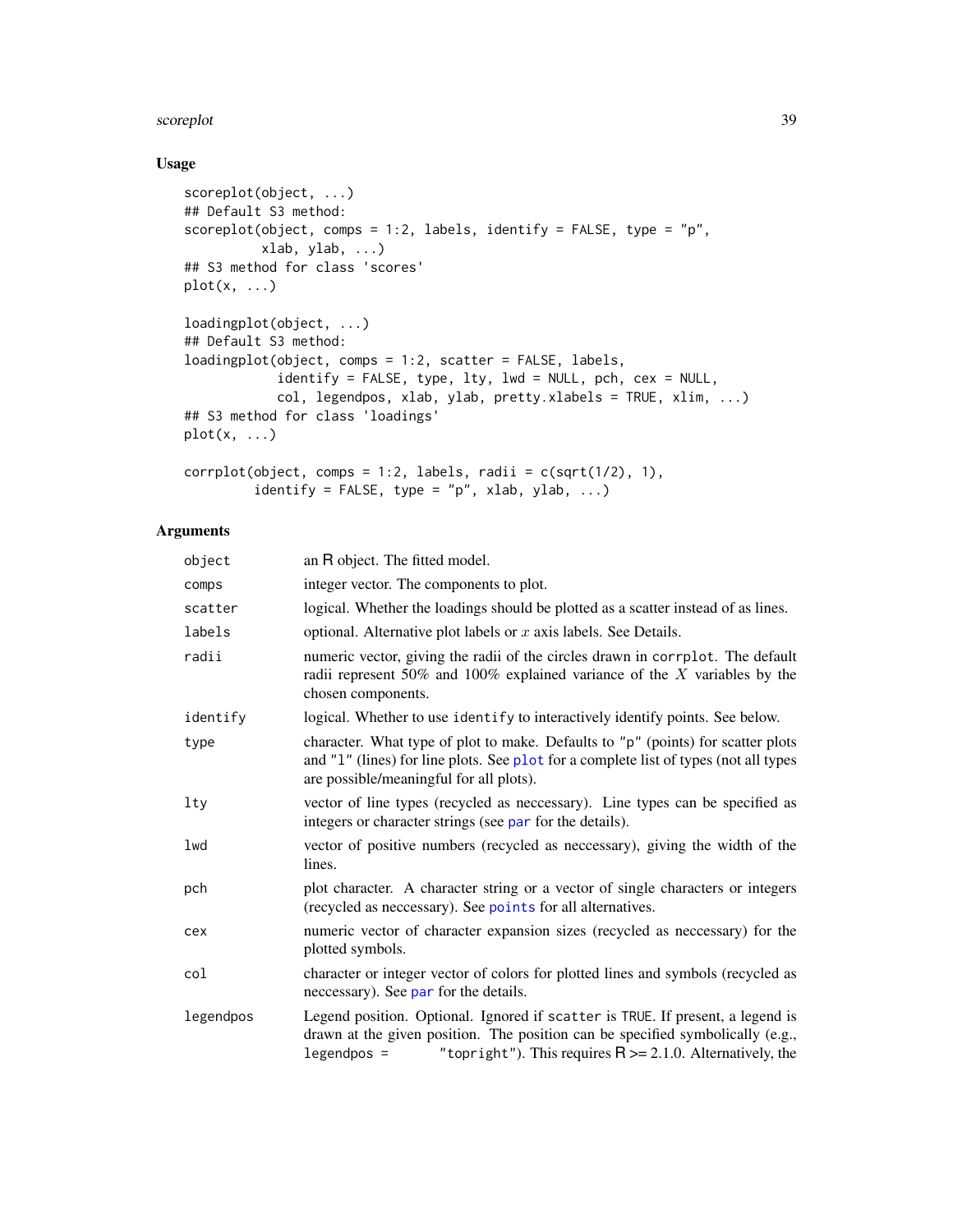#### <span id="page-38-0"></span>scoreplot 39

# Usage

```
scoreplot(object, ...)
## Default S3 method:
scoreplot(object, comps = 1:2, labels, identify = FALSE, type = "p",
          xlab, ylab, ...)
## S3 method for class 'scores'
plot(x, \ldots)loadingplot(object, ...)
## Default S3 method:
loadingplot(object, comps = 1:2, scatter = FALSE, labels,
            identify = FALSE, type, lty, lwd = NULL, pch, cex = NULL,
            col, legendpos, xlab, ylab, pretty.xlabels = TRUE, xlim, ...)
## S3 method for class 'loadings'
plot(x, \ldots)corrplot(object, compos = 1:2, labels, radii = c(sqrt(1/2), 1),
```
# identify = FALSE, type = "p", xlab, ylab, ...)

# Arguments

| object    | an R object. The fitted model.                                                                                                                                                                                                                     |
|-----------|----------------------------------------------------------------------------------------------------------------------------------------------------------------------------------------------------------------------------------------------------|
| comps     | integer vector. The components to plot.                                                                                                                                                                                                            |
| scatter   | logical. Whether the loadings should be plotted as a scatter instead of as lines.                                                                                                                                                                  |
| labels    | optional. Alternative plot labels or $x$ axis labels. See Details.                                                                                                                                                                                 |
| radii     | numeric vector, giving the radii of the circles drawn in corrplot. The default<br>radii represent 50% and 100% explained variance of the $X$ variables by the<br>chosen components.                                                                |
| identify  | logical. Whether to use identify to interactively identify points. See below.                                                                                                                                                                      |
| type      | character. What type of plot to make. Defaults to "p" (points) for scatter plots<br>and "1" (lines) for line plots. See plot for a complete list of types (not all types<br>are possible/meaningful for all plots).                                |
| lty       | vector of line types (recycled as neccessary). Line types can be specified as<br>integers or character strings (see par for the details).                                                                                                          |
| lwd       | vector of positive numbers (recycled as neccessary), giving the width of the<br>lines.                                                                                                                                                             |
| pch       | plot character. A character string or a vector of single characters or integers<br>(recycled as neccessary). See points for all alternatives.                                                                                                      |
| cex       | numeric vector of character expansion sizes (recycled as neccessary) for the<br>plotted symbols.                                                                                                                                                   |
| col       | character or integer vector of colors for plotted lines and symbols (recycled as<br>necessary). See par for the details.                                                                                                                           |
| legendpos | Legend position. Optional. Ignored if scatter is TRUE. If present, a legend is<br>drawn at the given position. The position can be specified symbolically (e.g.,<br>"topright"). This requires $R \ge 2.1.0$ . Alternatively, the<br>$legendpos =$ |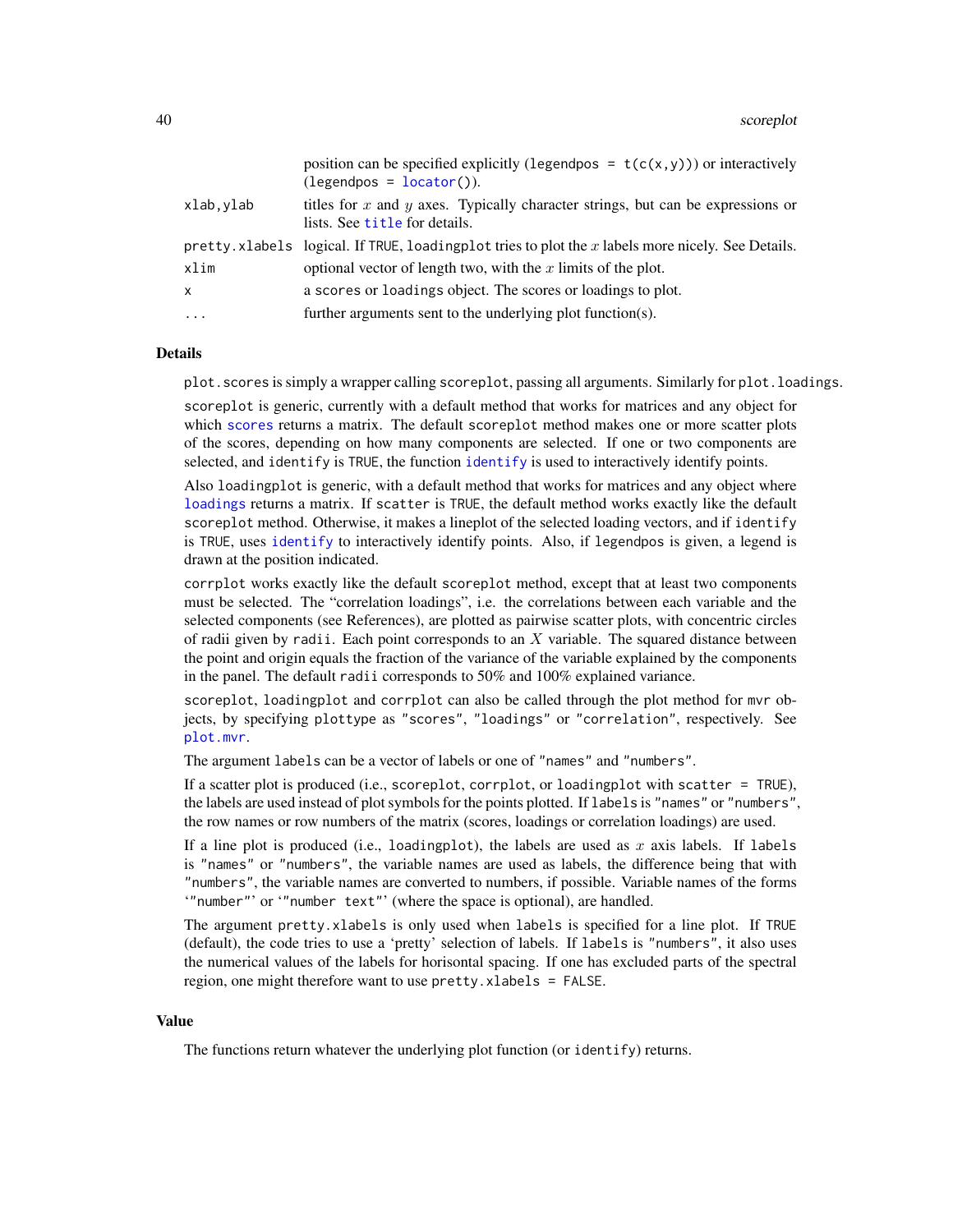<span id="page-39-0"></span>

|              | position can be specified explicitly (legendpos = $t(c(x, y))$ ) or interactively<br>$(legendpos = locator)).$       |
|--------------|----------------------------------------------------------------------------------------------------------------------|
| xlab,ylab    | titles for $x$ and $y$ axes. Typically character strings, but can be expressions or<br>lists. See title for details. |
|              | pretty. xlabels logical. If TRUE, loading plot tries to plot the x labels more nicely. See Details.                  |
| xlim         | optional vector of length two, with the $x$ limits of the plot.                                                      |
| $\mathsf{x}$ | a scores or loadings object. The scores or loadings to plot.                                                         |
| $\cdots$     | further arguments sent to the underlying plot function(s).                                                           |

#### Details

plot.scores is simply a wrapper calling scoreplot, passing all arguments. Similarly for plot.loadings.

scoreplot is generic, currently with a default method that works for matrices and any object for which [scores](#page-41-2) returns a matrix. The default scoreplot method makes one or more scatter plots of the scores, depending on how many components are selected. If one or two components are selected, and identify is TRUE, the function [identify](#page-0-0) is used to interactively identify points.

Also loadingplot is generic, with a default method that works for matrices and any object where [loadings](#page-41-1) returns a matrix. If scatter is TRUE, the default method works exactly like the default scoreplot method. Otherwise, it makes a lineplot of the selected loading vectors, and if identify is TRUE, uses [identify](#page-0-0) to interactively identify points. Also, if legendpos is given, a legend is drawn at the position indicated.

corrplot works exactly like the default scoreplot method, except that at least two components must be selected. The "correlation loadings", i.e. the correlations between each variable and the selected components (see References), are plotted as pairwise scatter plots, with concentric circles of radii given by radii. Each point corresponds to an  $X$  variable. The squared distance between the point and origin equals the fraction of the variance of the variable explained by the components in the panel. The default radii corresponds to 50% and 100% explained variance.

scoreplot, loadingplot and corrplot can also be called through the plot method for mvr objects, by specifying plottype as "scores", "loadings" or "correlation", respectively. See [plot.mvr](#page-31-1).

The argument labels can be a vector of labels or one of "names" and "numbers".

If a scatter plot is produced (i.e., scoreplot, corrplot, or loadingplot with scatter = TRUE), the labels are used instead of plot symbols for the points plotted. If labels is "names" or "numbers", the row names or row numbers of the matrix (scores, loadings or correlation loadings) are used.

If a line plot is produced (i.e., loadingplot), the labels are used as  $x$  axis labels. If labels is "names" or "numbers", the variable names are used as labels, the difference being that with "numbers", the variable names are converted to numbers, if possible. Variable names of the forms '"number"' or '"number text"' (where the space is optional), are handled.

The argument pretty.xlabels is only used when labels is specified for a line plot. If TRUE (default), the code tries to use a 'pretty' selection of labels. If labels is "numbers", it also uses the numerical values of the labels for horisontal spacing. If one has excluded parts of the spectral region, one might therefore want to use pretty.xlabels = FALSE.

## Value

The functions return whatever the underlying plot function (or identify) returns.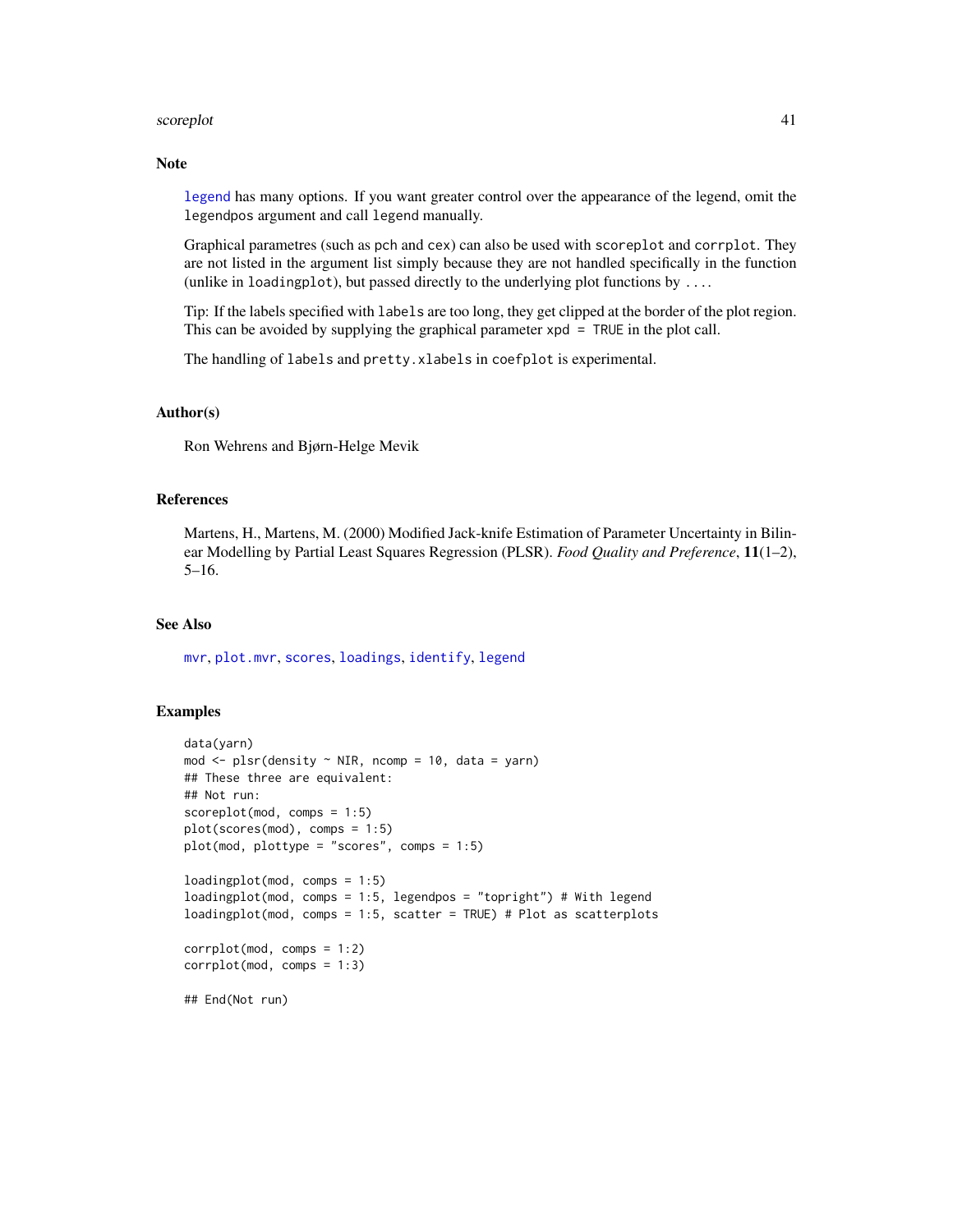#### <span id="page-40-0"></span>scoreplot that the set of the set of the set of the set of the set of the set of the set of the set of the set of the set of the set of the set of the set of the set of the set of the set of the set of the set of the set o

#### Note

[legend](#page-0-0) has many options. If you want greater control over the appearance of the legend, omit the legendpos argument and call legend manually.

Graphical parametres (such as pch and cex) can also be used with scoreplot and corrplot. They are not listed in the argument list simply because they are not handled specifically in the function (unlike in loadingplot), but passed directly to the underlying plot functions by ....

Tip: If the labels specified with labels are too long, they get clipped at the border of the plot region. This can be avoided by supplying the graphical parameter xpd = TRUE in the plot call.

The handling of labels and pretty.xlabels in coefplot is experimental.

# Author(s)

Ron Wehrens and Bjørn-Helge Mevik

#### References

Martens, H., Martens, M. (2000) Modified Jack-knife Estimation of Parameter Uncertainty in Bilinear Modelling by Partial Least Squares Regression (PLSR). *Food Quality and Preference*, 11(1–2), 5–16.

#### See Also

[mvr](#page-20-1), [plot.mvr](#page-31-1), [scores](#page-41-2), [loadings](#page-41-1), [identify](#page-0-0), [legend](#page-0-0)

## Examples

```
data(yarn)
mod \le plsr(density \sim NIR, ncomp = 10, data = yarn)
## These three are equivalent:
## Not run:
scoreplot(mod, comps = 1:5)
plot(scores(mod), comps = 1:5)
plot(mod, plottype = "scores", comps = 1:5)
loadingplot(mod, comps = 1:5)
loadingplot(mod, comps = 1:5, legendpos = "topright") # With legend
loadingplot(mod, comps = 1:5, scatter = TRUE) # Plot as scatterplots
corrplot(mod, comps = 1:2)
correlation(mod, comps = 1:3)## End(Not run)
```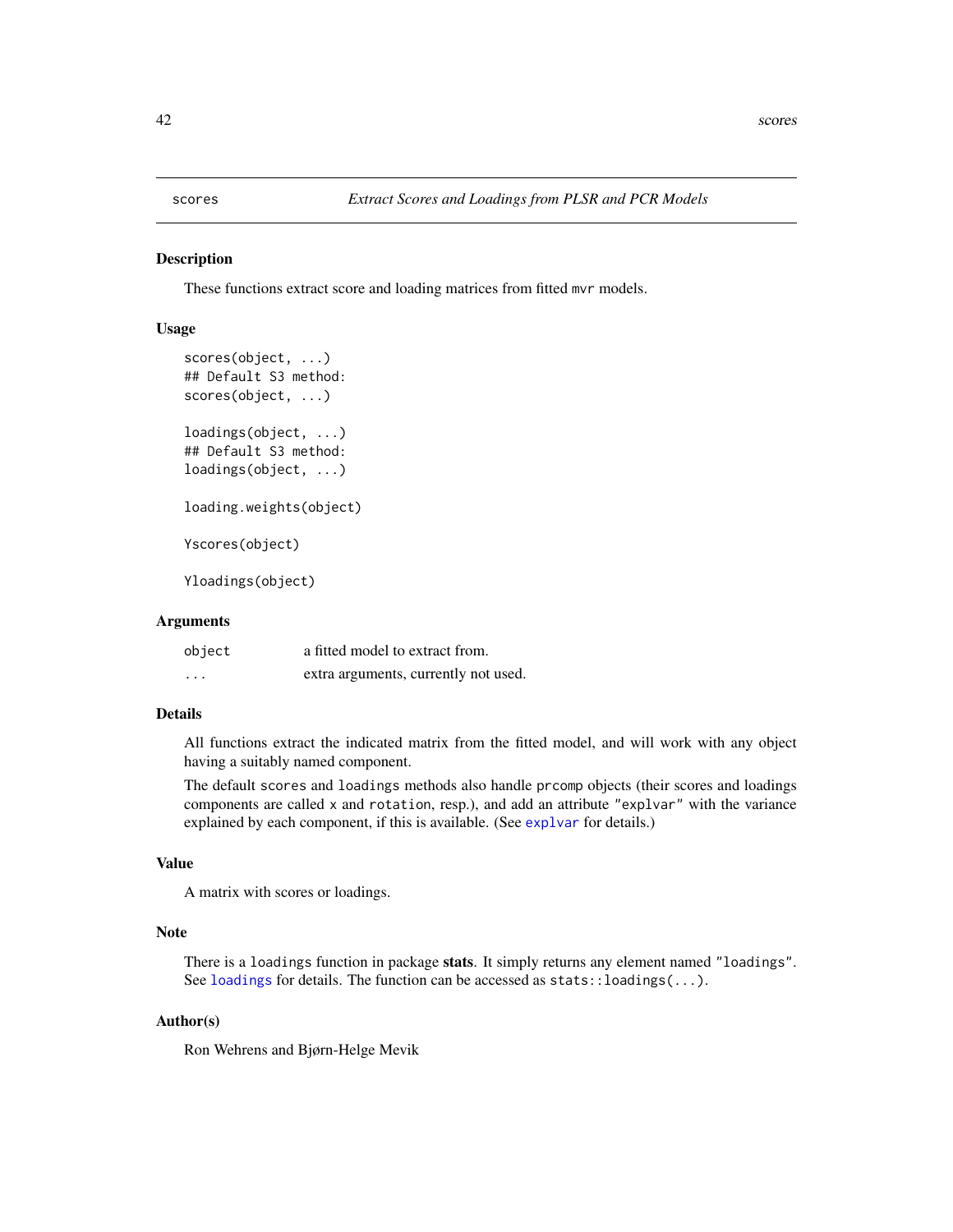#### <span id="page-41-2"></span><span id="page-41-1"></span><span id="page-41-0"></span>Description

These functions extract score and loading matrices from fitted mvr models.

#### Usage

```
scores(object, ...)
## Default S3 method:
scores(object, ...)
loadings(object, ...)
## Default S3 method:
loadings(object, ...)
loading.weights(object)
Yscores(object)
Yloadings(object)
```
# Arguments

| object                  | a fitted model to extract from.      |
|-------------------------|--------------------------------------|
| $\cdot$ $\cdot$ $\cdot$ | extra arguments, currently not used. |

#### Details

All functions extract the indicated matrix from the fitted model, and will work with any object having a suitably named component.

The default scores and loadings methods also handle prcomp objects (their scores and loadings components are called x and rotation, resp.), and add an attribute "explvar" with the variance explained by each component, if this is available. (See [explvar](#page-2-2) for details.)

# Value

A matrix with scores or loadings.

# Note

There is a loadings function in package stats. It simply returns any element named "loadings". See [loadings](#page-41-1) for details. The function can be accessed as stats::loadings(...).

#### Author(s)

Ron Wehrens and Bjørn-Helge Mevik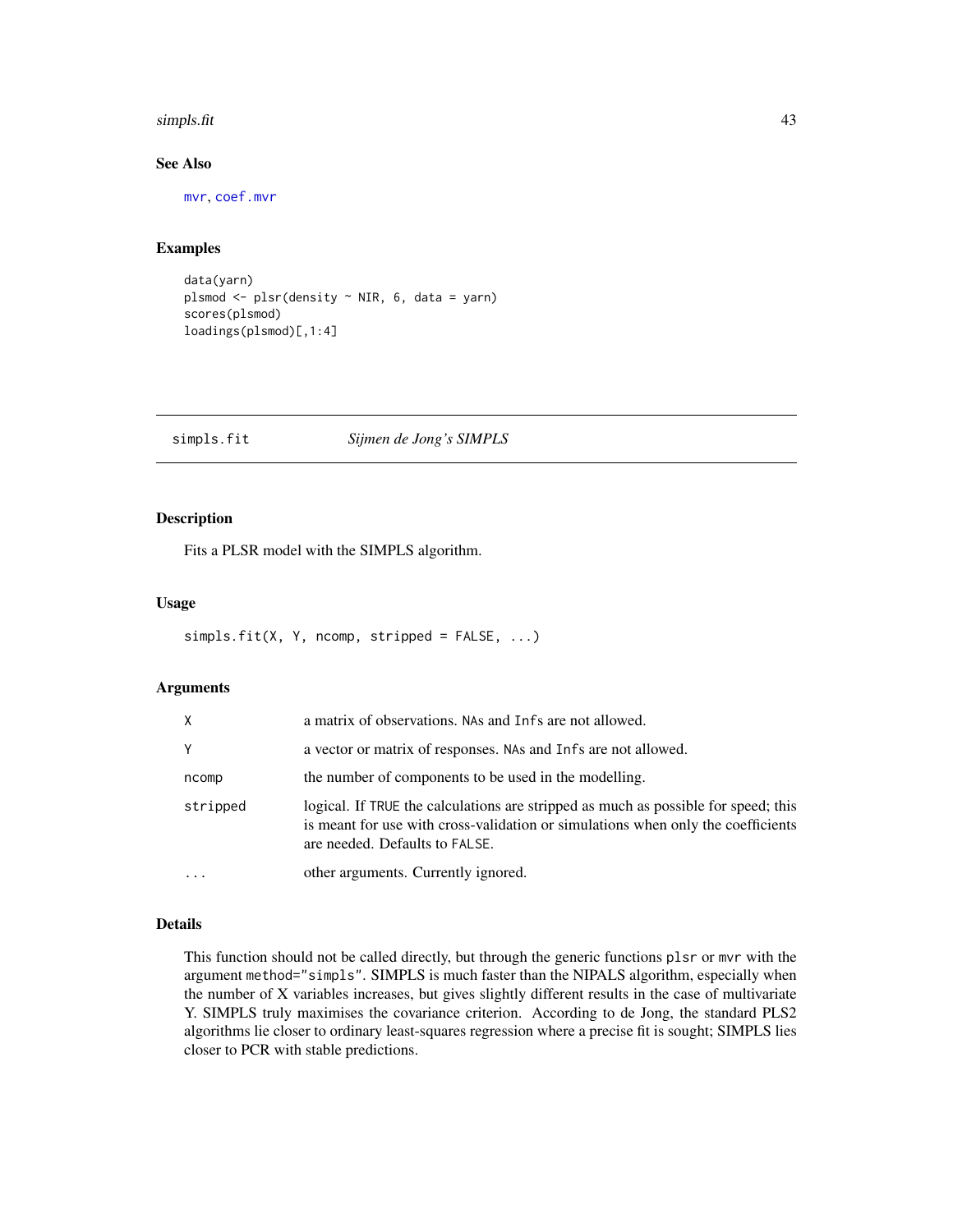#### <span id="page-42-0"></span>simpls.fit 43

# See Also

[mvr](#page-20-1), [coef.mvr](#page-2-1)

# Examples

```
data(yarn)
plsmod <- plsr(density ~ NIR, 6, data = yarn)
scores(plsmod)
loadings(plsmod)[,1:4]
```
### <span id="page-42-1"></span>simpls.fit *Sijmen de Jong's SIMPLS*

#### Description

Fits a PLSR model with the SIMPLS algorithm.

#### Usage

```
simpls.fit(X, Y, ncomp, stripped = FALSE, ...)
```
#### Arguments

| X        | a matrix of observations. NAs and Infs are not allowed.                                                                                                                                                  |
|----------|----------------------------------------------------------------------------------------------------------------------------------------------------------------------------------------------------------|
| Y        | a vector or matrix of responses. NAs and Infs are not allowed.                                                                                                                                           |
| ncomp    | the number of components to be used in the modelling.                                                                                                                                                    |
| stripped | logical. If TRUE the calculations are stripped as much as possible for speed; this<br>is meant for use with cross-validation or simulations when only the coefficients<br>are needed. Defaults to FALSE. |
| $\cdot$  | other arguments. Currently ignored.                                                                                                                                                                      |

## Details

This function should not be called directly, but through the generic functions plsr or mvr with the argument method="simpls". SIMPLS is much faster than the NIPALS algorithm, especially when the number of X variables increases, but gives slightly different results in the case of multivariate Y. SIMPLS truly maximises the covariance criterion. According to de Jong, the standard PLS2 algorithms lie closer to ordinary least-squares regression where a precise fit is sought; SIMPLS lies closer to PCR with stable predictions.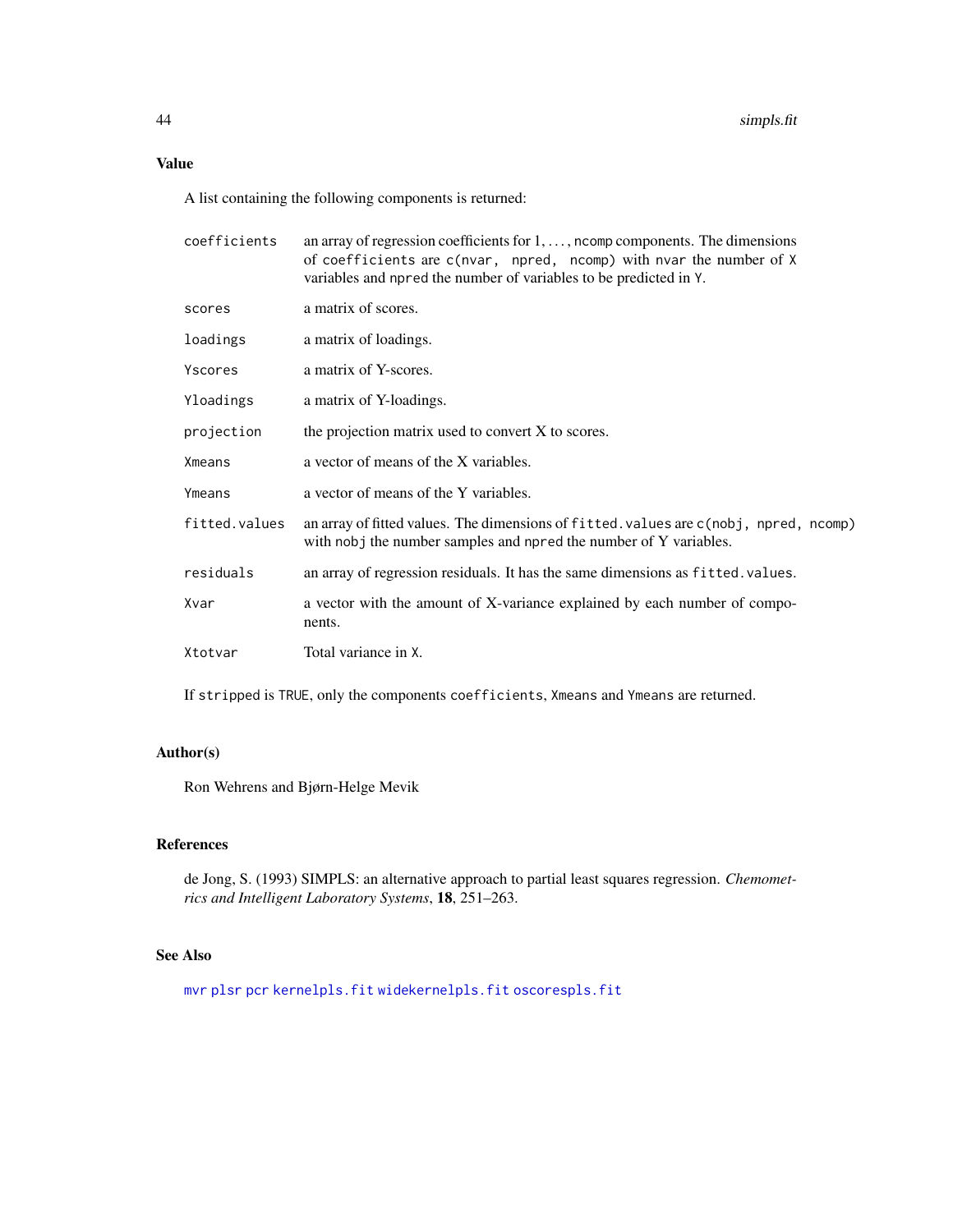# <span id="page-43-0"></span>Value

A list containing the following components is returned:

| coefficients  | an array of regression coefficients for $1, \ldots$ , ncomp components. The dimensions<br>of coefficients are c(nvar, npred, ncomp) with nvar the number of X<br>variables and npred the number of variables to be predicted in Y. |
|---------------|------------------------------------------------------------------------------------------------------------------------------------------------------------------------------------------------------------------------------------|
| scores        | a matrix of scores.                                                                                                                                                                                                                |
| loadings      | a matrix of loadings.                                                                                                                                                                                                              |
| Yscores       | a matrix of Y-scores.                                                                                                                                                                                                              |
| Yloadings     | a matrix of Y-loadings.                                                                                                                                                                                                            |
| projection    | the projection matrix used to convert X to scores.                                                                                                                                                                                 |
| <b>Xmeans</b> | a vector of means of the X variables.                                                                                                                                                                                              |
| Ymeans        | a vector of means of the Y variables.                                                                                                                                                                                              |
| fitted.values | an array of fitted values. The dimensions of fitted. values are c(nobj, npred, ncomp)<br>with nobj the number samples and npred the number of Y variables.                                                                         |
| residuals     | an array of regression residuals. It has the same dimensions as fitted values.                                                                                                                                                     |
| Xvar          | a vector with the amount of X-variance explained by each number of compo-<br>nents.                                                                                                                                                |
| Xtotvar       | Total variance in X.                                                                                                                                                                                                               |

If stripped is TRUE, only the components coefficients, Xmeans and Ymeans are returned.

# Author(s)

Ron Wehrens and Bjørn-Helge Mevik

### References

de Jong, S. (1993) SIMPLS: an alternative approach to partial least squares regression. *Chemometrics and Intelligent Laboratory Systems*, 18, 251–263.

# See Also

[mvr](#page-20-1) [plsr](#page-20-2) [pcr](#page-20-2) [kernelpls.fit](#page-16-1) [widekernelpls.fit](#page-51-1) [oscorespls.fit](#page-29-1)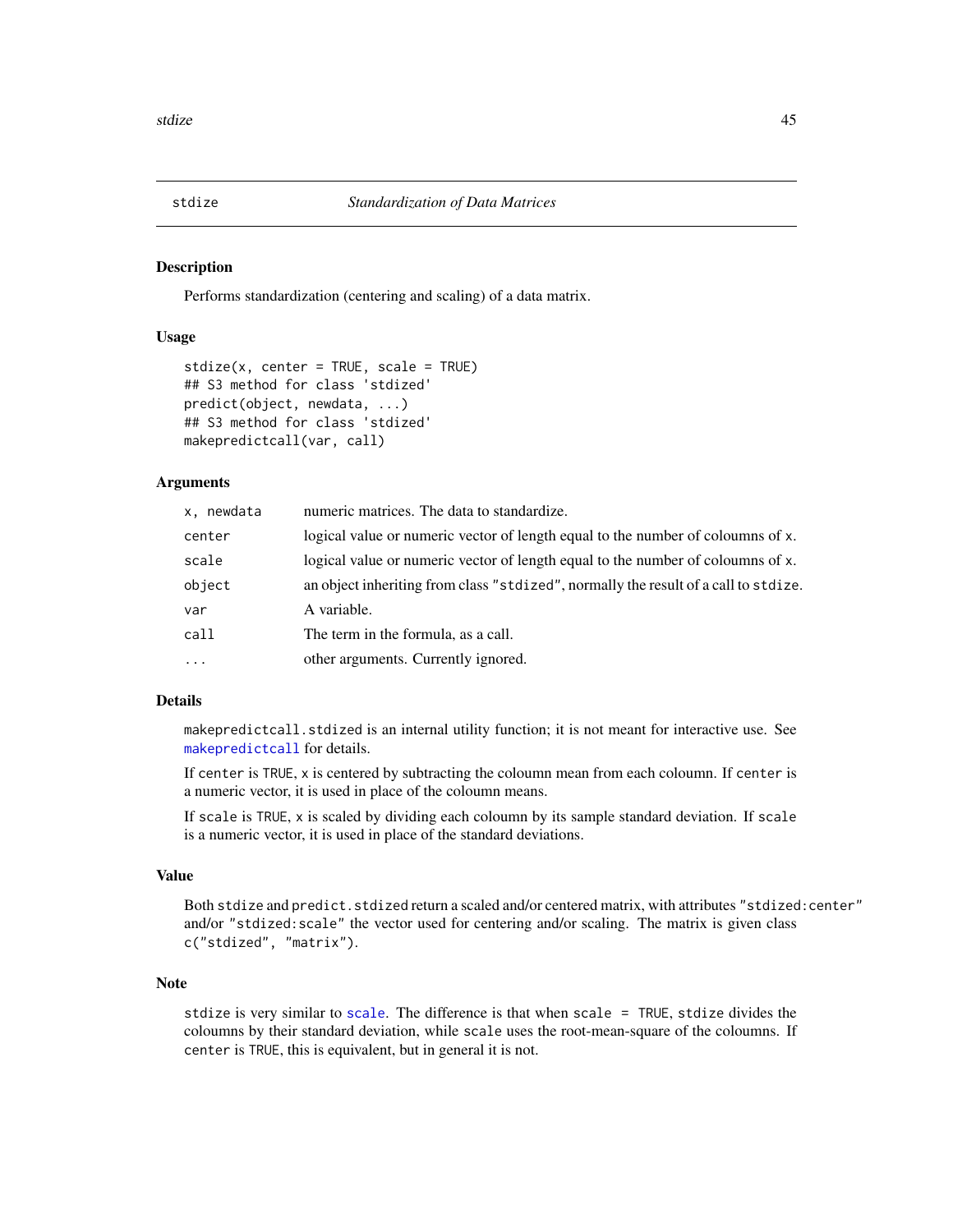<span id="page-44-1"></span><span id="page-44-0"></span>

#### **Description**

Performs standardization (centering and scaling) of a data matrix.

# Usage

```
stdize(x, center = TRUE, scale = TRUE)## S3 method for class 'stdized'
predict(object, newdata, ...)
## S3 method for class 'stdized'
makepredictcall(var, call)
```
#### Arguments

| x, newdata | numeric matrices. The data to standardize.                                          |
|------------|-------------------------------------------------------------------------------------|
| center     | logical value or numeric vector of length equal to the number of coloumns of x.     |
| scale      | logical value or numeric vector of length equal to the number of coloumns of x.     |
| object     | an object inheriting from class "stdized", normally the result of a call to stdize. |
| var        | A variable.                                                                         |
| call       | The term in the formula, as a call.                                                 |
| $\ddots$   | other arguments. Currently ignored.                                                 |
|            |                                                                                     |

# Details

makepredictcall.stdized is an internal utility function; it is not meant for interactive use. See [makepredictcall](#page-0-0) for details.

If center is TRUE, x is centered by subtracting the coloumn mean from each coloumn. If center is a numeric vector, it is used in place of the coloumn means.

If scale is TRUE, x is scaled by dividing each coloumn by its sample standard deviation. If scale is a numeric vector, it is used in place of the standard deviations.

#### Value

Both stdize and predict.stdized return a scaled and/or centered matrix, with attributes "stdized: center" and/or "stdized:scale" the vector used for centering and/or scaling. The matrix is given class c("stdized", "matrix").

# Note

stdize is very similar to [scale](#page-0-0). The difference is that when scale = TRUE, stdize divides the coloumns by their standard deviation, while scale uses the root-mean-square of the coloumns. If center is TRUE, this is equivalent, but in general it is not.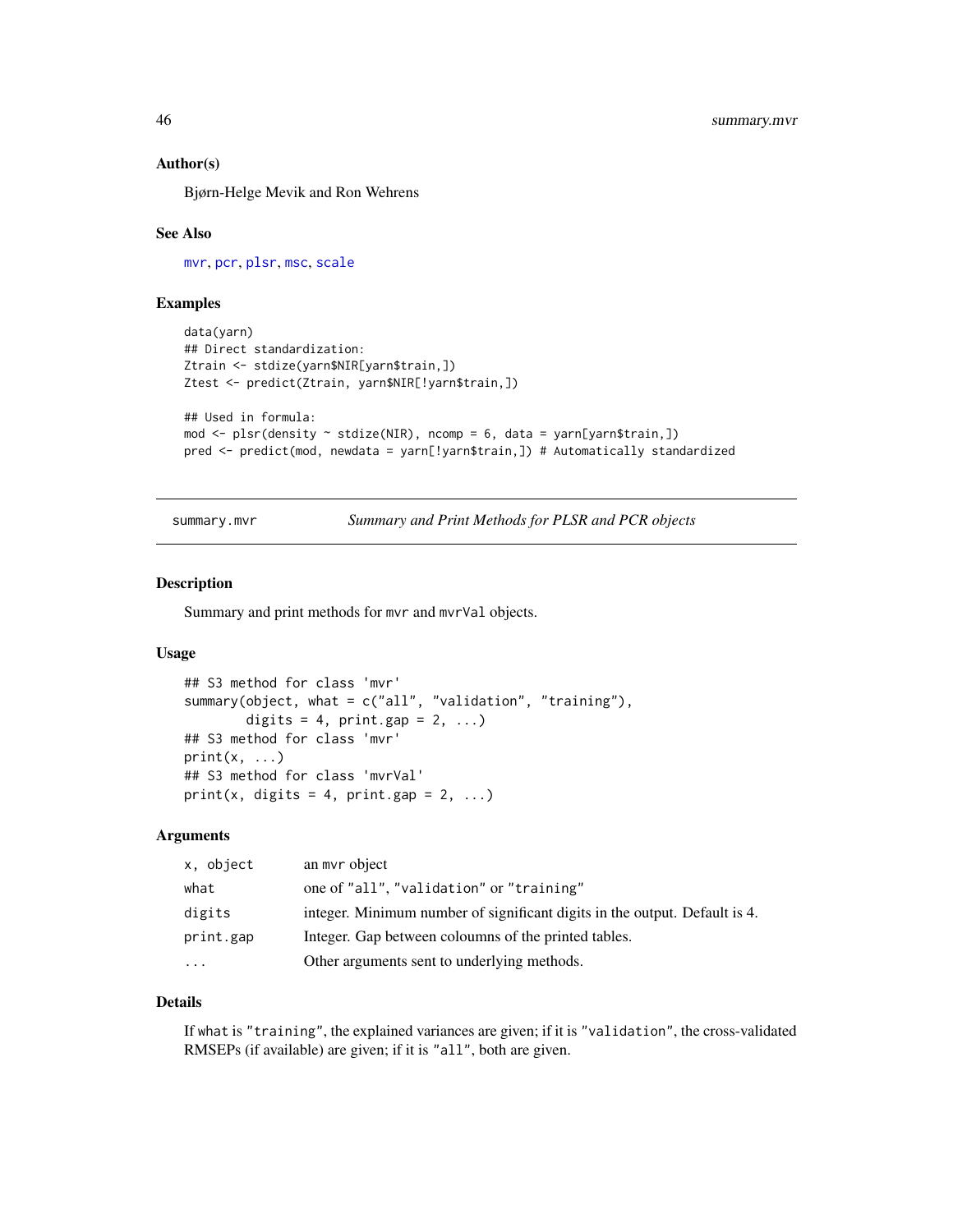#### <span id="page-45-0"></span>Author(s)

Bjørn-Helge Mevik and Ron Wehrens

#### See Also

[mvr](#page-20-1), [pcr](#page-20-2), [plsr](#page-20-2), [msc](#page-19-1), [scale](#page-0-0)

# Examples

```
data(yarn)
## Direct standardization:
Ztrain <- stdize(yarn$NIR[yarn$train,])
Ztest <- predict(Ztrain, yarn$NIR[!yarn$train,])
## Used in formula:
mod \le plsr(density \sim stdize(NIR), ncomp = 6, data = yarn[yarn$train,])
pred <- predict(mod, newdata = yarn[!yarn$train,]) # Automatically standardized
```
<span id="page-45-1"></span>summary.mvr *Summary and Print Methods for PLSR and PCR objects*

#### Description

Summary and print methods for mvr and mvrVal objects.

#### Usage

```
## S3 method for class 'mvr'
summary(object, what = c("all", "validation", "training"),
        digits = 4, print.gap = 2, ...## S3 method for class 'mvr'
print(x, \ldots)## S3 method for class 'mvrVal'
print(x, digits = 4, print.gap = 2, ...)
```
#### Arguments

| x, object | an myr object                                                              |
|-----------|----------------------------------------------------------------------------|
| what      | one of "all", "validation" or "training"                                   |
| digits    | integer. Minimum number of significant digits in the output. Default is 4. |
| print.gap | Integer. Gap between coloumns of the printed tables.                       |
| $\cdots$  | Other arguments sent to underlying methods.                                |

# Details

If what is "training", the explained variances are given; if it is "validation", the cross-validated RMSEPs (if available) are given; if it is "all", both are given.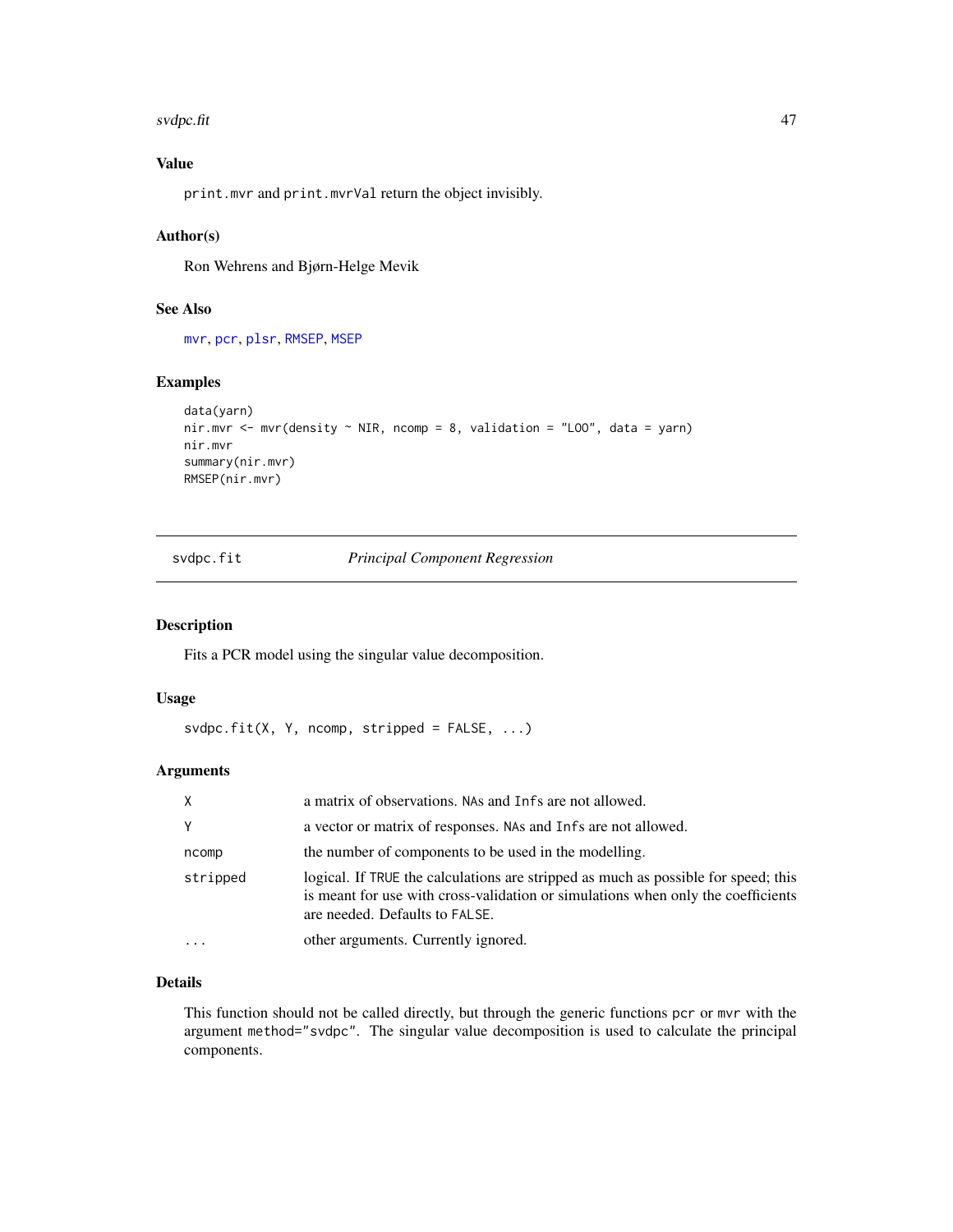#### <span id="page-46-0"></span>svdpc.fit 47

# Value

print.mvr and print.mvrVal return the object invisibly.

# Author(s)

Ron Wehrens and Bjørn-Helge Mevik

# See Also

[mvr](#page-20-1), [pcr](#page-20-2), [plsr](#page-20-2), [RMSEP](#page-26-1), [MSEP](#page-26-1)

# Examples

```
data(yarn)
nir.mvr <- mvr(density \sim NIR, ncomp = 8, validation = "LOO", data = yarn)
nir.mvr
summary(nir.mvr)
RMSEP(nir.mvr)
```
svdpc.fit *Principal Component Regression*

# Description

Fits a PCR model using the singular value decomposition.

# Usage

```
s \lor d \text{pc}.fit(X, Y, n \text{comp}, string \text{ped} = FALSE, ...)
```
# Arguments

| X        | a matrix of observations. NAs and Infs are not allowed.                                                                                                                                                  |
|----------|----------------------------------------------------------------------------------------------------------------------------------------------------------------------------------------------------------|
| Y        | a vector or matrix of responses. NAs and Infs are not allowed.                                                                                                                                           |
| ncomp    | the number of components to be used in the modelling.                                                                                                                                                    |
| stripped | logical. If TRUE the calculations are stripped as much as possible for speed; this<br>is meant for use with cross-validation or simulations when only the coefficients<br>are needed. Defaults to FALSE. |
|          | other arguments. Currently ignored.                                                                                                                                                                      |

# Details

This function should not be called directly, but through the generic functions pcr or mvr with the argument method="svdpc". The singular value decomposition is used to calculate the principal components.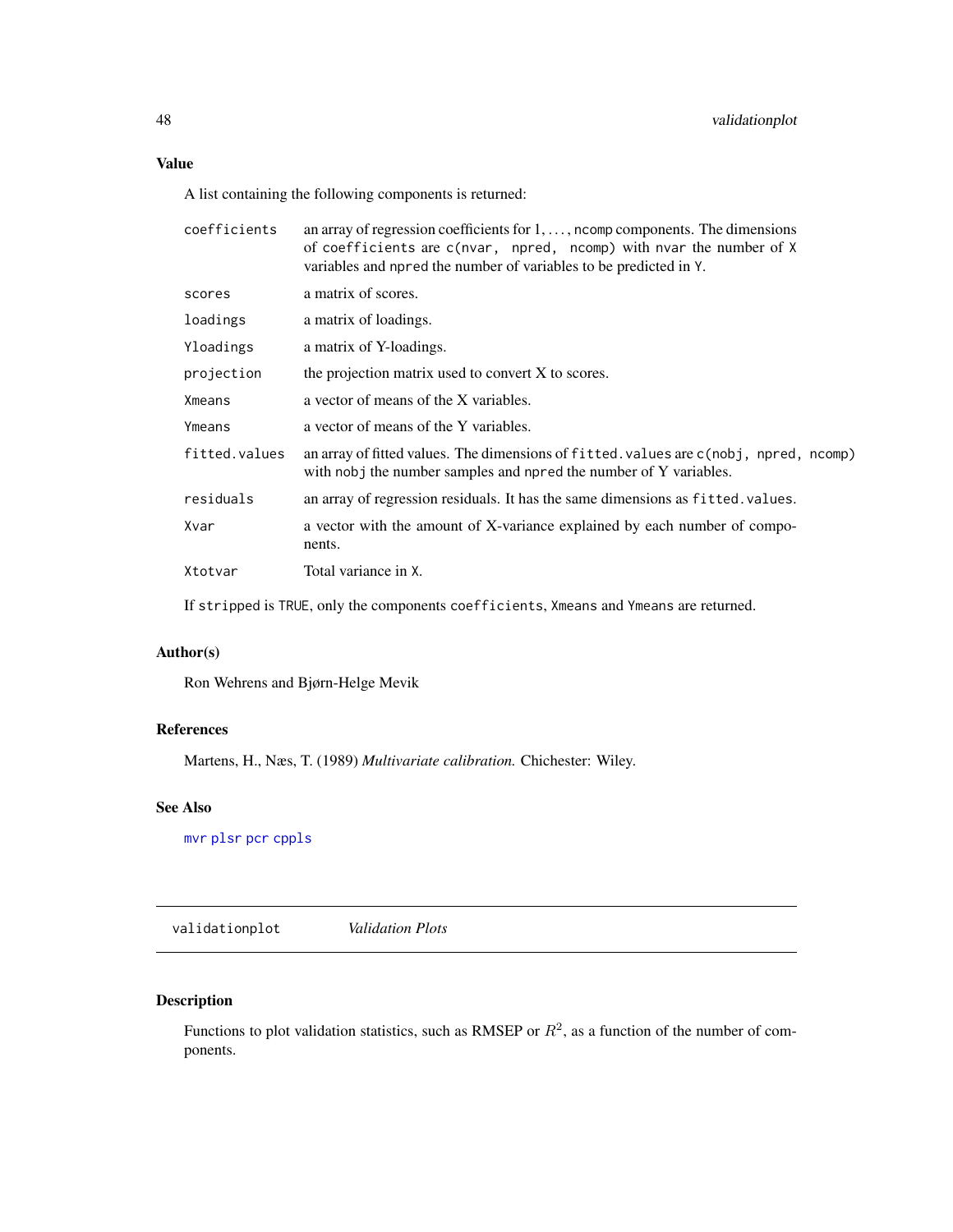# <span id="page-47-0"></span>Value

A list containing the following components is returned:

| coefficients  | an array of regression coefficients for $1, \ldots$ , north components. The dimensions<br>of coefficients are c(nvar, npred, ncomp) with nvar the number of X<br>variables and npred the number of variables to be predicted in Y. |
|---------------|------------------------------------------------------------------------------------------------------------------------------------------------------------------------------------------------------------------------------------|
| scores        | a matrix of scores.                                                                                                                                                                                                                |
| loadings      | a matrix of loadings.                                                                                                                                                                                                              |
| Yloadings     | a matrix of Y-loadings.                                                                                                                                                                                                            |
| projection    | the projection matrix used to convert X to scores.                                                                                                                                                                                 |
| Xmeans        | a vector of means of the X variables.                                                                                                                                                                                              |
| Ymeans        | a vector of means of the Y variables.                                                                                                                                                                                              |
| fitted.values | an array of fitted values. The dimensions of fitted values are c(nobj, npred, ncomp)<br>with nobj the number samples and npred the number of Y variables.                                                                          |
| residuals     | an array of regression residuals. It has the same dimensions as fitted. values.                                                                                                                                                    |
| Xvar          | a vector with the amount of X-variance explained by each number of compo-<br>nents.                                                                                                                                                |
| Xtotvar       | Total variance in X.                                                                                                                                                                                                               |
|               |                                                                                                                                                                                                                                    |

If stripped is TRUE, only the components coefficients, Xmeans and Ymeans are returned.

# Author(s)

Ron Wehrens and Bjørn-Helge Mevik

### References

Martens, H., Næs, T. (1989) *Multivariate calibration.* Chichester: Wiley.

# See Also

[mvr](#page-20-1) [plsr](#page-20-2) [pcr](#page-20-2) [cppls](#page-20-2)

<span id="page-47-1"></span>validationplot *Validation Plots*

# <span id="page-47-2"></span>Description

Functions to plot validation statistics, such as RMSEP or  $R^2$ , as a function of the number of components.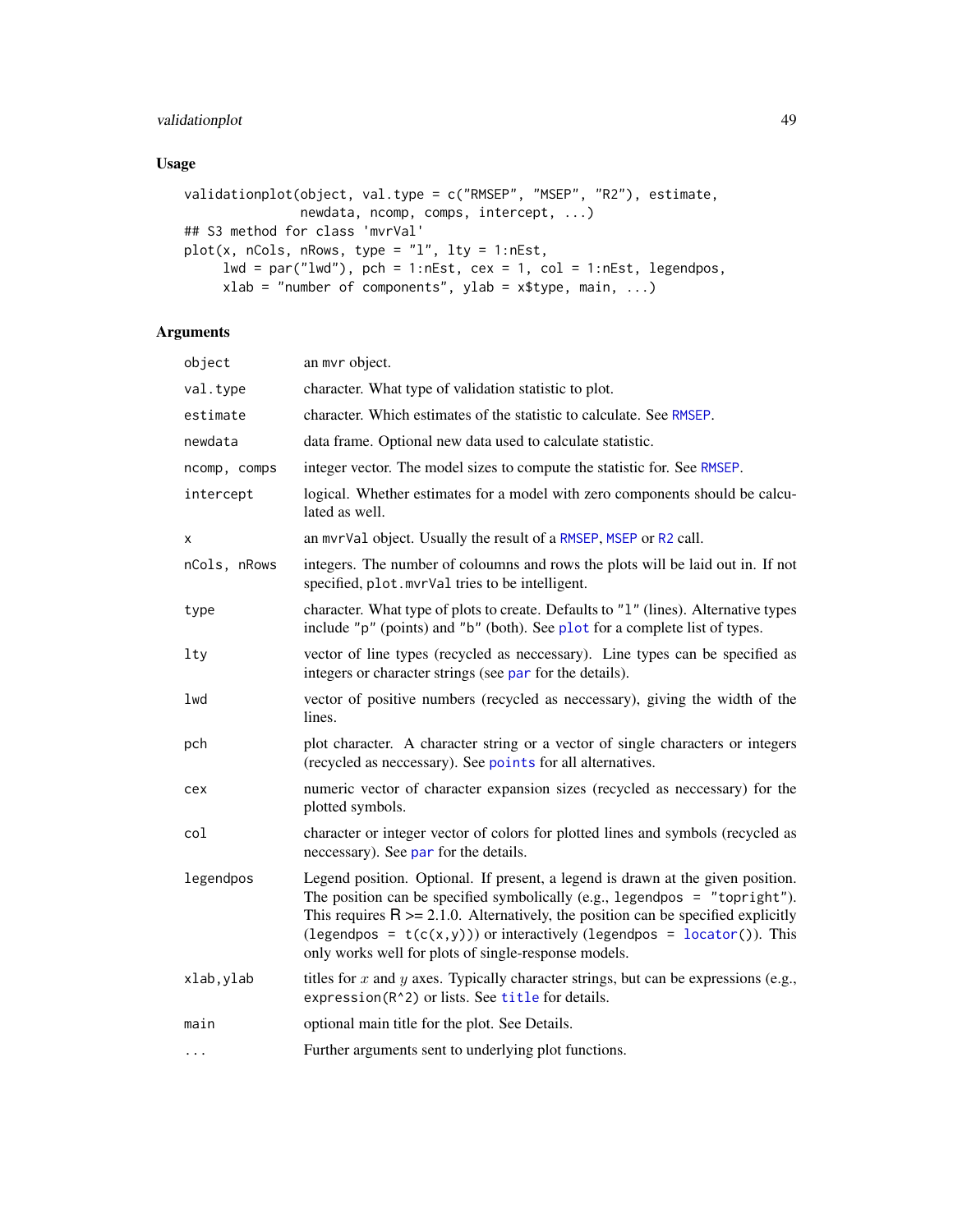# <span id="page-48-0"></span>validationplot 49

# Usage

```
validationplot(object, val.type = c("RMSEP", "MSEP", "R2"), estimate,
               newdata, ncomp, comps, intercept, ...)
## S3 method for class 'mvrVal'
plot(x, nCols, nRows, type = "l", lty = 1:nEst,
     lwd = par("lwd"), pch = 1:nEst, cex = 1, col = 1:nEst, legendpos,
    xlab = "number of components", ylab = x$type, main, ...)
```
# Arguments

| object       | an mvr object.                                                                                                                                                                                                                                                                                                                                                                              |
|--------------|---------------------------------------------------------------------------------------------------------------------------------------------------------------------------------------------------------------------------------------------------------------------------------------------------------------------------------------------------------------------------------------------|
| val.type     | character. What type of validation statistic to plot.                                                                                                                                                                                                                                                                                                                                       |
| estimate     | character. Which estimates of the statistic to calculate. See RMSEP.                                                                                                                                                                                                                                                                                                                        |
| newdata      | data frame. Optional new data used to calculate statistic.                                                                                                                                                                                                                                                                                                                                  |
| ncomp, comps | integer vector. The model sizes to compute the statistic for. See RMSEP.                                                                                                                                                                                                                                                                                                                    |
| intercept    | logical. Whether estimates for a model with zero components should be calcu-<br>lated as well.                                                                                                                                                                                                                                                                                              |
| x            | an mvrVal object. Usually the result of a RMSEP, MSEP or R2 call.                                                                                                                                                                                                                                                                                                                           |
| nCols, nRows | integers. The number of coloumns and rows the plots will be laid out in. If not<br>specified, plot. mvrVal tries to be intelligent.                                                                                                                                                                                                                                                         |
| type         | character. What type of plots to create. Defaults to "1" (lines). Alternative types<br>include "p" (points) and "b" (both). See plot for a complete list of types.                                                                                                                                                                                                                          |
| $1$ ty       | vector of line types (recycled as neccessary). Line types can be specified as<br>integers or character strings (see par for the details).                                                                                                                                                                                                                                                   |
| lwd          | vector of positive numbers (recycled as neccessary), giving the width of the<br>lines.                                                                                                                                                                                                                                                                                                      |
| pch          | plot character. A character string or a vector of single characters or integers<br>(recycled as neccessary). See points for all alternatives.                                                                                                                                                                                                                                               |
| cex          | numeric vector of character expansion sizes (recycled as neccessary) for the<br>plotted symbols.                                                                                                                                                                                                                                                                                            |
| col          | character or integer vector of colors for plotted lines and symbols (recycled as<br>neccessary). See par for the details.                                                                                                                                                                                                                                                                   |
| legendpos    | Legend position. Optional. If present, a legend is drawn at the given position.<br>The position can be specified symbolically (e.g., legendpos = "topright").<br>This requires $R \ge 2.1.0$ . Alternatively, the position can be specified explicitly<br>(legendpos = $t(c(x,y))$ ) or interactively (legendpos = locator()). This<br>only works well for plots of single-response models. |
| xlab, ylab   | titles for x and y axes. Typically character strings, but can be expressions (e.g.,<br>expression(R^2) or lists. See title for details.                                                                                                                                                                                                                                                     |
| main         | optional main title for the plot. See Details.                                                                                                                                                                                                                                                                                                                                              |
| $\cdots$     | Further arguments sent to underlying plot functions.                                                                                                                                                                                                                                                                                                                                        |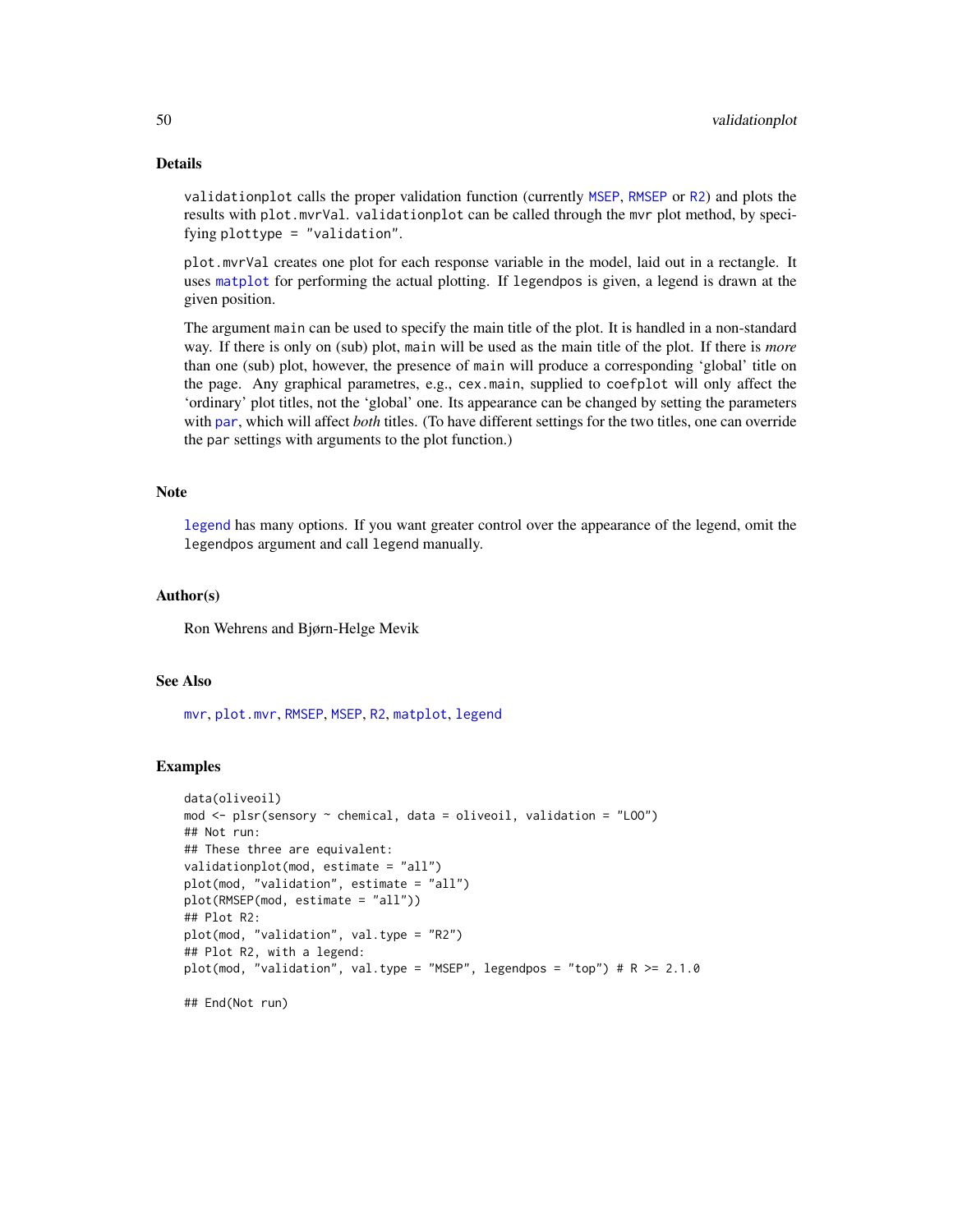# <span id="page-49-0"></span>Details

validationplot calls the proper validation function (currently [MSEP](#page-26-1), [RMSEP](#page-26-1) or [R2](#page-26-1)) and plots the results with plot.mvrVal. validationplot can be called through the mvr plot method, by specifying plottype = "validation".

plot.mvrVal creates one plot for each response variable in the model, laid out in a rectangle. It uses [matplot](#page-0-0) for performing the actual plotting. If legendpos is given, a legend is drawn at the given position.

The argument main can be used to specify the main title of the plot. It is handled in a non-standard way. If there is only on (sub) plot, main will be used as the main title of the plot. If there is *more* than one (sub) plot, however, the presence of main will produce a corresponding 'global' title on the page. Any graphical parametres, e.g., cex.main, supplied to coefplot will only affect the 'ordinary' plot titles, not the 'global' one. Its appearance can be changed by setting the parameters with [par](#page-0-0), which will affect *both* titles. (To have different settings for the two titles, one can override the par settings with arguments to the plot function.)

#### Note

[legend](#page-0-0) has many options. If you want greater control over the appearance of the legend, omit the legendpos argument and call legend manually.

#### Author(s)

Ron Wehrens and Bjørn-Helge Mevik

#### See Also

[mvr](#page-20-1), [plot.mvr](#page-31-1), [RMSEP](#page-26-1), [MSEP](#page-26-1), [R2](#page-26-1), [matplot](#page-0-0), [legend](#page-0-0)

#### Examples

```
data(oliveoil)
mod <- plsr(sensory ~ chemical, data = oliveoil, validation = "LOO")
## Not run:
## These three are equivalent:
validationplot(mod, estimate = "all")
plot(mod, "validation", estimate = "all")
plot(RMSEP(mod, estimate = "all"))
## Plot R2:
plot(mod, "validation", val.type = "R2")
## Plot R2, with a legend:
plot(mod, "validation", val.type = "MSEP", legendpos = "top") # R > = 2.1.0## End(Not run)
```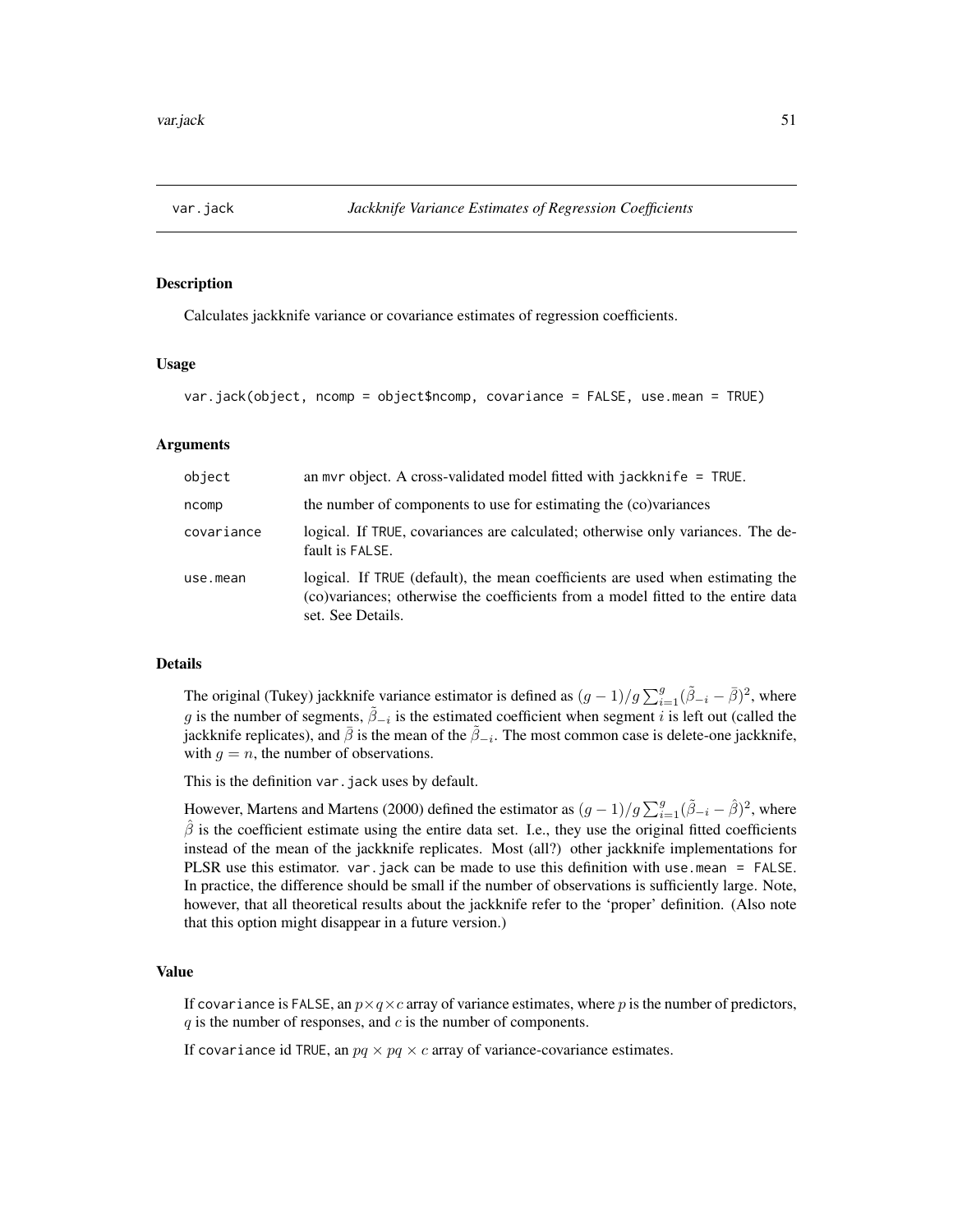<span id="page-50-1"></span><span id="page-50-0"></span>

# Description

Calculates jackknife variance or covariance estimates of regression coefficients.

#### Usage

```
var.jack(object, ncomp = object$ncomp, covariance = FALSE, use.mean = TRUE)
```
#### Arguments

| object     | an myr object. A cross-validated model fitted with jackknife $=$ TRUE.                                                                                                                  |
|------------|-----------------------------------------------------------------------------------------------------------------------------------------------------------------------------------------|
| ncomp      | the number of components to use for estimating the (co)variances                                                                                                                        |
| covariance | logical. If TRUE, covariances are calculated; otherwise only variances. The de-<br>fault is FALSE.                                                                                      |
| use.mean   | logical. If TRUE (default), the mean coefficients are used when estimating the<br>(co)variances; otherwise the coefficients from a model fitted to the entire data<br>set. See Details. |

#### Details

The original (Tukey) jackknife variance estimator is defined as  $(g-1)/g\sum_{i=1}^{g}(\tilde{\beta}_{-i}-\bar{\beta})^2$ , where g is the number of segments,  $\tilde{\beta}_{-i}$  is the estimated coefficient when segment i is left out (called the jackknife replicates), and  $\bar{\beta}$  is the mean of the  $\tilde{\beta}_{-i}$ . The most common case is delete-one jackknife, with  $q = n$ , the number of observations.

This is the definition var.jack uses by default.

However, Martens and Martens (2000) defined the estimator as  $(g-1)/g\sum_{i=1}^g(\tilde{\beta}_{-i}-\hat{\beta})^2$ , where  $\hat{\beta}$  is the coefficient estimate using the entire data set. I.e., they use the original fitted coefficients instead of the mean of the jackknife replicates. Most (all?) other jackknife implementations for PLSR use this estimator. var.jack can be made to use this definition with use.mean = FALSE. In practice, the difference should be small if the number of observations is sufficiently large. Note, however, that all theoretical results about the jackknife refer to the 'proper' definition. (Also note that this option might disappear in a future version.)

#### Value

If covariance is FALSE, an  $p \times q \times c$  array of variance estimates, where p is the number of predictors,  $q$  is the number of responses, and  $c$  is the number of components.

If covariance id TRUE, an  $pq \times pq \times c$  array of variance-covariance estimates.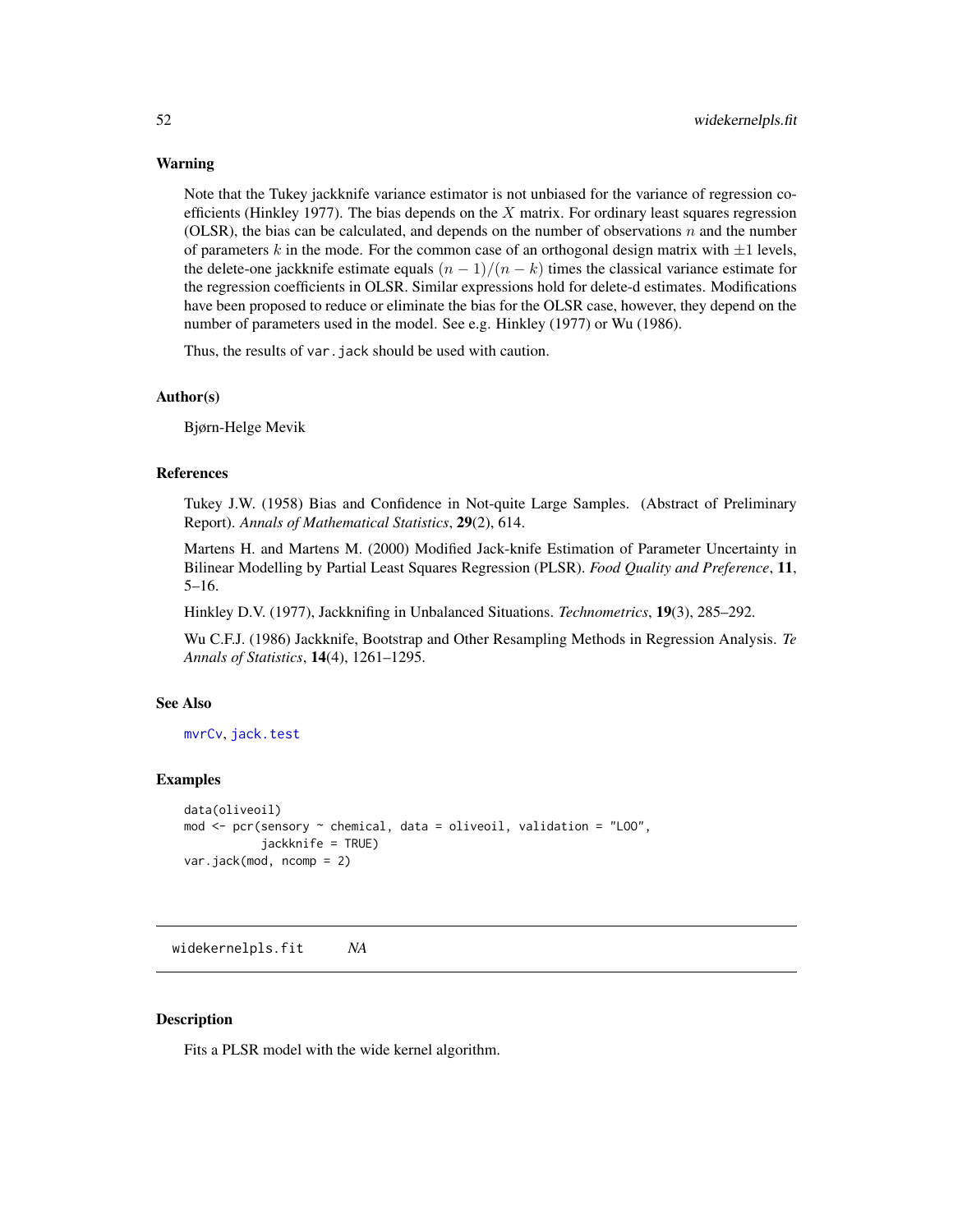#### <span id="page-51-0"></span>Warning

Note that the Tukey jackknife variance estimator is not unbiased for the variance of regression coefficients (Hinkley 1977). The bias depends on the  $X$  matrix. For ordinary least squares regression (OLSR), the bias can be calculated, and depends on the number of observations  $n$  and the number of parameters k in the mode. For the common case of an orthogonal design matrix with  $\pm 1$  levels, the delete-one jackknife estimate equals  $(n - 1)/(n - k)$  times the classical variance estimate for the regression coefficients in OLSR. Similar expressions hold for delete-d estimates. Modifications have been proposed to reduce or eliminate the bias for the OLSR case, however, they depend on the number of parameters used in the model. See e.g. Hinkley (1977) or Wu (1986).

Thus, the results of var. jack should be used with caution.

#### Author(s)

Bjørn-Helge Mevik

# References

Tukey J.W. (1958) Bias and Confidence in Not-quite Large Samples. (Abstract of Preliminary Report). *Annals of Mathematical Statistics*, 29(2), 614.

Martens H. and Martens M. (2000) Modified Jack-knife Estimation of Parameter Uncertainty in Bilinear Modelling by Partial Least Squares Regression (PLSR). *Food Quality and Preference*, 11, 5–16.

Hinkley D.V. (1977), Jackknifing in Unbalanced Situations. *Technometrics*, 19(3), 285–292.

Wu C.F.J. (1986) Jackknife, Bootstrap and Other Resampling Methods in Regression Analysis. *Te Annals of Statistics*, 14(4), 1261–1295.

# See Also

[mvrCv](#page-23-1), [jack.test](#page-15-1)

#### Examples

```
data(oliveoil)
mod \leq pcr(sensory \sim chemical, data = oliveoil, validation = "LOO",
           jackknife = TRUE)
var.jack(mod, ncomp = 2)
```
<span id="page-51-1"></span>widekernelpls.fit *NA*

# Description

Fits a PLSR model with the wide kernel algorithm.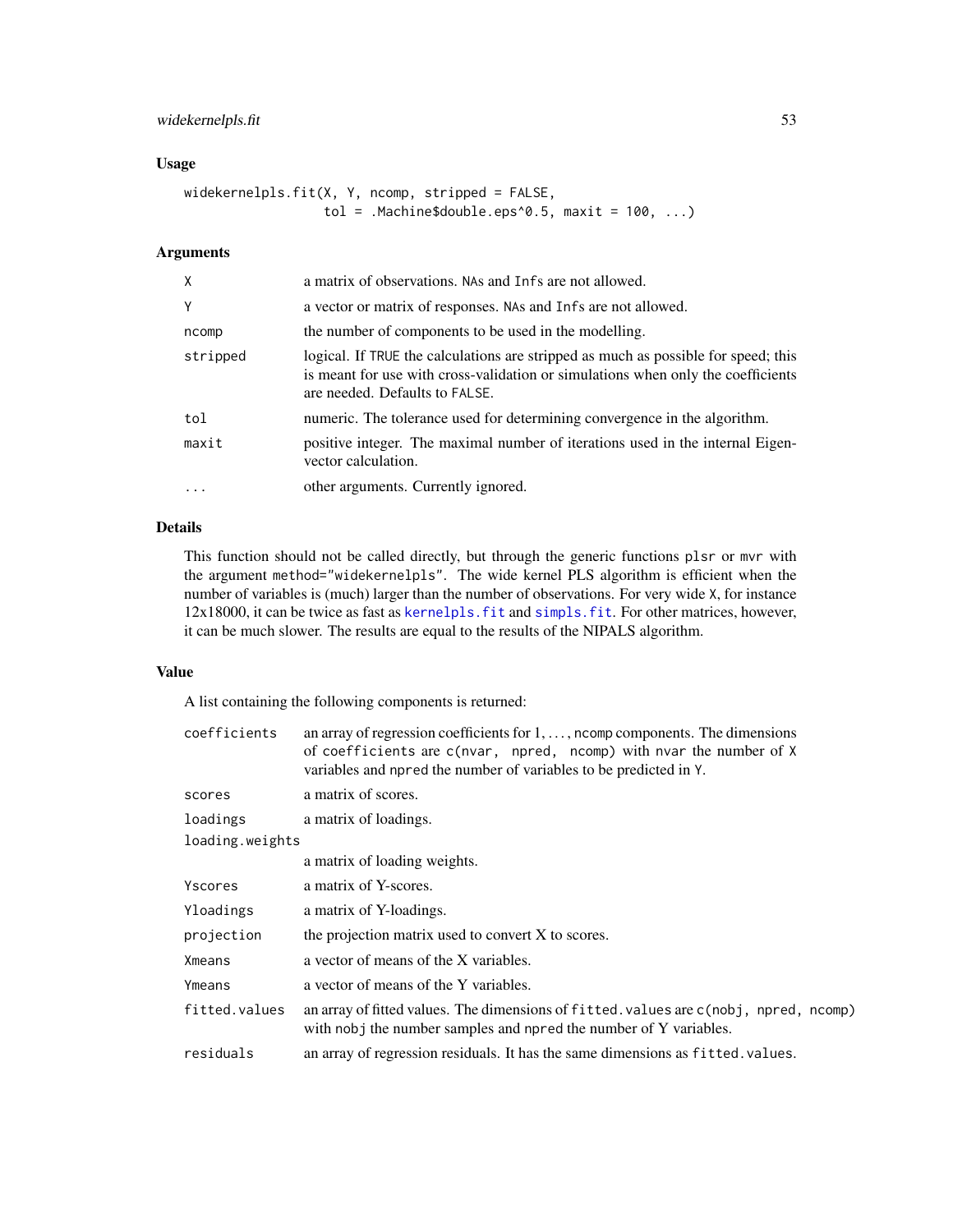# <span id="page-52-0"></span>widekernelpls.fit 53

# Usage

```
widekernelpls.fit(X, Y, ncomp, stripped = FALSE,
                 tol = .Machine$double.eps^0.5, maxit = 100, ...)
```
# Arguments

| X          | a matrix of observations. NAs and Infs are not allowed.                                                                                                                                                  |
|------------|----------------------------------------------------------------------------------------------------------------------------------------------------------------------------------------------------------|
| Y          | a vector or matrix of responses. NAs and Infs are not allowed.                                                                                                                                           |
| ncomp      | the number of components to be used in the modelling.                                                                                                                                                    |
| stripped   | logical. If TRUE the calculations are stripped as much as possible for speed; this<br>is meant for use with cross-validation or simulations when only the coefficients<br>are needed. Defaults to FALSE. |
| tol        | numeric. The tolerance used for determining convergence in the algorithm.                                                                                                                                |
| maxit      | positive integer. The maximal number of iterations used in the internal Eigen-<br>vector calculation.                                                                                                    |
| $\ddots$ . | other arguments. Currently ignored.                                                                                                                                                                      |

# Details

This function should not be called directly, but through the generic functions plsr or mvr with the argument method="widekernelpls". The wide kernel PLS algorithm is efficient when the number of variables is (much) larger than the number of observations. For very wide X, for instance 12x18000, it can be twice as fast as [kernelpls.fit](#page-16-1) and [simpls.fit](#page-42-1). For other matrices, however, it can be much slower. The results are equal to the results of the NIPALS algorithm.

#### Value

A list containing the following components is returned:

| coefficients    | an array of regression coefficients for $1, \ldots$ , noomp components. The dimensions<br>of coefficients are c(nvar, npred, ncomp) with nvar the number of X<br>variables and npred the number of variables to be predicted in Y. |
|-----------------|------------------------------------------------------------------------------------------------------------------------------------------------------------------------------------------------------------------------------------|
| scores          | a matrix of scores.                                                                                                                                                                                                                |
| loadings        | a matrix of loadings.                                                                                                                                                                                                              |
| loading.weights |                                                                                                                                                                                                                                    |
|                 | a matrix of loading weights.                                                                                                                                                                                                       |
| Yscores         | a matrix of Y-scores.                                                                                                                                                                                                              |
| Yloadings       | a matrix of Y-loadings.                                                                                                                                                                                                            |
| projection      | the projection matrix used to convert X to scores.                                                                                                                                                                                 |
| Xmeans          | a vector of means of the X variables.                                                                                                                                                                                              |
| Ymeans          | a vector of means of the Y variables.                                                                                                                                                                                              |
| fitted.values   | an array of fitted values. The dimensions of fitted values are c(nobj, npred, ncomp)<br>with nobj the number samples and npred the number of Y variables.                                                                          |
| residuals       | an array of regression residuals. It has the same dimensions as fitted. values.                                                                                                                                                    |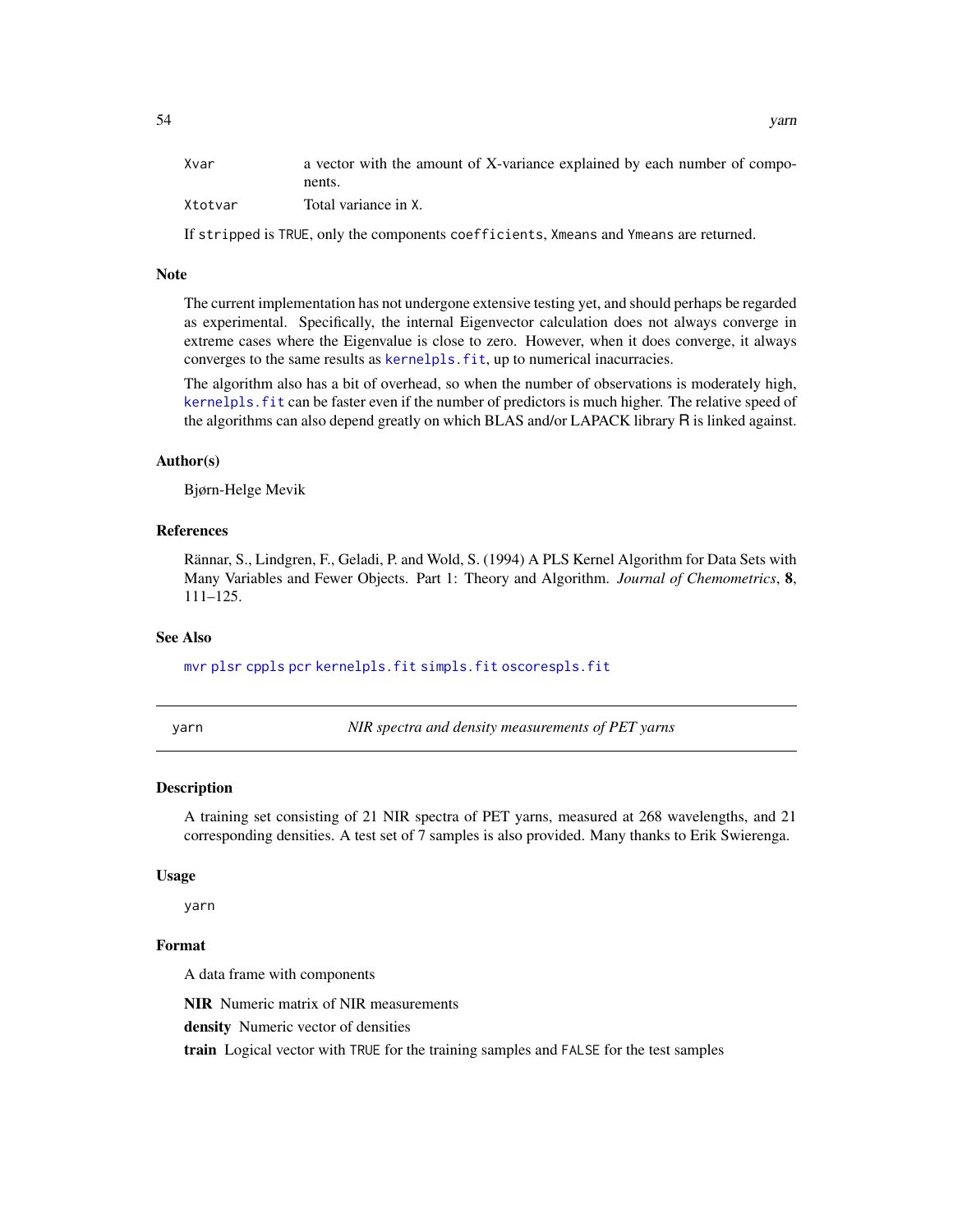<span id="page-53-0"></span>

| Xvar    | a vector with the amount of X-variance explained by each number of compo- |
|---------|---------------------------------------------------------------------------|
|         | nents.                                                                    |
| Xtotvar | Total variance in X.                                                      |

If stripped is TRUE, only the components coefficients, Xmeans and Ymeans are returned.

#### Note

The current implementation has not undergone extensive testing yet, and should perhaps be regarded as experimental. Specifically, the internal Eigenvector calculation does not always converge in extreme cases where the Eigenvalue is close to zero. However, when it does converge, it always converges to the same results as kernelpls. fit, up to numerical inacurracies.

The algorithm also has a bit of overhead, so when the number of observations is moderately high, kernelpls. fit can be faster even if the number of predictors is much higher. The relative speed of the algorithms can also depend greatly on which BLAS and/or LAPACK library R is linked against.

#### Author(s)

Bjørn-Helge Mevik

# References

Rännar, S., Lindgren, F., Geladi, P. and Wold, S. (1994) A PLS Kernel Algorithm for Data Sets with Many Variables and Fewer Objects. Part 1: Theory and Algorithm. *Journal of Chemometrics*, 8, 111–125.

# See Also

[mvr](#page-20-1) [plsr](#page-20-2) [cppls](#page-20-2) [pcr](#page-20-2) [kernelpls.fit](#page-16-1) [simpls.fit](#page-42-1) [oscorespls.fit](#page-29-1)

yarn *NIR spectra and density measurements of PET yarns*

#### Description

A training set consisting of 21 NIR spectra of PET yarns, measured at 268 wavelengths, and 21 corresponding densities. A test set of 7 samples is also provided. Many thanks to Erik Swierenga.

#### Usage

yarn

# Format

A data frame with components

NIR Numeric matrix of NIR measurements

density Numeric vector of densities

train Logical vector with TRUE for the training samples and FALSE for the test samples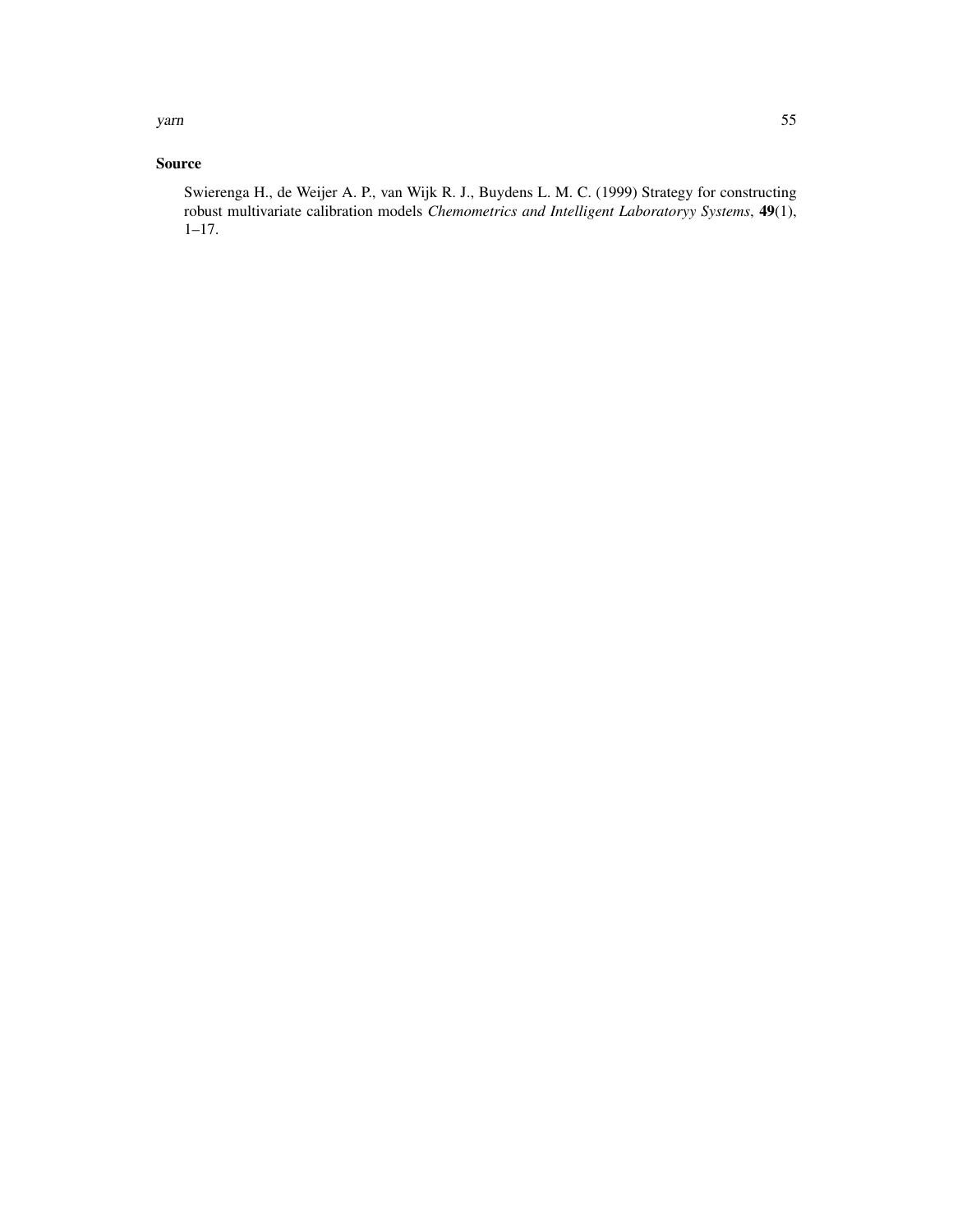yarn 55

# Source

Swierenga H., de Weijer A. P., van Wijk R. J., Buydens L. M. C. (1999) Strategy for constructing robust multivariate calibration models *Chemometrics and Intelligent Laboratoryy Systems*, 49(1), 1–17.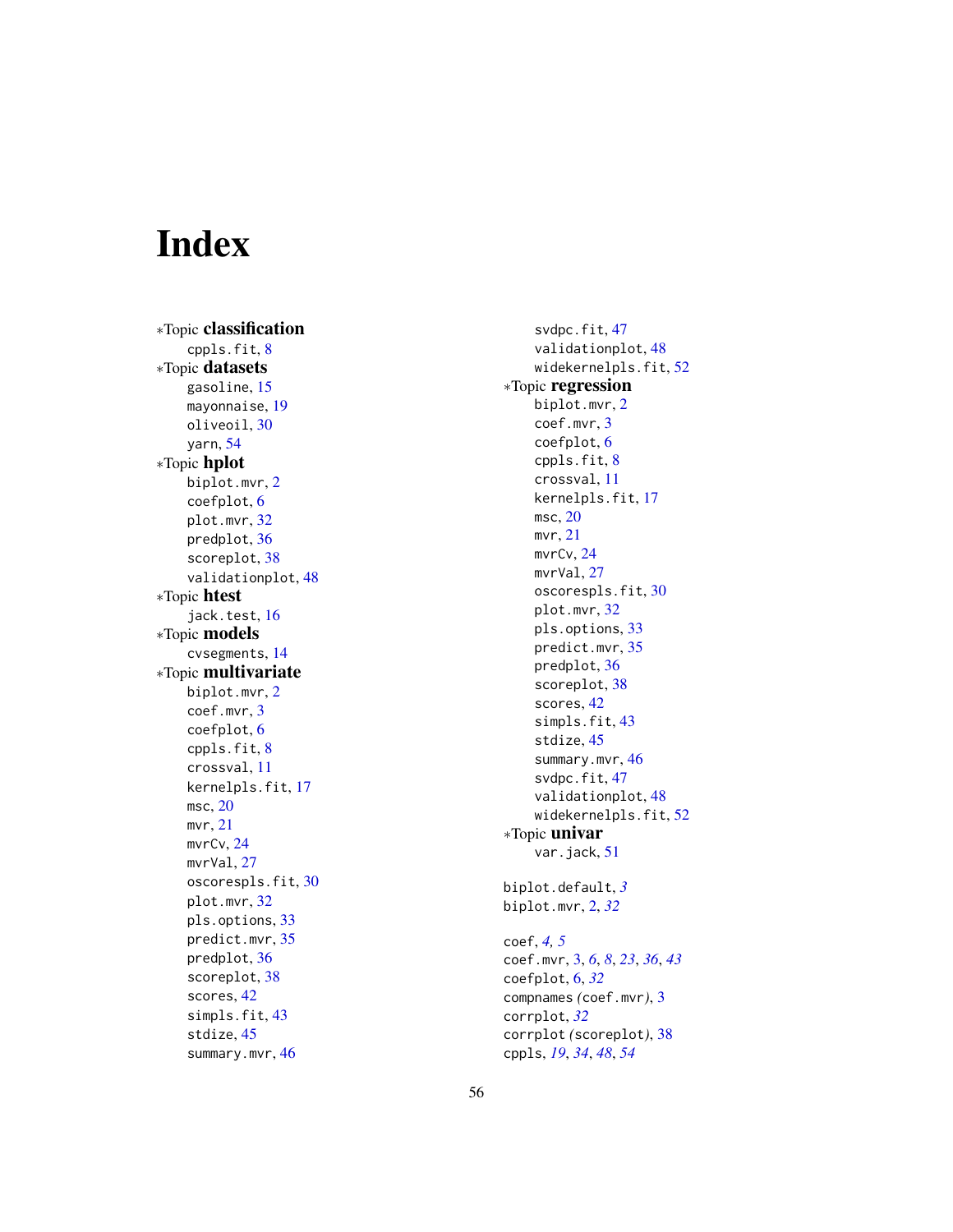# <span id="page-55-0"></span>Index

∗Topic classification cppls.fit , [8](#page-7-0) ∗Topic datasets gasoline , [15](#page-14-0) mayonnaise , [19](#page-18-0) oliveoil , [30](#page-29-0) yarn , [54](#page-53-0) ∗Topic hplot biplot.mvr , [2](#page-1-0) coefplot , [6](#page-5-0) plot.mvr , [32](#page-31-0) predplot , [36](#page-35-0) scoreplot , [38](#page-37-0) validationplot , [48](#page-47-0) ∗Topic htest jack.test, [16](#page-15-0) ∗Topic models cvsegments , [14](#page-13-0) ∗Topic multivariate biplot.mvr , [2](#page-1-0) coef.mvr , [3](#page-2-0) coefplot , [6](#page-5-0) cppls.fit , [8](#page-7-0) crossval , [11](#page-10-0) kernelpls.fit , [17](#page-16-0) msc , [20](#page-19-0) mvr , [21](#page-20-0) mvrCv , [24](#page-23-0) mvrVal, [27](#page-26-0) oscorespls.fit , [30](#page-29-0) plot.mvr , [32](#page-31-0) pls.options , [33](#page-32-0) predict.mvr , [35](#page-34-0) predplot , [36](#page-35-0) scoreplot , [38](#page-37-0) scores , [42](#page-41-0) simpls.fit, [43](#page-42-0) stdize, [45](#page-44-0) summary.mvr, [46](#page-45-0)

svdpc.fit , [47](#page-46-0) validationplot , [48](#page-47-0) widekernelpls.fit , [52](#page-51-0) ∗Topic regression biplot.mvr , [2](#page-1-0) coef.mvr , [3](#page-2-0) coefplot , [6](#page-5-0) cppls.fit , [8](#page-7-0) crossval , [11](#page-10-0) kernelpls.fit , [17](#page-16-0) msc,  $20$ mvr , [21](#page-20-0) mvrCv , [24](#page-23-0) mvrVal, [27](#page-26-0) oscorespls.fit , [30](#page-29-0) plot.mvr , [32](#page-31-0) pls.options , [33](#page-32-0) predict.mvr , [35](#page-34-0) predplot , [36](#page-35-0) scoreplot, [38](#page-37-0) scores , [42](#page-41-0) simpls.fit, [43](#page-42-0) stdize , [45](#page-44-0) summary.mvr, [46](#page-45-0) svdpc.fit, [47](#page-46-0) validationplot , [48](#page-47-0) widekernelpls.fit, [52](#page-51-0) ∗Topic univar var.jack, [51](#page-50-0) biplot.default , *[3](#page-2-0)* biplot.mvr , [2](#page-1-0) , *[32](#page-31-0)* coef , *[4](#page-3-0) , [5](#page-4-0)* coef.mvr , [3](#page-2-0) , *[6](#page-5-0)* , *[8](#page-7-0)* , *[23](#page-22-0)* , *[36](#page-35-0)* , *[43](#page-42-0)* coefplot , [6](#page-5-0) , *[32](#page-31-0)* compnames *(*coef.mvr *)* , [3](#page-2-0) corrplot , *[32](#page-31-0)* corrplot *(*scoreplot *)* , [38](#page-37-0)

cppls , *[19](#page-18-0)* , *[34](#page-33-0)* , *[48](#page-47-0)* , *[54](#page-53-0)*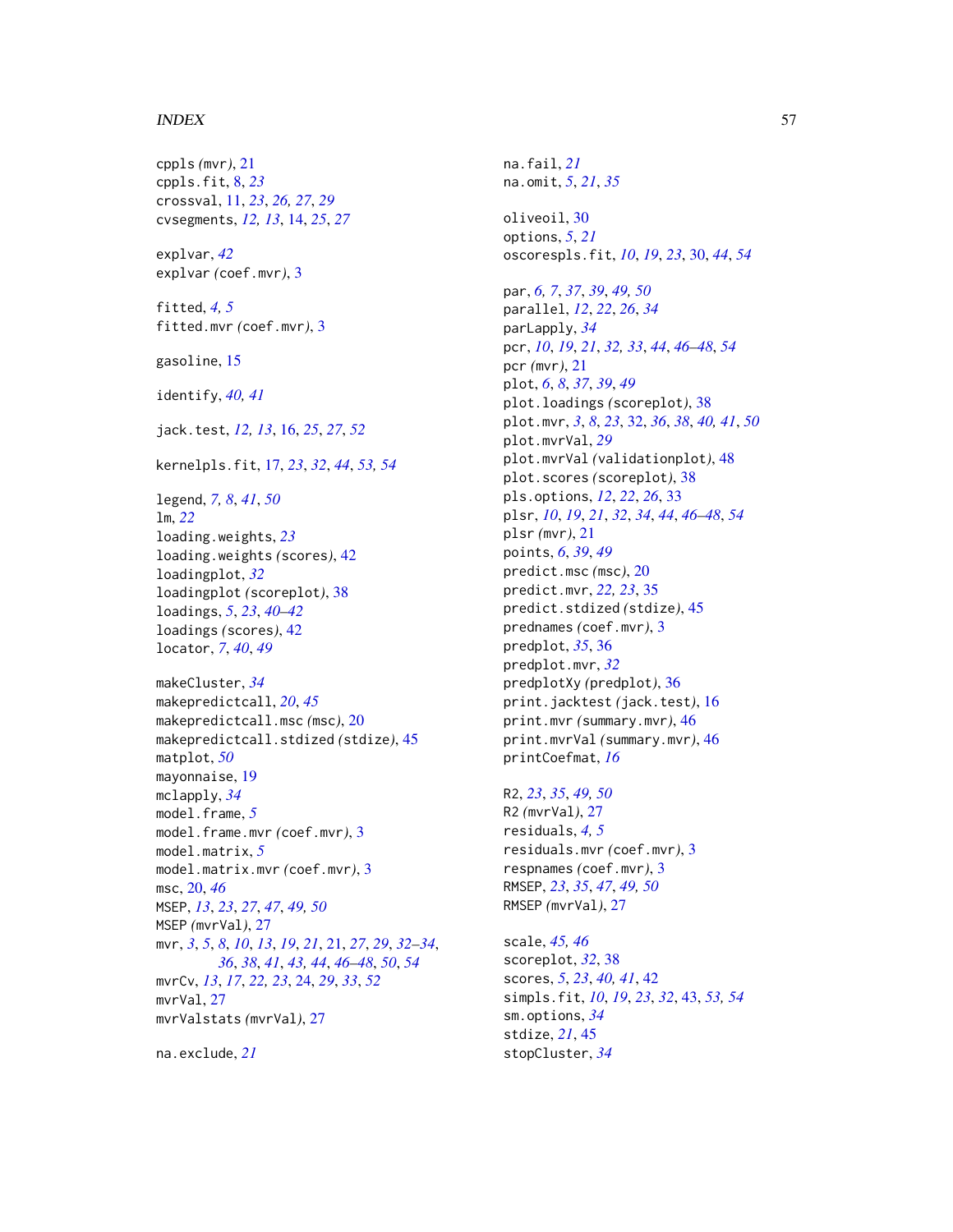#### INDEX 57

cppls *(*mvr*)*, [21](#page-20-0) cppls.fit, [8,](#page-7-0) *[23](#page-22-0)* crossval, [11,](#page-10-0) *[23](#page-22-0)*, *[26,](#page-25-0) [27](#page-26-0)*, *[29](#page-28-0)* cvsegments, *[12,](#page-11-0) [13](#page-12-0)*, [14,](#page-13-0) *[25](#page-24-0)*, *[27](#page-26-0)* explvar, *[42](#page-41-0)* explvar *(*coef.mvr*)*, [3](#page-2-0) fitted, *[4,](#page-3-0) [5](#page-4-0)* fitted.mvr *(*coef.mvr*)*, [3](#page-2-0) gasoline, [15](#page-14-0) identify, *[40,](#page-39-0) [41](#page-40-0)* jack.test, *[12,](#page-11-0) [13](#page-12-0)*, [16,](#page-15-0) *[25](#page-24-0)*, *[27](#page-26-0)*, *[52](#page-51-0)* kernelpls.fit, [17,](#page-16-0) *[23](#page-22-0)*, *[32](#page-31-0)*, *[44](#page-43-0)*, *[53,](#page-52-0) [54](#page-53-0)* legend, *[7,](#page-6-0) [8](#page-7-0)*, *[41](#page-40-0)*, *[50](#page-49-0)* lm, *[22](#page-21-0)* loading.weights, *[23](#page-22-0)* loading.weights *(*scores*)*, [42](#page-41-0) loadingplot, *[32](#page-31-0)* loadingplot *(*scoreplot*)*, [38](#page-37-0) loadings, *[5](#page-4-0)*, *[23](#page-22-0)*, *[40](#page-39-0)[–42](#page-41-0)* loadings *(*scores*)*, [42](#page-41-0) locator, *[7](#page-6-0)*, *[40](#page-39-0)*, *[49](#page-48-0)* makeCluster, *[34](#page-33-0)* makepredictcall, *[20](#page-19-0)*, *[45](#page-44-0)* makepredictcall.msc *(*msc*)*, [20](#page-19-0) makepredictcall.stdized *(*stdize*)*, [45](#page-44-0) matplot, *[50](#page-49-0)* mayonnaise, [19](#page-18-0) mclapply, *[34](#page-33-0)* model.frame, *[5](#page-4-0)* model.frame.mvr *(*coef.mvr*)*, [3](#page-2-0) model.matrix, *[5](#page-4-0)* model.matrix.mvr *(*coef.mvr*)*, [3](#page-2-0) msc, [20,](#page-19-0) *[46](#page-45-0)* MSEP, *[13](#page-12-0)*, *[23](#page-22-0)*, *[27](#page-26-0)*, *[47](#page-46-0)*, *[49,](#page-48-0) [50](#page-49-0)* MSEP *(*mvrVal*)*, [27](#page-26-0) mvr, *[3](#page-2-0)*, *[5](#page-4-0)*, *[8](#page-7-0)*, *[10](#page-9-0)*, *[13](#page-12-0)*, *[19](#page-18-0)*, *[21](#page-20-0)*, [21,](#page-20-0) *[27](#page-26-0)*, *[29](#page-28-0)*, *[32–](#page-31-0)[34](#page-33-0)*, *[36](#page-35-0)*, *[38](#page-37-0)*, *[41](#page-40-0)*, *[43,](#page-42-0) [44](#page-43-0)*, *[46–](#page-45-0)[48](#page-47-0)*, *[50](#page-49-0)*, *[54](#page-53-0)* mvrCv, *[13](#page-12-0)*, *[17](#page-16-0)*, *[22,](#page-21-0) [23](#page-22-0)*, [24,](#page-23-0) *[29](#page-28-0)*, *[33](#page-32-0)*, *[52](#page-51-0)* mvrVal, [27](#page-26-0) mvrValstats *(*mvrVal*)*, [27](#page-26-0)

na.exclude, *[21](#page-20-0)*

na.fail, *[21](#page-20-0)* na.omit, *[5](#page-4-0)*, *[21](#page-20-0)*, *[35](#page-34-0)* oliveoil, [30](#page-29-0) options, *[5](#page-4-0)*, *[21](#page-20-0)* oscorespls.fit, *[10](#page-9-0)*, *[19](#page-18-0)*, *[23](#page-22-0)*, [30,](#page-29-0) *[44](#page-43-0)*, *[54](#page-53-0)* par, *[6,](#page-5-0) [7](#page-6-0)*, *[37](#page-36-0)*, *[39](#page-38-0)*, *[49,](#page-48-0) [50](#page-49-0)* parallel, *[12](#page-11-0)*, *[22](#page-21-0)*, *[26](#page-25-0)*, *[34](#page-33-0)* parLapply, *[34](#page-33-0)* pcr, *[10](#page-9-0)*, *[19](#page-18-0)*, *[21](#page-20-0)*, *[32,](#page-31-0) [33](#page-32-0)*, *[44](#page-43-0)*, *[46](#page-45-0)[–48](#page-47-0)*, *[54](#page-53-0)* pcr *(*mvr*)*, [21](#page-20-0) plot, *[6](#page-5-0)*, *[8](#page-7-0)*, *[37](#page-36-0)*, *[39](#page-38-0)*, *[49](#page-48-0)* plot.loadings *(*scoreplot*)*, [38](#page-37-0) plot.mvr, *[3](#page-2-0)*, *[8](#page-7-0)*, *[23](#page-22-0)*, [32,](#page-31-0) *[36](#page-35-0)*, *[38](#page-37-0)*, *[40,](#page-39-0) [41](#page-40-0)*, *[50](#page-49-0)* plot.mvrVal, *[29](#page-28-0)* plot.mvrVal *(*validationplot*)*, [48](#page-47-0) plot.scores *(*scoreplot*)*, [38](#page-37-0) pls.options, *[12](#page-11-0)*, *[22](#page-21-0)*, *[26](#page-25-0)*, [33](#page-32-0) plsr, *[10](#page-9-0)*, *[19](#page-18-0)*, *[21](#page-20-0)*, *[32](#page-31-0)*, *[34](#page-33-0)*, *[44](#page-43-0)*, *[46](#page-45-0)[–48](#page-47-0)*, *[54](#page-53-0)* plsr *(*mvr*)*, [21](#page-20-0) points, *[6](#page-5-0)*, *[39](#page-38-0)*, *[49](#page-48-0)* predict.msc *(*msc*)*, [20](#page-19-0) predict.mvr, *[22,](#page-21-0) [23](#page-22-0)*, [35](#page-34-0) predict.stdized *(*stdize*)*, [45](#page-44-0) prednames *(*coef.mvr*)*, [3](#page-2-0) predplot, *[35](#page-34-0)*, [36](#page-35-0) predplot.mvr, *[32](#page-31-0)* predplotXy *(*predplot*)*, [36](#page-35-0) print.jacktest *(*jack.test*)*, [16](#page-15-0) print.mvr *(*summary.mvr*)*, [46](#page-45-0) print.mvrVal *(*summary.mvr*)*, [46](#page-45-0) printCoefmat, *[16](#page-15-0)*

R2, *[23](#page-22-0)*, *[35](#page-34-0)*, *[49,](#page-48-0) [50](#page-49-0)* R2 *(*mvrVal*)*, [27](#page-26-0) residuals, *[4,](#page-3-0) [5](#page-4-0)* residuals.mvr *(*coef.mvr*)*, [3](#page-2-0) respnames *(*coef.mvr*)*, [3](#page-2-0) RMSEP, *[23](#page-22-0)*, *[35](#page-34-0)*, *[47](#page-46-0)*, *[49,](#page-48-0) [50](#page-49-0)* RMSEP *(*mvrVal*)*, [27](#page-26-0)

scale, *[45,](#page-44-0) [46](#page-45-0)* scoreplot, *[32](#page-31-0)*, [38](#page-37-0) scores, *[5](#page-4-0)*, *[23](#page-22-0)*, *[40,](#page-39-0) [41](#page-40-0)*, [42](#page-41-0) simpls.fit, *[10](#page-9-0)*, *[19](#page-18-0)*, *[23](#page-22-0)*, *[32](#page-31-0)*, [43,](#page-42-0) *[53,](#page-52-0) [54](#page-53-0)* sm.options, *[34](#page-33-0)* stdize, *[21](#page-20-0)*, [45](#page-44-0) stopCluster, *[34](#page-33-0)*